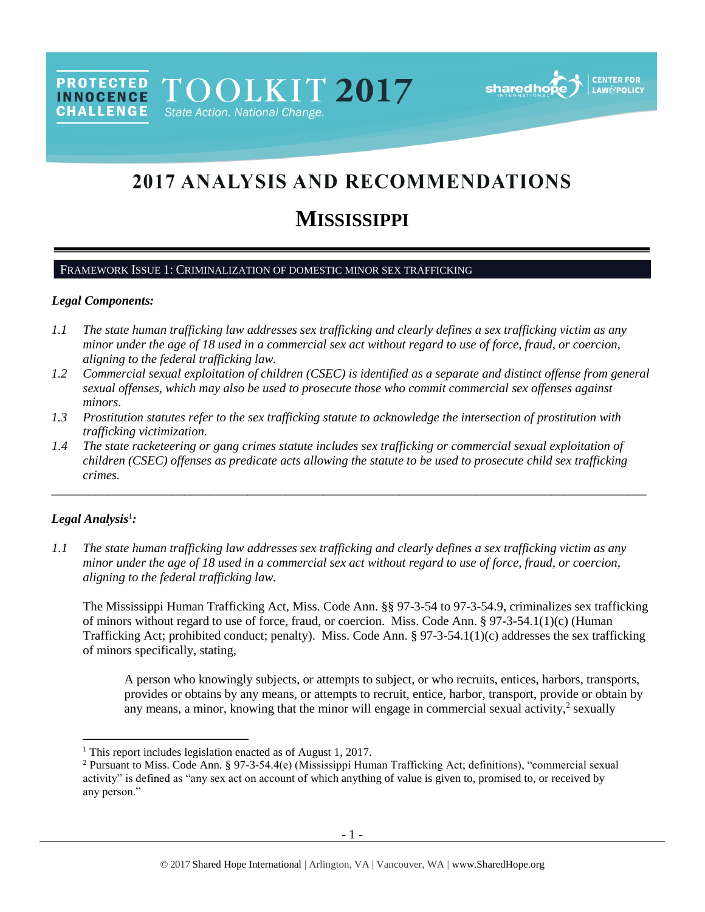PROTECTED TOOLKIT 2017 State Action. National Change.

sharedho

# 2017 ANALYSIS AND RECOMMENDATIONS

## **MISSISSIPPI**

## FRAMEWORK ISSUE 1: CRIMINALIZATION OF DOMESTIC MINOR SEX TRAFFICKING

#### *Legal Components:*

**CHALLENGE** 

- *1.1 The state human trafficking law addresses sex trafficking and clearly defines a sex trafficking victim as any minor under the age of 18 used in a commercial sex act without regard to use of force, fraud, or coercion, aligning to the federal trafficking law.*
- *1.2 Commercial sexual exploitation of children (CSEC) is identified as a separate and distinct offense from general sexual offenses, which may also be used to prosecute those who commit commercial sex offenses against minors.*
- *1.3 Prostitution statutes refer to the sex trafficking statute to acknowledge the intersection of prostitution with trafficking victimization.*
- *1.4 The state racketeering or gang crimes statute includes sex trafficking or commercial sexual exploitation of children (CSEC) offenses as predicate acts allowing the statute to be used to prosecute child sex trafficking crimes.*

\_\_\_\_\_\_\_\_\_\_\_\_\_\_\_\_\_\_\_\_\_\_\_\_\_\_\_\_\_\_\_\_\_\_\_\_\_\_\_\_\_\_\_\_\_\_\_\_\_\_\_\_\_\_\_\_\_\_\_\_\_\_\_\_\_\_\_\_\_\_\_\_\_\_\_\_\_\_\_\_\_\_\_\_\_\_\_\_\_\_\_\_\_\_

## *Legal Analysis*<sup>1</sup> *:*

l

*1.1 The state human trafficking law addresses sex trafficking and clearly defines a sex trafficking victim as any minor under the age of 18 used in a commercial sex act without regard to use of force, fraud, or coercion, aligning to the federal trafficking law.*

The Mississippi Human Trafficking Act, Miss. Code Ann. §§ 97-3-54 to 97-3-54.9, criminalizes sex trafficking of minors without regard to use of force, fraud, or coercion. Miss. Code Ann. § 97-3-54.1(1)(c) (Human Trafficking Act; prohibited conduct; penalty). Miss. Code Ann. § 97-3-54.1(1)(c) addresses the sex trafficking of minors specifically, stating,

A person who knowingly subjects, or attempts to subject, or who recruits, entices, harbors, transports, provides or obtains by any means, or attempts to recruit, entice, harbor, transport, provide or obtain by any means, a minor, knowing that the minor will engage in commercial sexual activity, $\frac{2}{3}$  sexually

<sup>&</sup>lt;sup>1</sup> This report includes legislation enacted as of August 1, 2017.

<sup>2</sup> Pursuant to Miss. Code Ann. § 97-3-54.4(e) (Mississippi Human Trafficking Act; definitions), "commercial sexual activity" is defined as "any sex act on account of which anything of value is given to, promised to, or received by any person."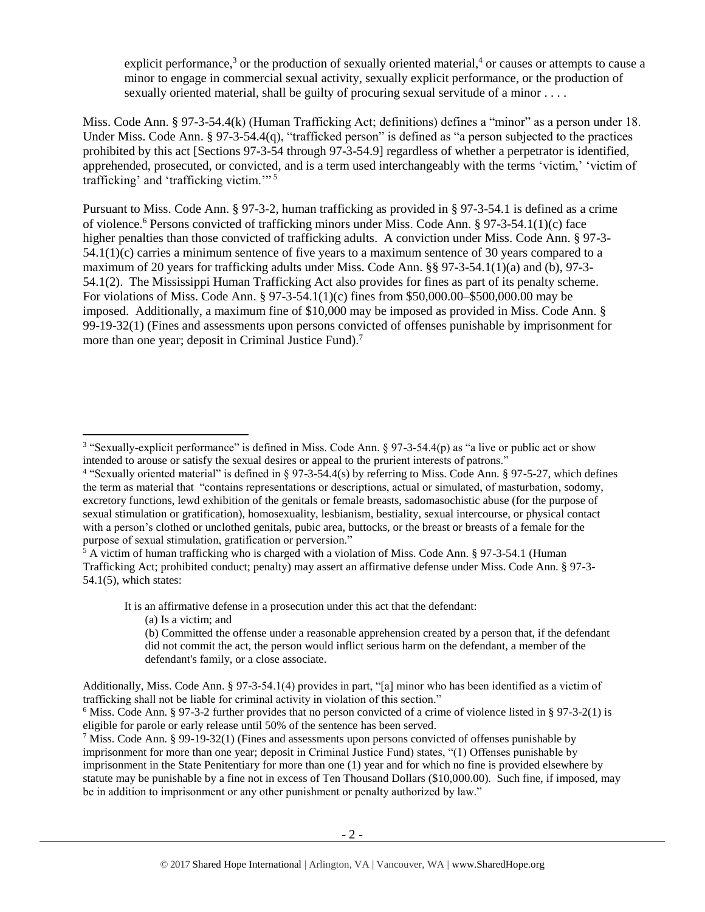explicit performance,<sup>3</sup> or the production of sexually oriented material,<sup>4</sup> or causes or attempts to cause a minor to engage in commercial sexual activity, sexually explicit performance, or the production of sexually oriented material, shall be guilty of procuring sexual servitude of a minor . . . .

Miss. Code Ann. § 97-3-54.4(k) (Human Trafficking Act; definitions) defines a "minor" as a person under 18. Under Miss. Code Ann. § 97-3-54.4(q), "trafficked person" is defined as "a person subjected to the practices prohibited by this act [Sections 97-3-54 through 97-3-54.9] regardless of whether a perpetrator is identified, apprehended, prosecuted, or convicted, and is a term used interchangeably with the terms 'victim,' 'victim of trafficking' and 'trafficking victim.'" <sup>5</sup>

Pursuant to Miss. Code Ann. § 97-3-2, human trafficking as provided in § 97-3-54.1 is defined as a crime of violence.<sup>6</sup> Persons convicted of trafficking minors under Miss. Code Ann. § 97-3-54.1(1)(c) face higher penalties than those convicted of trafficking adults. A conviction under Miss. Code Ann. § 97-3- 54.1(1)(c) carries a minimum sentence of five years to a maximum sentence of 30 years compared to a maximum of 20 years for trafficking adults under Miss. Code Ann. §§ 97-3-54.1(1)(a) and (b), 97-3- 54.1(2). The Mississippi Human Trafficking Act also provides for fines as part of its penalty scheme. For violations of Miss. Code Ann. § 97-3-54.1(1)(c) fines from \$50,000.00–\$500,000.00 may be imposed. Additionally, a maximum fine of \$10,000 may be imposed as provided in Miss. Code Ann. § 99-19-32(1) (Fines and assessments upon persons convicted of offenses punishable by imprisonment for more than one year; deposit in Criminal Justice Fund).<sup>7</sup>

<sup>5</sup> A victim of human trafficking who is charged with a violation of Miss. Code Ann. § 97-3-54.1 (Human Trafficking Act; prohibited conduct; penalty) may assert an affirmative defense under Miss. Code Ann. § 97-3- 54.1(5), which states:

It is an affirmative defense in a prosecution under this act that the defendant:

(a) Is a victim; and

 $\overline{a}$ 

Additionally, Miss. Code Ann. § 97-3-54.1(4) provides in part, "[a] minor who has been identified as a victim of trafficking shall not be liable for criminal activity in violation of this section."

<sup>&</sup>lt;sup>3</sup> "Sexually-explicit performance" is defined in Miss. Code Ann. § 97-3-54.4(p) as "a live or public act or show intended to arouse or satisfy the sexual desires or appeal to the prurient interests of patrons."

<sup>4</sup> "Sexually oriented material" is defined in § 97-3-54.4(s) by referring to Miss. Code Ann. § 97-5-27, which defines the term as material that "contains representations or descriptions, actual or simulated, of masturbation, sodomy, excretory functions, lewd exhibition of the genitals or female breasts, sadomasochistic abuse (for the purpose of sexual stimulation or gratification), homosexuality, lesbianism, bestiality, sexual intercourse, or physical contact with a person's clothed or unclothed genitals, pubic area, buttocks, or the breast or breasts of a female for the purpose of sexual stimulation, gratification or perversion."

<sup>(</sup>b) Committed the offense under a reasonable apprehension created by a person that, if the defendant did not commit the act, the person would inflict serious harm on the defendant, a member of the defendant's family, or a close associate.

<sup>&</sup>lt;sup>6</sup> Miss. Code Ann. § 97-3-2 further provides that no person convicted of a crime of violence listed in § 97-3-2(1) is eligible for parole or early release until 50% of the sentence has been served.

<sup>&</sup>lt;sup>7</sup> Miss. Code Ann. § 99-19-32(1) (Fines and assessments upon persons convicted of offenses punishable by imprisonment for more than one year; deposit in Criminal Justice Fund) states, "(1) Offenses punishable by imprisonment in the State Penitentiary for more than one (1) year and for which no fine is provided elsewhere by statute may be punishable by a fine not in excess of Ten Thousand Dollars (\$10,000.00). Such fine, if imposed, may be in addition to imprisonment or any other punishment or penalty authorized by law."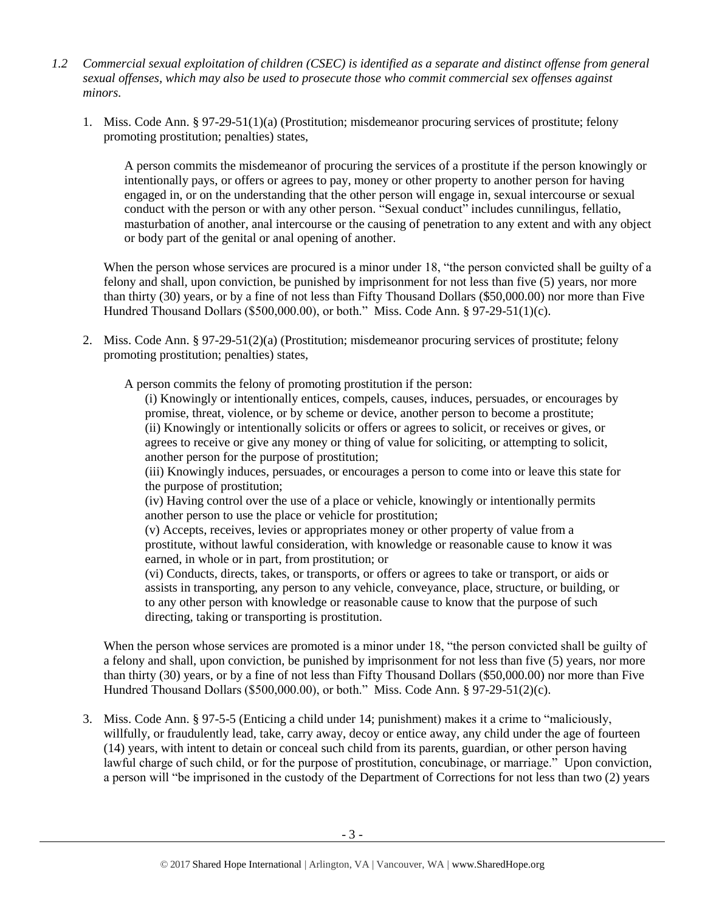- *1.2 Commercial sexual exploitation of children (CSEC) is identified as a separate and distinct offense from general sexual offenses, which may also be used to prosecute those who commit commercial sex offenses against minors.*
	- 1. Miss. Code Ann. § 97-29-51(1)(a) (Prostitution; misdemeanor procuring services of prostitute; felony promoting prostitution; penalties) states,

A person commits the misdemeanor of procuring the services of a prostitute if the person knowingly or intentionally pays, or offers or agrees to pay, money or other property to another person for having engaged in, or on the understanding that the other person will engage in, sexual intercourse or sexual conduct with the person or with any other person. "Sexual conduct" includes cunnilingus, fellatio, masturbation of another, anal intercourse or the causing of penetration to any extent and with any object or body part of the genital or anal opening of another.

When the person whose services are procured is a minor under 18, "the person convicted shall be guilty of a felony and shall, upon conviction, be punished by imprisonment for not less than five (5) years, nor more than thirty (30) years, or by a fine of not less than Fifty Thousand Dollars (\$50,000.00) nor more than Five Hundred Thousand Dollars (\$500,000.00), or both." Miss. Code Ann. § 97-29-51(1)(c).

2. Miss. Code Ann. § 97-29-51(2)(a) (Prostitution; misdemeanor procuring services of prostitute; felony promoting prostitution; penalties) states,

A person commits the felony of promoting prostitution if the person:

(i) Knowingly or intentionally entices, compels, causes, induces, persuades, or encourages by promise, threat, violence, or by scheme or device, another person to become a prostitute; (ii) Knowingly or intentionally solicits or offers or agrees to solicit, or receives or gives, or agrees to receive or give any money or thing of value for soliciting, or attempting to solicit, another person for the purpose of prostitution;

(iii) Knowingly induces, persuades, or encourages a person to come into or leave this state for the purpose of prostitution;

(iv) Having control over the use of a place or vehicle, knowingly or intentionally permits another person to use the place or vehicle for prostitution;

(v) Accepts, receives, levies or appropriates money or other property of value from a prostitute, without lawful consideration, with knowledge or reasonable cause to know it was earned, in whole or in part, from prostitution; or

(vi) Conducts, directs, takes, or transports, or offers or agrees to take or transport, or aids or assists in transporting, any person to any vehicle, conveyance, place, structure, or building, or to any other person with knowledge or reasonable cause to know that the purpose of such directing, taking or transporting is prostitution.

When the person whose services are promoted is a minor under 18, "the person convicted shall be guilty of a felony and shall, upon conviction, be punished by imprisonment for not less than five (5) years, nor more than thirty (30) years, or by a fine of not less than Fifty Thousand Dollars (\$50,000.00) nor more than Five Hundred Thousand Dollars (\$500,000.00), or both." Miss. Code Ann. § 97-29-51(2)(c).

3. Miss. Code Ann. § 97-5-5 (Enticing a child under 14; punishment) makes it a crime to "maliciously, willfully, or fraudulently lead, take, carry away, decoy or entice away, any child under the age of fourteen (14) years, with intent to detain or conceal such child from its parents, guardian, or other person having lawful charge of such child, or for the purpose of prostitution, concubinage, or marriage." Upon conviction, a person will "be imprisoned in the custody of the Department of Corrections for not less than two (2) years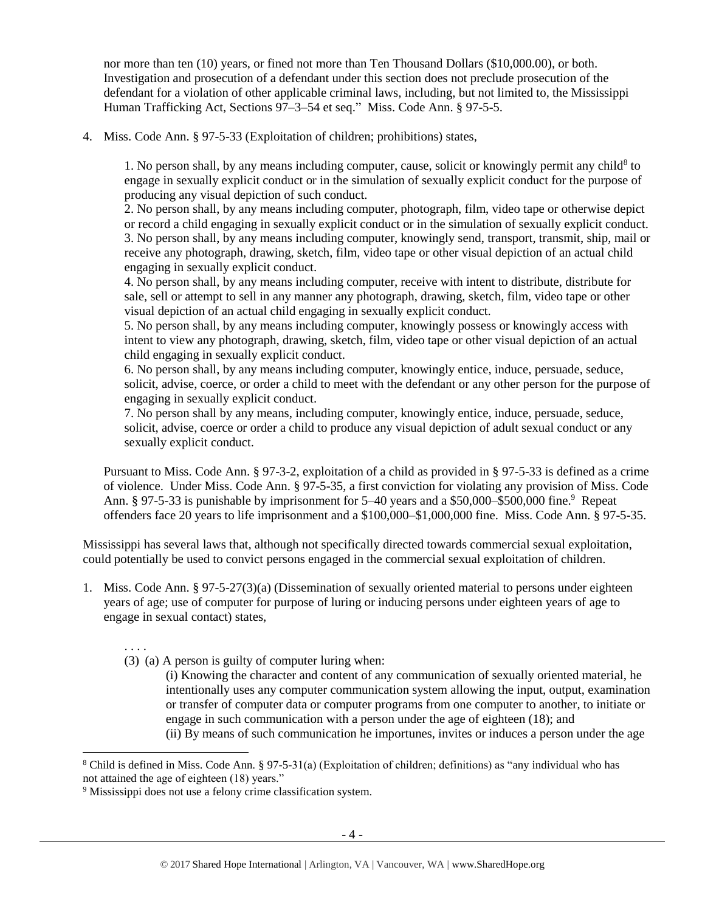nor more than ten (10) years, or fined not more than Ten Thousand Dollars (\$10,000.00), or both. Investigation and prosecution of a defendant under this section does not preclude prosecution of the defendant for a violation of other applicable criminal laws, including, but not limited to, the Mississippi Human Trafficking Act, Sections 97–3–54 et seq." Miss. Code Ann. § 97-5-5.

4. Miss. Code Ann. § 97-5-33 (Exploitation of children; prohibitions) states,

1. No person shall, by any means including computer, cause, solicit or knowingly permit any child<sup>8</sup> to engage in sexually explicit conduct or in the simulation of sexually explicit conduct for the purpose of producing any visual depiction of such conduct.

2. No person shall, by any means including computer, photograph, film, video tape or otherwise depict or record a child engaging in sexually explicit conduct or in the simulation of sexually explicit conduct. 3. No person shall, by any means including computer, knowingly send, transport, transmit, ship, mail or receive any photograph, drawing, sketch, film, video tape or other visual depiction of an actual child engaging in sexually explicit conduct.

4. No person shall, by any means including computer, receive with intent to distribute, distribute for sale, sell or attempt to sell in any manner any photograph, drawing, sketch, film, video tape or other visual depiction of an actual child engaging in sexually explicit conduct.

5. No person shall, by any means including computer, knowingly possess or knowingly access with intent to view any photograph, drawing, sketch, film, video tape or other visual depiction of an actual child engaging in sexually explicit conduct.

6. No person shall, by any means including computer, knowingly entice, induce, persuade, seduce, solicit, advise, coerce, or order a child to meet with the defendant or any other person for the purpose of engaging in sexually explicit conduct.

7. No person shall by any means, including computer, knowingly entice, induce, persuade, seduce, solicit, advise, coerce or order a child to produce any visual depiction of adult sexual conduct or any sexually explicit conduct.

Pursuant to Miss. Code Ann. § 97-3-2, exploitation of a child as provided in § 97-5-33 is defined as a crime of violence. Under Miss. Code Ann. § 97-5-35, a first conviction for violating any provision of Miss. Code Ann. § 97-5-33 is punishable by imprisonment for 5–40 years and a \$50,000–\$500,000 fine.<sup>9</sup> Repeat offenders face 20 years to life imprisonment and a \$100,000–\$1,000,000 fine. Miss. Code Ann. § 97-5-35.

Mississippi has several laws that, although not specifically directed towards commercial sexual exploitation, could potentially be used to convict persons engaged in the commercial sexual exploitation of children.

1. Miss. Code Ann. § 97-5-27(3)(a) (Dissemination of sexually oriented material to persons under eighteen years of age; use of computer for purpose of luring or inducing persons under eighteen years of age to engage in sexual contact) states,

. . . .

l

- (3) (a) A person is guilty of computer luring when:
	- (i) Knowing the character and content of any communication of sexually oriented material, he intentionally uses any computer communication system allowing the input, output, examination or transfer of computer data or computer programs from one computer to another, to initiate or engage in such communication with a person under the age of eighteen (18); and (ii) By means of such communication he importunes, invites or induces a person under the age

<sup>8</sup> Child is defined in Miss. Code Ann. § 97-5-31(a) (Exploitation of children; definitions) as "any individual who has not attained the age of eighteen (18) years."

<sup>9</sup> Mississippi does not use a felony crime classification system*.*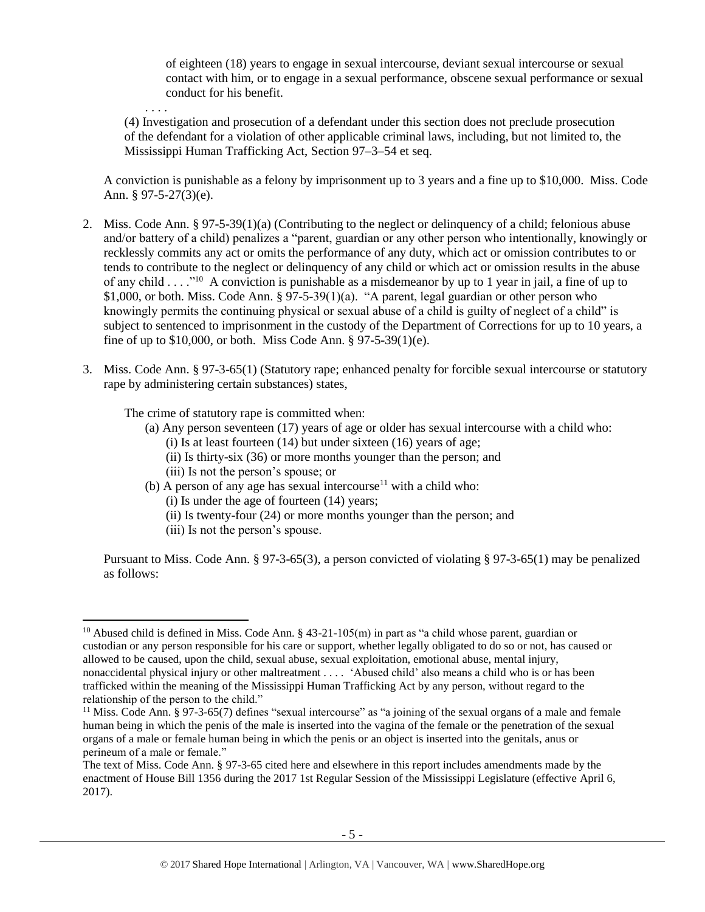of eighteen (18) years to engage in sexual intercourse, deviant sexual intercourse or sexual contact with him, or to engage in a sexual performance, obscene sexual performance or sexual conduct for his benefit.

. . . . (4) Investigation and prosecution of a defendant under this section does not preclude prosecution of the defendant for a violation of other applicable criminal laws, including, but not limited to, the Mississippi Human Trafficking Act, Section 97–3–54 et seq.

A conviction is punishable as a felony by imprisonment up to 3 years and a fine up to \$10,000. Miss. Code Ann. § 97-5-27(3)(e).

- 2. Miss. Code Ann. § 97-5-39(1)(a) (Contributing to the neglect or delinquency of a child; felonious abuse and/or battery of a child) penalizes a "parent, guardian or any other person who intentionally, knowingly or recklessly commits any act or omits the performance of any duty, which act or omission contributes to or tends to contribute to the neglect or delinquency of any child or which act or omission results in the abuse of any child . . . .<sup>no</sup> A conviction is punishable as a misdemeanor by up to 1 year in jail, a fine of up to \$1,000, or both. Miss. Code Ann. § 97-5-39(1)(a). "A parent, legal guardian or other person who knowingly permits the continuing physical or sexual abuse of a child is guilty of neglect of a child" is subject to sentenced to imprisonment in the custody of the Department of Corrections for up to 10 years, a fine of up to \$10,000, or both. Miss Code Ann. § 97-5-39(1)(e).
- 3. Miss. Code Ann. § 97-3-65(1) (Statutory rape; enhanced penalty for forcible sexual intercourse or statutory rape by administering certain substances) states,

The crime of statutory rape is committed when:

- (a) Any person seventeen (17) years of age or older has sexual intercourse with a child who:  $(i)$  Is at least fourteen  $(14)$  but under sixteen  $(16)$  years of age;
	- (ii) Is thirty-six (36) or more months younger than the person; and
	- (iii) Is not the person's spouse; or
- (b) A person of any age has sexual intercourse<sup>11</sup> with a child who: (i) Is under the age of fourteen (14) years;
	- (ii) Is twenty-four (24) or more months younger than the person; and
	- (iii) Is not the person's spouse.

l

Pursuant to Miss. Code Ann. § 97-3-65(3), a person convicted of violating § 97-3-65(1) may be penalized as follows:

<sup>&</sup>lt;sup>10</sup> Abused child is defined in Miss. Code Ann. § 43-21-105(m) in part as "a child whose parent, guardian or custodian or any person responsible for his care or support, whether legally obligated to do so or not, has caused or allowed to be caused, upon the child, sexual abuse, sexual exploitation, emotional abuse, mental injury, nonaccidental physical injury or other maltreatment . . . . 'Abused child' also means a child who is or has been trafficked within the meaning of the Mississippi Human Trafficking Act by any person, without regard to the relationship of the person to the child."

<sup>&</sup>lt;sup>11</sup> Miss. Code Ann. § 97-3-65(7) defines "sexual intercourse" as "a joining of the sexual organs of a male and female human being in which the penis of the male is inserted into the vagina of the female or the penetration of the sexual organs of a male or female human being in which the penis or an object is inserted into the genitals, anus or perineum of a male or female."

The text of Miss. Code Ann. § 97-3-65 cited here and elsewhere in this report includes amendments made by the enactment of House Bill 1356 during the 2017 1st Regular Session of the Mississippi Legislature (effective April 6, 2017).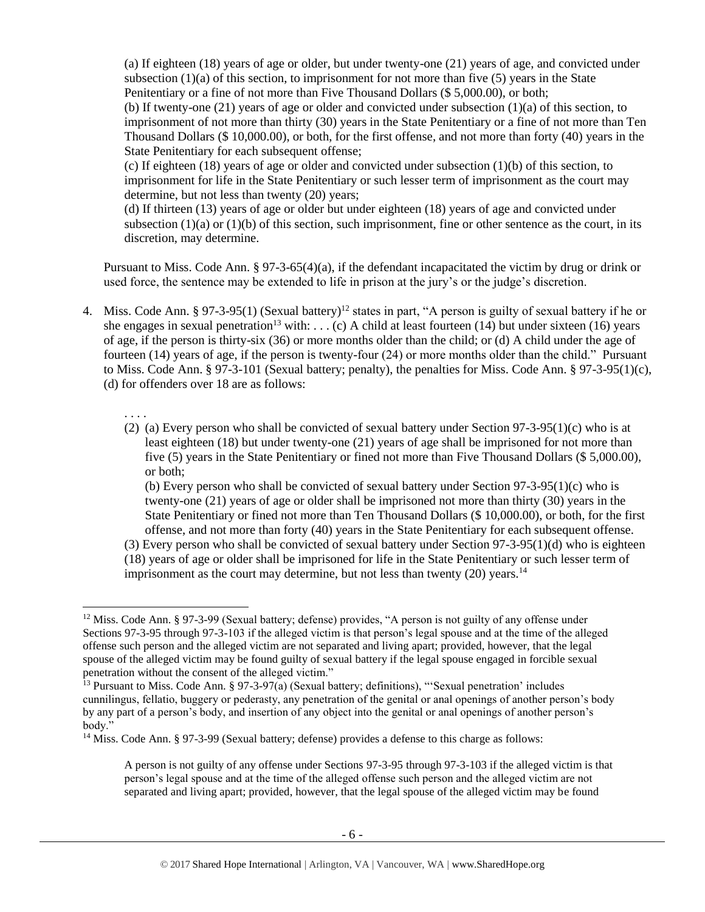(a) If eighteen (18) years of age or older, but under twenty-one (21) years of age, and convicted under subsection  $(1)(a)$  of this section, to imprisonment for not more than five (5) years in the State Penitentiary or a fine of not more than Five Thousand Dollars (\$ 5,000.00), or both;

(b) If twenty-one (21) years of age or older and convicted under subsection (1)(a) of this section, to imprisonment of not more than thirty (30) years in the State Penitentiary or a fine of not more than Ten Thousand Dollars (\$ 10,000.00), or both, for the first offense, and not more than forty (40) years in the State Penitentiary for each subsequent offense;

(c) If eighteen (18) years of age or older and convicted under subsection (1)(b) of this section, to imprisonment for life in the State Penitentiary or such lesser term of imprisonment as the court may determine, but not less than twenty (20) years;

(d) If thirteen (13) years of age or older but under eighteen (18) years of age and convicted under subsection  $(1)(a)$  or  $(1)(b)$  of this section, such imprisonment, fine or other sentence as the court, in its discretion, may determine.

Pursuant to Miss. Code Ann. § 97-3-65(4)(a), if the defendant incapacitated the victim by drug or drink or used force, the sentence may be extended to life in prison at the jury's or the judge's discretion.

- 4. Miss. Code Ann. § 97-3-95(1) (Sexual battery)<sup>12</sup> states in part, "A person is guilty of sexual battery if he or she engages in sexual penetration<sup>13</sup> with: . . . (c) A child at least fourteen (14) but under sixteen (16) years of age, if the person is thirty-six (36) or more months older than the child; or (d) A child under the age of fourteen (14) years of age, if the person is twenty-four (24) or more months older than the child." Pursuant to Miss. Code Ann. § 97-3-101 (Sexual battery; penalty), the penalties for Miss. Code Ann. § 97-3-95(1)(c), (d) for offenders over 18 are as follows:
	- . . . .
	- (2) (a) Every person who shall be convicted of sexual battery under Section  $97-3-95(1)$ (c) who is at least eighteen (18) but under twenty-one (21) years of age shall be imprisoned for not more than five (5) years in the State Penitentiary or fined not more than Five Thousand Dollars (\$ 5,000.00), or both;

(b) Every person who shall be convicted of sexual battery under Section  $97-3-95(1)(c)$  who is twenty-one (21) years of age or older shall be imprisoned not more than thirty (30) years in the State Penitentiary or fined not more than Ten Thousand Dollars (\$ 10,000.00), or both, for the first offense, and not more than forty (40) years in the State Penitentiary for each subsequent offense.

(3) Every person who shall be convicted of sexual battery under Section 97-3-95(1)(d) who is eighteen (18) years of age or older shall be imprisoned for life in the State Penitentiary or such lesser term of imprisonment as the court may determine, but not less than twenty  $(20)$  years.<sup>14</sup>

 $\overline{a}$ <sup>12</sup> Miss. Code Ann. § 97-3-99 (Sexual battery; defense) provides, "A person is not guilty of any offense under Sections 97-3-95 through 97-3-103 if the alleged victim is that person's legal spouse and at the time of the alleged offense such person and the alleged victim are not separated and living apart; provided, however, that the legal spouse of the alleged victim may be found guilty of sexual battery if the legal spouse engaged in forcible sexual penetration without the consent of the alleged victim."

<sup>&</sup>lt;sup>13</sup> Pursuant to Miss. Code Ann. § 97-3-97(a) (Sexual battery; definitions), "Sexual penetration' includes cunnilingus, fellatio, buggery or pederasty, any penetration of the genital or anal openings of another person's body by any part of a person's body, and insertion of any object into the genital or anal openings of another person's body."

<sup>&</sup>lt;sup>14</sup> Miss. Code Ann. § 97-3-99 (Sexual battery; defense) provides a defense to this charge as follows:

A person is not guilty of any offense under Sections 97-3-95 through 97-3-103 if the alleged victim is that person's legal spouse and at the time of the alleged offense such person and the alleged victim are not separated and living apart; provided, however, that the legal spouse of the alleged victim may be found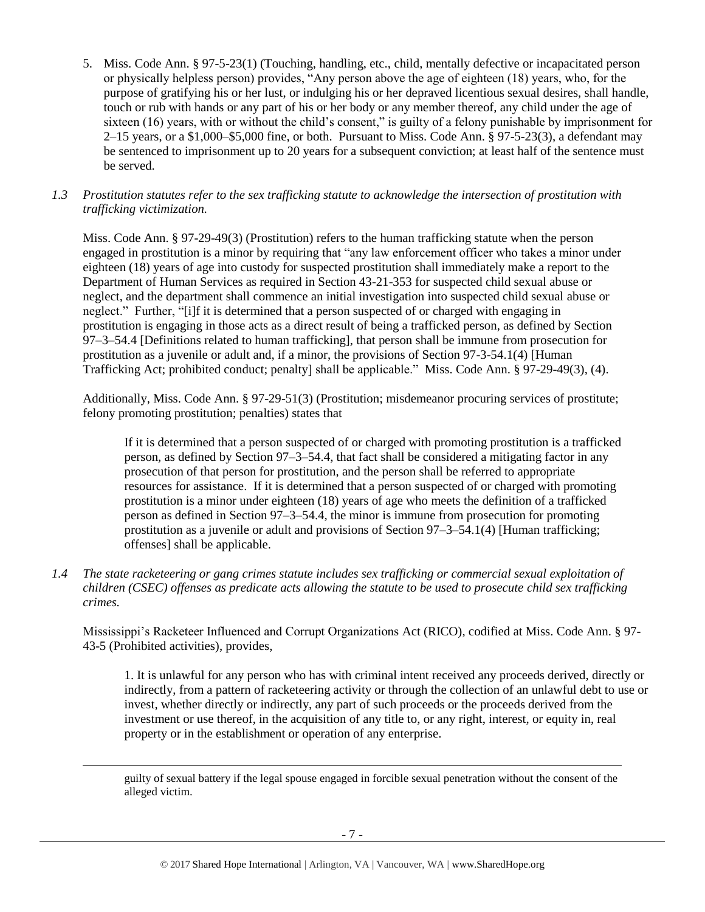- 5. Miss. Code Ann. § 97-5-23(1) (Touching, handling, etc., child, mentally defective or incapacitated person or physically helpless person) provides, "Any person above the age of eighteen (18) years, who, for the purpose of gratifying his or her lust, or indulging his or her depraved licentious sexual desires, shall handle, touch or rub with hands or any part of his or her body or any member thereof, any child under the age of sixteen (16) years, with or without the child's consent," is guilty of a felony punishable by imprisonment for 2–15 years, or a \$1,000–\$5,000 fine, or both. Pursuant to Miss. Code Ann. § 97-5-23(3), a defendant may be sentenced to imprisonment up to 20 years for a subsequent conviction; at least half of the sentence must be served.
- *1.3 Prostitution statutes refer to the sex trafficking statute to acknowledge the intersection of prostitution with trafficking victimization.*

Miss. Code Ann. § 97-29-49(3) (Prostitution) refers to the human trafficking statute when the person engaged in prostitution is a minor by requiring that "any law enforcement officer who takes a minor under eighteen (18) years of age into custody for suspected prostitution shall immediately make a report to the Department of Human Services as required in Section 43-21-353 for suspected child sexual abuse or neglect, and the department shall commence an initial investigation into suspected child sexual abuse or neglect." Further, "[i]f it is determined that a person suspected of or charged with engaging in prostitution is engaging in those acts as a direct result of being a trafficked person, as defined by Section 97–3–54.4 [Definitions related to human trafficking], that person shall be immune from prosecution for prostitution as a juvenile or adult and, if a minor, the provisions of Section 97-3-54.1(4) [Human Trafficking Act; prohibited conduct; penalty] shall be applicable." Miss. Code Ann. § 97-29-49(3), (4).

Additionally, Miss. Code Ann. § 97-29-51(3) (Prostitution; misdemeanor procuring services of prostitute; felony promoting prostitution; penalties) states that

If it is determined that a person suspected of or charged with promoting prostitution is a trafficked person, as defined by Section 97–3–54.4, that fact shall be considered a mitigating factor in any prosecution of that person for prostitution, and the person shall be referred to appropriate resources for assistance. If it is determined that a person suspected of or charged with promoting prostitution is a minor under eighteen (18) years of age who meets the definition of a trafficked person as defined in Section 97–3–54.4, the minor is immune from prosecution for promoting prostitution as a juvenile or adult and provisions of Section 97–3–54.1(4) [Human trafficking; offenses] shall be applicable.

*1.4 The state racketeering or gang crimes statute includes sex trafficking or commercial sexual exploitation of children (CSEC) offenses as predicate acts allowing the statute to be used to prosecute child sex trafficking crimes.* 

Mississippi's Racketeer Influenced and Corrupt Organizations Act (RICO), codified at Miss. Code Ann. § 97- 43-5 (Prohibited activities), provides,

1. It is unlawful for any person who has with criminal intent received any proceeds derived, directly or indirectly, from a pattern of racketeering activity or through the collection of an unlawful debt to use or invest, whether directly or indirectly, any part of such proceeds or the proceeds derived from the investment or use thereof, in the acquisition of any title to, or any right, interest, or equity in, real property or in the establishment or operation of any enterprise.

guilty of sexual battery if the legal spouse engaged in forcible sexual penetration without the consent of the alleged victim.

 $\overline{\phantom{a}}$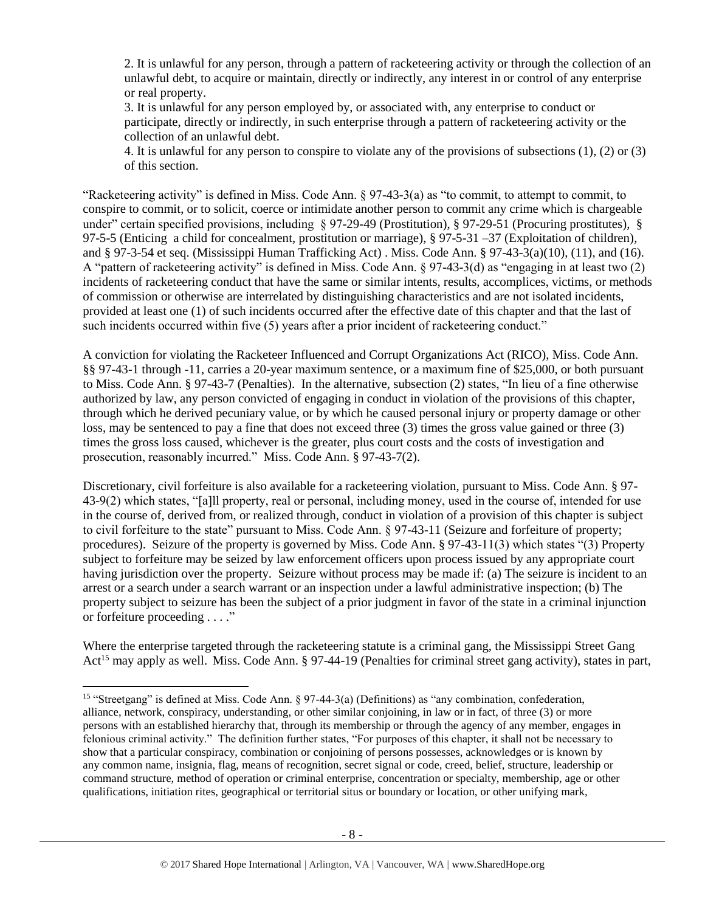2. It is unlawful for any person, through a pattern of racketeering activity or through the collection of an unlawful debt, to acquire or maintain, directly or indirectly, any interest in or control of any enterprise or real property.

3. It is unlawful for any person employed by, or associated with, any enterprise to conduct or participate, directly or indirectly, in such enterprise through a pattern of racketeering activity or the collection of an unlawful debt.

4. It is unlawful for any person to conspire to violate any of the provisions of subsections (1), (2) or (3) of this section.

"Racketeering activity" is defined in Miss. Code Ann. § 97-43-3(a) as "to commit, to attempt to commit, to conspire to commit, or to solicit, coerce or intimidate another person to commit any crime which is chargeable under" certain specified provisions, including § 97-29-49 (Prostitution), § 97-29-51 (Procuring prostitutes), § 97-5-5 (Enticing a child for concealment, prostitution or marriage), § 97-5-31 –37 (Exploitation of children), and § 97-3-54 et seq. (Mississippi Human Trafficking Act) . Miss. Code Ann. § 97-43-3(a)(10), (11), and (16). A "pattern of racketeering activity" is defined in Miss. Code Ann. § 97-43-3(d) as "engaging in at least two (2) incidents of racketeering conduct that have the same or similar intents, results, accomplices, victims, or methods of commission or otherwise are interrelated by distinguishing characteristics and are not isolated incidents, provided at least one (1) of such incidents occurred after the effective date of this chapter and that the last of such incidents occurred within five (5) years after a prior incident of racketeering conduct."

A conviction for violating the Racketeer Influenced and Corrupt Organizations Act (RICO), Miss. Code Ann. §§ 97-43-1 through -11, carries a 20-year maximum sentence, or a maximum fine of \$25,000, or both pursuant to Miss. Code Ann. § 97-43-7 (Penalties). In the alternative, subsection (2) states, "In lieu of a fine otherwise authorized by law, any person convicted of engaging in conduct in violation of the provisions of this chapter, through which he derived pecuniary value, or by which he caused personal injury or property damage or other loss, may be sentenced to pay a fine that does not exceed three (3) times the gross value gained or three (3) times the gross loss caused, whichever is the greater, plus court costs and the costs of investigation and prosecution, reasonably incurred." Miss. Code Ann. § 97-43-7(2).

Discretionary, civil forfeiture is also available for a racketeering violation, pursuant to Miss. Code Ann. § 97- 43-9(2) which states, "[a]ll property, real or personal, including money, used in the course of, intended for use in the course of, derived from, or realized through, conduct in violation of a provision of this chapter is subject to civil forfeiture to the state" pursuant to Miss. Code Ann. § 97-43-11 (Seizure and forfeiture of property; procedures). Seizure of the property is governed by Miss. Code Ann. § 97-43-11(3) which states "(3) Property subject to forfeiture may be seized by law enforcement officers upon process issued by any appropriate court having jurisdiction over the property. Seizure without process may be made if: (a) The seizure is incident to an arrest or a search under a search warrant or an inspection under a lawful administrative inspection; (b) The property subject to seizure has been the subject of a prior judgment in favor of the state in a criminal injunction or forfeiture proceeding . . . ."

Where the enterprise targeted through the racketeering statute is a criminal gang, the Mississippi Street Gang Act<sup>15</sup> may apply as well. Miss. Code Ann. § 97-44-19 (Penalties for criminal street gang activity), states in part,

 $\overline{\phantom{a}}$ 

<sup>15</sup> "Streetgang" is defined at Miss. Code Ann. § 97-44-3(a) (Definitions) as "any combination, confederation, alliance, network, conspiracy, understanding, or other similar conjoining, in law or in fact, of three (3) or more persons with an established hierarchy that, through its membership or through the agency of any member, engages in felonious criminal activity." The definition further states, "For purposes of this chapter, it shall not be necessary to show that a particular conspiracy, combination or conjoining of persons possesses, acknowledges or is known by any common name, insignia, flag, means of recognition, secret signal or code, creed, belief, structure, leadership or command structure, method of operation or criminal enterprise, concentration or specialty, membership, age or other qualifications, initiation rites, geographical or territorial situs or boundary or location, or other unifying mark,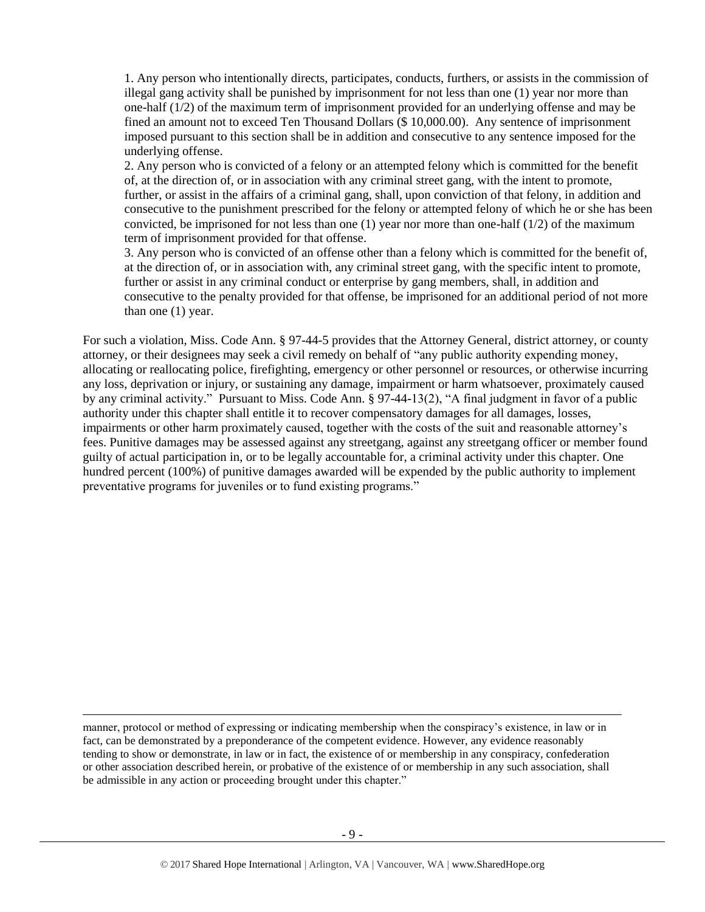1. Any person who intentionally directs, participates, conducts, furthers, or assists in the commission of illegal gang activity shall be punished by imprisonment for not less than one (1) year nor more than one-half (1/2) of the maximum term of imprisonment provided for an underlying offense and may be fined an amount not to exceed Ten Thousand Dollars (\$ 10,000.00). Any sentence of imprisonment imposed pursuant to this section shall be in addition and consecutive to any sentence imposed for the underlying offense.

2. Any person who is convicted of a felony or an attempted felony which is committed for the benefit of, at the direction of, or in association with any criminal street gang, with the intent to promote, further, or assist in the affairs of a criminal gang, shall, upon conviction of that felony, in addition and consecutive to the punishment prescribed for the felony or attempted felony of which he or she has been convicted, be imprisoned for not less than one  $(1)$  year nor more than one-half  $(1/2)$  of the maximum term of imprisonment provided for that offense.

3. Any person who is convicted of an offense other than a felony which is committed for the benefit of, at the direction of, or in association with, any criminal street gang, with the specific intent to promote, further or assist in any criminal conduct or enterprise by gang members, shall, in addition and consecutive to the penalty provided for that offense, be imprisoned for an additional period of not more than one (1) year.

For such a violation, Miss. Code Ann. § 97-44-5 provides that the Attorney General, district attorney, or county attorney, or their designees may seek a civil remedy on behalf of "any public authority expending money, allocating or reallocating police, firefighting, emergency or other personnel or resources, or otherwise incurring any loss, deprivation or injury, or sustaining any damage, impairment or harm whatsoever, proximately caused by any criminal activity." Pursuant to Miss. Code Ann. § 97-44-13(2), "A final judgment in favor of a public authority under this chapter shall entitle it to recover compensatory damages for all damages, losses, impairments or other harm proximately caused, together with the costs of the suit and reasonable attorney's fees. Punitive damages may be assessed against any streetgang, against any streetgang officer or member found guilty of actual participation in, or to be legally accountable for, a criminal activity under this chapter. One hundred percent (100%) of punitive damages awarded will be expended by the public authority to implement preventative programs for juveniles or to fund existing programs."

manner, protocol or method of expressing or indicating membership when the conspiracy's existence, in law or in fact, can be demonstrated by a preponderance of the competent evidence. However, any evidence reasonably tending to show or demonstrate, in law or in fact, the existence of or membership in any conspiracy, confederation or other association described herein, or probative of the existence of or membership in any such association, shall be admissible in any action or proceeding brought under this chapter."

l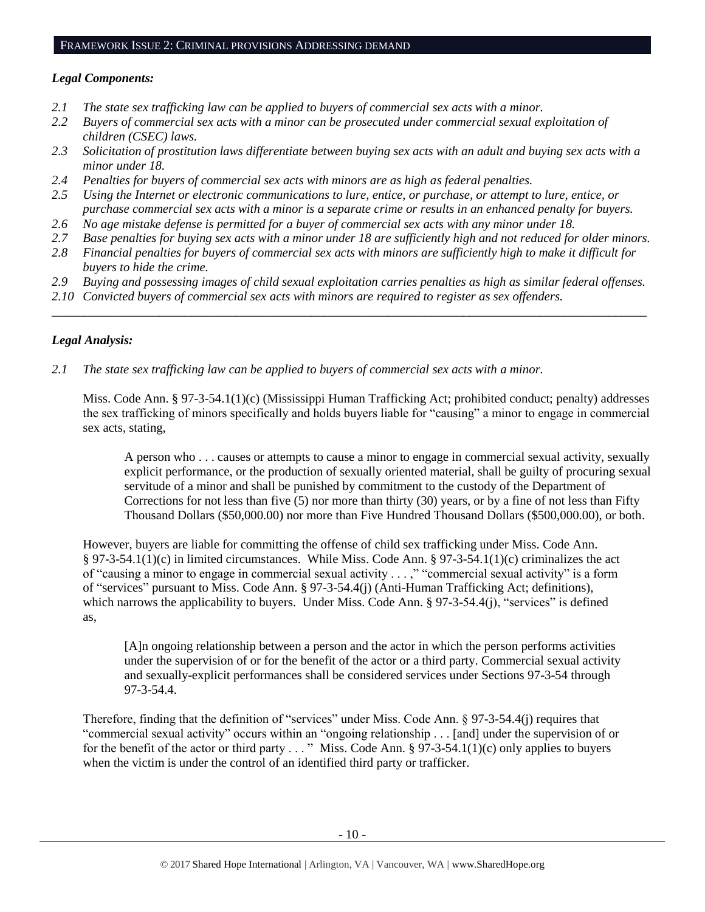#### FRAMEWORK ISSUE 2: CRIMINAL PROVISIONS ADDRESSING DEMAND

#### *Legal Components:*

- *2.1 The state sex trafficking law can be applied to buyers of commercial sex acts with a minor.*
- *2.2 Buyers of commercial sex acts with a minor can be prosecuted under commercial sexual exploitation of children (CSEC) laws.*
- *2.3 Solicitation of prostitution laws differentiate between buying sex acts with an adult and buying sex acts with a minor under 18.*
- *2.4 Penalties for buyers of commercial sex acts with minors are as high as federal penalties.*
- *2.5 Using the Internet or electronic communications to lure, entice, or purchase, or attempt to lure, entice, or purchase commercial sex acts with a minor is a separate crime or results in an enhanced penalty for buyers.*
- *2.6 No age mistake defense is permitted for a buyer of commercial sex acts with any minor under 18.*
- *2.7 Base penalties for buying sex acts with a minor under 18 are sufficiently high and not reduced for older minors.*
- *2.8 Financial penalties for buyers of commercial sex acts with minors are sufficiently high to make it difficult for buyers to hide the crime.*
- *2.9 Buying and possessing images of child sexual exploitation carries penalties as high as similar federal offenses.*

\_\_\_\_\_\_\_\_\_\_\_\_\_\_\_\_\_\_\_\_\_\_\_\_\_\_\_\_\_\_\_\_\_\_\_\_\_\_\_\_\_\_\_\_\_\_\_\_\_\_\_\_\_\_\_\_\_\_\_\_\_\_\_\_\_\_\_\_\_\_\_\_\_\_\_\_\_\_\_\_\_\_\_\_\_\_\_\_\_\_\_\_\_\_

*2.10 Convicted buyers of commercial sex acts with minors are required to register as sex offenders.*

## *Legal Analysis:*

*2.1 The state sex trafficking law can be applied to buyers of commercial sex acts with a minor.*

Miss. Code Ann. § 97-3-54.1(1)(c) (Mississippi Human Trafficking Act; prohibited conduct; penalty) addresses the sex trafficking of minors specifically and holds buyers liable for "causing" a minor to engage in commercial sex acts, stating,

A person who . . . causes or attempts to cause a minor to engage in commercial sexual activity, sexually explicit performance, or the production of sexually oriented material, shall be guilty of procuring sexual servitude of a minor and shall be punished by commitment to the custody of the Department of Corrections for not less than five (5) nor more than thirty (30) years, or by a fine of not less than Fifty Thousand Dollars (\$50,000.00) nor more than Five Hundred Thousand Dollars (\$500,000.00), or both.

However, buyers are liable for committing the offense of child sex trafficking under Miss. Code Ann. § 97-3-54.1(1)(c) in limited circumstances. While Miss. Code Ann. § 97-3-54.1(1)(c) criminalizes the act of "causing a minor to engage in commercial sexual activity . . . ," "commercial sexual activity" is a form of "services" pursuant to Miss. Code Ann. § 97-3-54.4(j) (Anti-Human Trafficking Act; definitions), which narrows the applicability to buyers. Under Miss. Code Ann. § 97-3-54.4(j), "services" is defined as,

[A]n ongoing relationship between a person and the actor in which the person performs activities under the supervision of or for the benefit of the actor or a third party. Commercial sexual activity and sexually-explicit performances shall be considered services under Sections 97-3-54 through 97-3-54.4.

Therefore, finding that the definition of "services" under Miss. Code Ann. § 97-3-54.4(j) requires that "commercial sexual activity" occurs within an "ongoing relationship . . . [and] under the supervision of or for the benefit of the actor or third party . . . " Miss. Code Ann. § 97-3-54.1(1)(c) only applies to buyers when the victim is under the control of an identified third party or trafficker.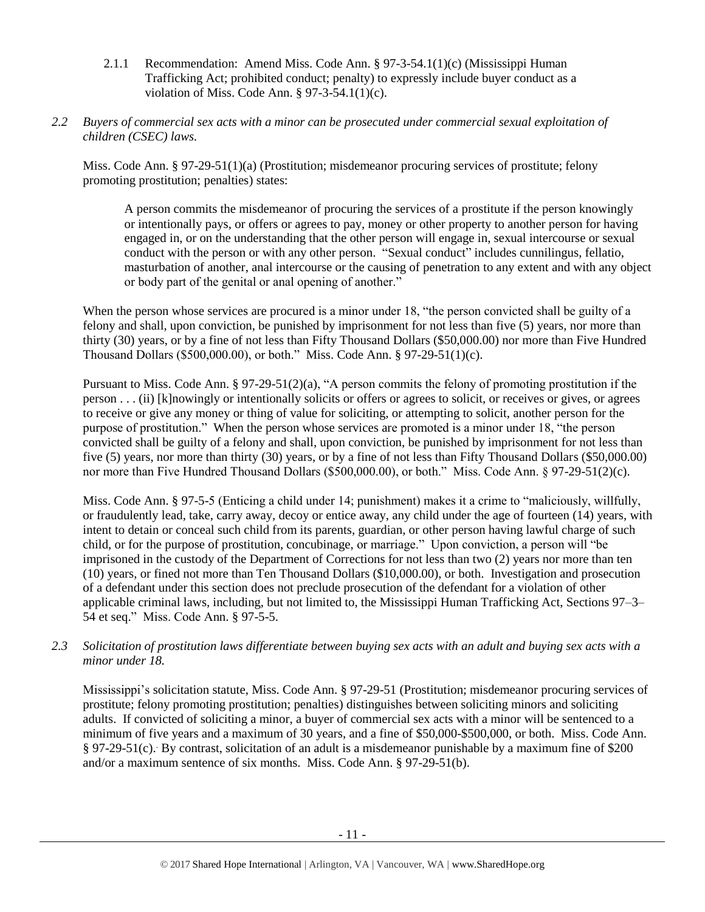- 2.1.1 Recommendation: Amend Miss. Code Ann. § 97-3-54.1(1)(c) (Mississippi Human Trafficking Act; prohibited conduct; penalty) to expressly include buyer conduct as a violation of Miss. Code Ann. § 97-3-54.1(1)(c).
- *2.2 Buyers of commercial sex acts with a minor can be prosecuted under commercial sexual exploitation of children (CSEC) laws.*

Miss. Code Ann. § 97-29-51(1)(a) (Prostitution; misdemeanor procuring services of prostitute; felony promoting prostitution; penalties) states:

A person commits the misdemeanor of procuring the services of a prostitute if the person knowingly or intentionally pays, or offers or agrees to pay, money or other property to another person for having engaged in, or on the understanding that the other person will engage in, sexual intercourse or sexual conduct with the person or with any other person. "Sexual conduct" includes cunnilingus, fellatio, masturbation of another, anal intercourse or the causing of penetration to any extent and with any object or body part of the genital or anal opening of another."

When the person whose services are procured is a minor under 18, "the person convicted shall be guilty of a felony and shall, upon conviction, be punished by imprisonment for not less than five (5) years, nor more than thirty (30) years, or by a fine of not less than Fifty Thousand Dollars (\$50,000.00) nor more than Five Hundred Thousand Dollars (\$500,000.00), or both." Miss. Code Ann. § 97-29-51(1)(c).

Pursuant to Miss. Code Ann. § 97-29-51(2)(a), "A person commits the felony of promoting prostitution if the person . . . (ii) [k]nowingly or intentionally solicits or offers or agrees to solicit, or receives or gives, or agrees to receive or give any money or thing of value for soliciting, or attempting to solicit, another person for the purpose of prostitution." When the person whose services are promoted is a minor under 18, "the person convicted shall be guilty of a felony and shall, upon conviction, be punished by imprisonment for not less than five (5) years, nor more than thirty (30) years, or by a fine of not less than Fifty Thousand Dollars (\$50,000.00) nor more than Five Hundred Thousand Dollars (\$500,000.00), or both." Miss. Code Ann. § 97-29-51(2)(c).

Miss. Code Ann. § 97-5-5 (Enticing a child under 14; punishment) makes it a crime to "maliciously, willfully, or fraudulently lead, take, carry away, decoy or entice away, any child under the age of fourteen (14) years, with intent to detain or conceal such child from its parents, guardian, or other person having lawful charge of such child, or for the purpose of prostitution, concubinage, or marriage." Upon conviction, a person will "be imprisoned in the custody of the Department of Corrections for not less than two (2) years nor more than ten (10) years, or fined not more than Ten Thousand Dollars (\$10,000.00), or both. Investigation and prosecution of a defendant under this section does not preclude prosecution of the defendant for a violation of other applicable criminal laws, including, but not limited to, the Mississippi Human Trafficking Act, Sections 97–3– 54 et seq." Miss. Code Ann. § 97-5-5.

*2.3 Solicitation of prostitution laws differentiate between buying sex acts with an adult and buying sex acts with a minor under 18.*

Mississippi's solicitation statute, Miss. Code Ann. § 97-29-51 (Prostitution; misdemeanor procuring services of prostitute; felony promoting prostitution; penalties) distinguishes between soliciting minors and soliciting adults. If convicted of soliciting a minor, a buyer of commercial sex acts with a minor will be sentenced to a minimum of five years and a maximum of 30 years, and a fine of \$50,000-\$500,000, or both. Miss. Code Ann. § 97-29-51(c). . By contrast, solicitation of an adult is a misdemeanor punishable by a maximum fine of \$200 and/or a maximum sentence of six months. Miss. Code Ann. § 97-29-51(b).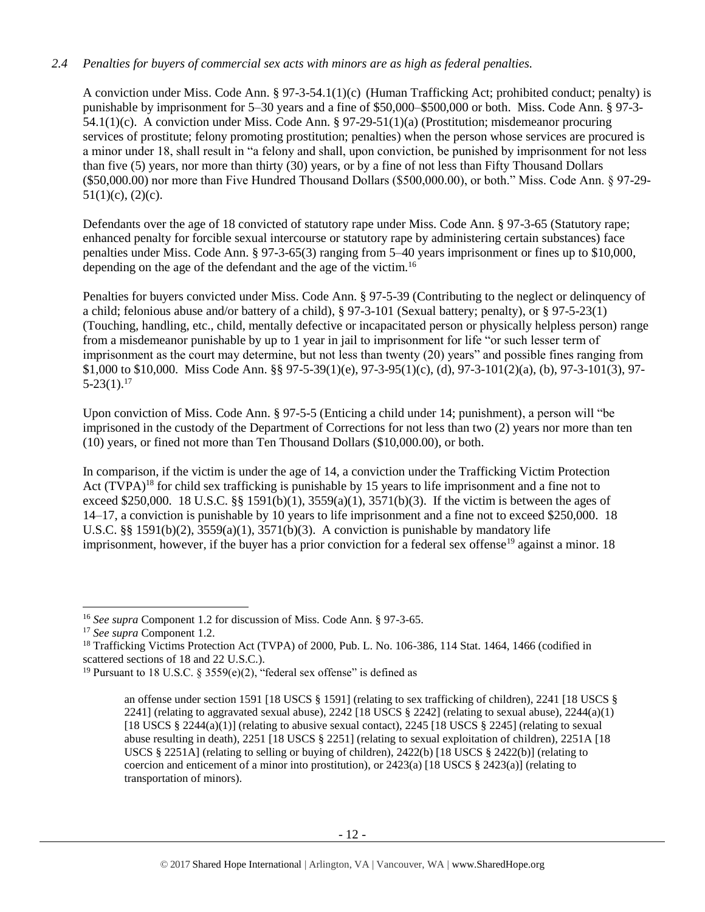## *2.4 Penalties for buyers of commercial sex acts with minors are as high as federal penalties.*

A conviction under Miss. Code Ann. § 97-3-54.1(1)(c) (Human Trafficking Act; prohibited conduct; penalty) is punishable by imprisonment for 5–30 years and a fine of \$50,000–\$500,000 or both. Miss. Code Ann. § 97-3- 54.1(1)(c). A conviction under Miss. Code Ann. § 97-29-51(1)(a) (Prostitution; misdemeanor procuring services of prostitute; felony promoting prostitution; penalties) when the person whose services are procured is a minor under 18, shall result in "a felony and shall, upon conviction, be punished by imprisonment for not less than five (5) years, nor more than thirty (30) years, or by a fine of not less than Fifty Thousand Dollars (\$50,000.00) nor more than Five Hundred Thousand Dollars (\$500,000.00), or both." Miss. Code Ann. § 97-29-  $51(1)(c)$ ,  $(2)(c)$ .

Defendants over the age of 18 convicted of statutory rape under Miss. Code Ann. § 97-3-65 (Statutory rape; enhanced penalty for forcible sexual intercourse or statutory rape by administering certain substances) face penalties under Miss. Code Ann. § 97-3-65(3) ranging from 5–40 years imprisonment or fines up to \$10,000, depending on the age of the defendant and the age of the victim.<sup>16</sup>

Penalties for buyers convicted under Miss. Code Ann. § 97-5-39 (Contributing to the neglect or delinquency of a child; felonious abuse and/or battery of a child), § 97-3-101 (Sexual battery; penalty), or § 97-5-23(1) (Touching, handling, etc., child, mentally defective or incapacitated person or physically helpless person) range from a misdemeanor punishable by up to 1 year in jail to imprisonment for life "or such lesser term of imprisonment as the court may determine, but not less than twenty (20) years" and possible fines ranging from \$1,000 to \$10,000. Miss Code Ann. §§ 97-5-39(1)(e), 97-3-95(1)(c), (d), 97-3-101(2)(a), (b), 97-3-101(3), 97-  $5-23(1).^{17}$ 

Upon conviction of Miss. Code Ann. § 97-5-5 (Enticing a child under 14; punishment), a person will "be imprisoned in the custody of the Department of Corrections for not less than two (2) years nor more than ten (10) years, or fined not more than Ten Thousand Dollars (\$10,000.00), or both.

In comparison, if the victim is under the age of 14, a conviction under the Trafficking Victim Protection Act (TVPA)<sup>18</sup> for child sex trafficking is punishable by 15 years to life imprisonment and a fine not to exceed \$250,000. 18 U.S.C. §§ 1591(b)(1), 3559(a)(1), 3571(b)(3). If the victim is between the ages of 14–17, a conviction is punishable by 10 years to life imprisonment and a fine not to exceed \$250,000. 18 U.S.C. §§ 1591(b)(2),  $3559(a)(1)$ ,  $3571(b)(3)$ . A conviction is punishable by mandatory life imprisonment, however, if the buyer has a prior conviction for a federal sex offense<sup>19</sup> against a minor. 18

 $\overline{a}$ 

<sup>16</sup> *See supra* Component 1.2 for discussion of Miss. Code Ann. § 97-3-65.

<sup>17</sup> *See supra* Component 1.2.

<sup>&</sup>lt;sup>18</sup> Trafficking Victims Protection Act (TVPA) of 2000, Pub. L. No. 106-386, 114 Stat. 1464, 1466 (codified in scattered sections of 18 and 22 U.S.C.).

<sup>&</sup>lt;sup>19</sup> Pursuant to 18 U.S.C. § 3559(e)(2), "federal sex offense" is defined as

<span id="page-11-0"></span>an offense under section 1591 [18 USCS § 1591] (relating to sex trafficking of children), 2241 [18 USCS § 2241] (relating to aggravated sexual abuse), 2242 [18 USCS  $\S$  2242] (relating to sexual abuse), 2244(a)(1) [18 USCS  $\S 2244(a)(1)$ ] (relating to abusive sexual contact), 2245 [18 USCS  $\S 2245$ ] (relating to sexual abuse resulting in death), 2251 [18 USCS § 2251] (relating to sexual exploitation of children), 2251A [18 USCS § 2251A] (relating to selling or buying of children),  $2422(b)$  [18 USCS § 2422(b)] (relating to coercion and enticement of a minor into prostitution), or  $2423(a)$  [18 USCS §  $2423(a)$ ] (relating to transportation of minors).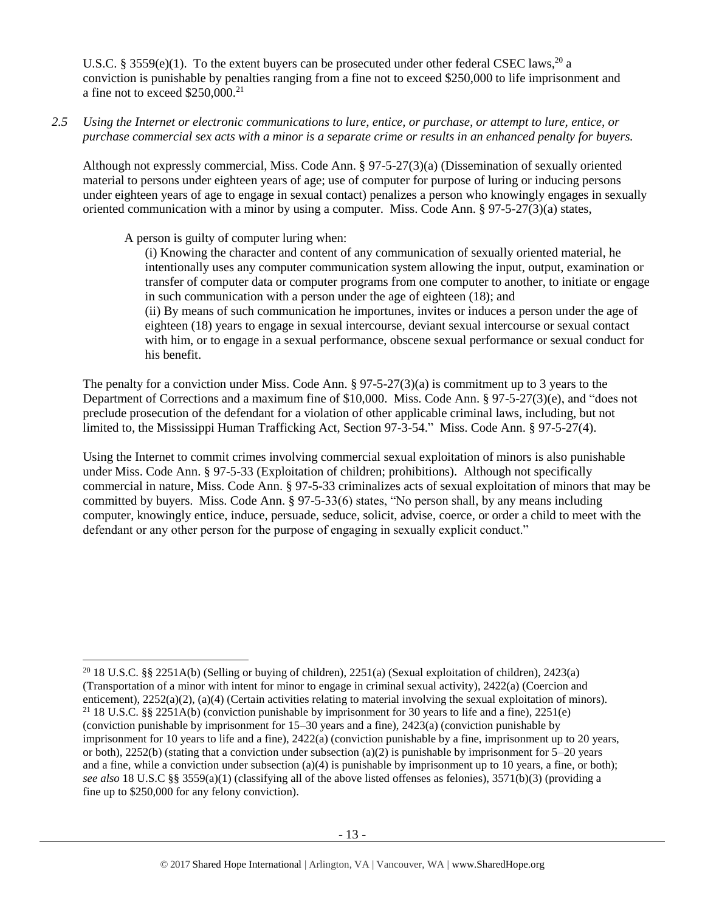U.S.C. § 3559(e)(1). To the extent buyers can be prosecuted under other federal CSEC laws,<sup>20</sup> a conviction is punishable by penalties ranging from a fine not to exceed \$250,000 to life imprisonment and a fine not to exceed \$250,000.<sup>21</sup>

*2.5 Using the Internet or electronic communications to lure, entice, or purchase, or attempt to lure, entice, or purchase commercial sex acts with a minor is a separate crime or results in an enhanced penalty for buyers.*

Although not expressly commercial, Miss. Code Ann. § 97-5-27(3)(a) (Dissemination of sexually oriented material to persons under eighteen years of age; use of computer for purpose of luring or inducing persons under eighteen years of age to engage in sexual contact) penalizes a person who knowingly engages in sexually oriented communication with a minor by using a computer. Miss. Code Ann. § 97-5-27(3)(a) states,

A person is guilty of computer luring when:

l

(i) Knowing the character and content of any communication of sexually oriented material, he intentionally uses any computer communication system allowing the input, output, examination or transfer of computer data or computer programs from one computer to another, to initiate or engage in such communication with a person under the age of eighteen (18); and (ii) By means of such communication he importunes, invites or induces a person under the age of eighteen (18) years to engage in sexual intercourse, deviant sexual intercourse or sexual contact with him, or to engage in a sexual performance, obscene sexual performance or sexual conduct for his benefit.

The penalty for a conviction under Miss. Code Ann. § 97-5-27(3)(a) is commitment up to 3 years to the Department of Corrections and a maximum fine of \$10,000. Miss. Code Ann. § 97-5-27(3)(e), and "does not preclude prosecution of the defendant for a violation of other applicable criminal laws, including, but not limited to, the Mississippi Human Trafficking Act, Section 97-3-54." Miss. Code Ann. § 97-5-27(4).

Using the Internet to commit crimes involving commercial sexual exploitation of minors is also punishable under Miss. Code Ann. § 97-5-33 (Exploitation of children; prohibitions). Although not specifically commercial in nature, Miss. Code Ann. § 97-5-33 criminalizes acts of sexual exploitation of minors that may be committed by buyers. Miss. Code Ann. § 97-5-33(6) states, "No person shall, by any means including computer, knowingly entice, induce, persuade, seduce, solicit, advise, coerce, or order a child to meet with the defendant or any other person for the purpose of engaging in sexually explicit conduct."

<sup>&</sup>lt;sup>20</sup> 18 U.S.C. §§ 2251A(b) (Selling or buying of children), 2251(a) (Sexual exploitation of children), 2423(a) (Transportation of a minor with intent for minor to engage in criminal sexual activity), 2422(a) (Coercion and enticement), 2252(a)(2), (a)(4) (Certain activities relating to material involving the sexual exploitation of minors). <sup>21</sup> 18 U.S.C. §§ 2251A(b) (conviction punishable by imprisonment for 30 years to life and a fine), 2251(e) (conviction punishable by imprisonment for 15–30 years and a fine), 2423(a) (conviction punishable by imprisonment for 10 years to life and a fine), 2422(a) (conviction punishable by a fine, imprisonment up to 20 years, or both), 2252(b) (stating that a conviction under subsection (a)(2) is punishable by imprisonment for  $5-20$  years and a fine, while a conviction under subsection (a)(4) is punishable by imprisonment up to 10 years, a fine, or both); *see also* 18 U.S.C §§ 3559(a)(1) (classifying all of the above listed offenses as felonies), 3571(b)(3) (providing a fine up to \$250,000 for any felony conviction).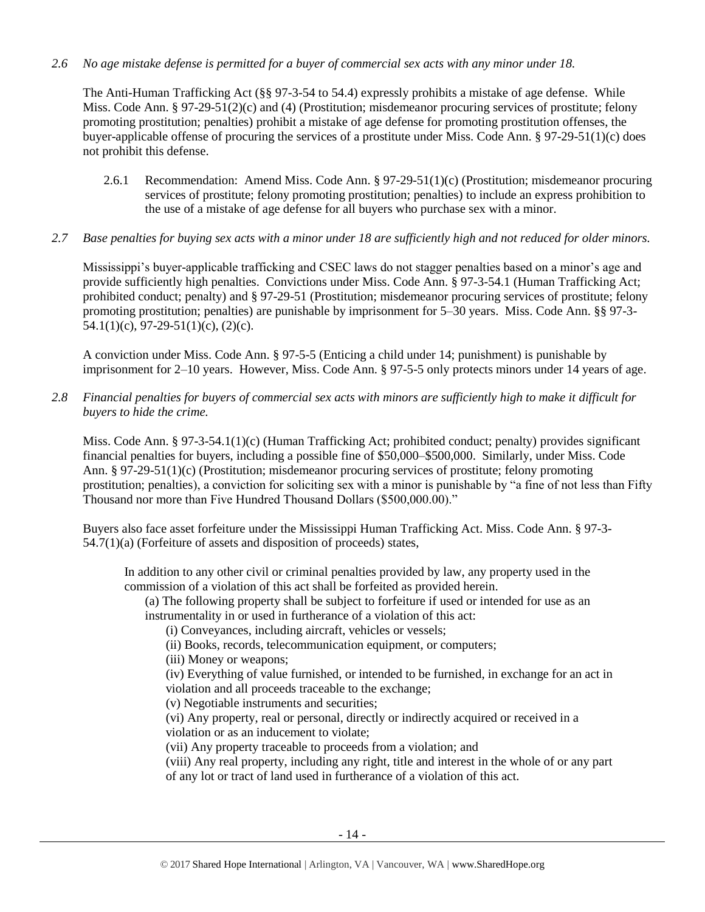## *2.6 No age mistake defense is permitted for a buyer of commercial sex acts with any minor under 18.*

The Anti-Human Trafficking Act (§§ 97-3-54 to 54.4) expressly prohibits a mistake of age defense. While Miss. Code Ann. § 97-29-51(2)(c) and (4) (Prostitution; misdemeanor procuring services of prostitute; felony promoting prostitution; penalties) prohibit a mistake of age defense for promoting prostitution offenses, the buyer-applicable offense of procuring the services of a prostitute under Miss. Code Ann. § 97-29-51(1)(c) does not prohibit this defense.

- 2.6.1 Recommendation: Amend Miss. Code Ann. § 97-29-51(1)(c) (Prostitution; misdemeanor procuring services of prostitute; felony promoting prostitution; penalties) to include an express prohibition to the use of a mistake of age defense for all buyers who purchase sex with a minor.
- *2.7 Base penalties for buying sex acts with a minor under 18 are sufficiently high and not reduced for older minors.*

Mississippi's buyer-applicable trafficking and CSEC laws do not stagger penalties based on a minor's age and provide sufficiently high penalties. Convictions under Miss. Code Ann. § 97-3-54.1 (Human Trafficking Act; prohibited conduct; penalty) and § 97-29-51 (Prostitution; misdemeanor procuring services of prostitute; felony promoting prostitution; penalties) are punishable by imprisonment for 5–30 years. Miss. Code Ann. §§ 97-3- 54.1(1)(c), 97-29-51(1)(c), (2)(c).

A conviction under Miss. Code Ann. § 97-5-5 (Enticing a child under 14; punishment) is punishable by imprisonment for 2–10 years. However, Miss. Code Ann. § 97-5-5 only protects minors under 14 years of age.

*2.8 Financial penalties for buyers of commercial sex acts with minors are sufficiently high to make it difficult for buyers to hide the crime.*

Miss. Code Ann. § 97-3-54.1(1)(c) (Human Trafficking Act; prohibited conduct; penalty) provides significant financial penalties for buyers, including a possible fine of \$50,000–\$500,000. Similarly, under Miss. Code Ann. § 97-29-51(1)(c) (Prostitution; misdemeanor procuring services of prostitute; felony promoting prostitution; penalties), a conviction for soliciting sex with a minor is punishable by "a fine of not less than Fifty Thousand nor more than Five Hundred Thousand Dollars (\$500,000.00)."

Buyers also face asset forfeiture under the Mississippi Human Trafficking Act. Miss. Code Ann. § 97-3- 54.7(1)(a) (Forfeiture of assets and disposition of proceeds) states,

In addition to any other civil or criminal penalties provided by law, any property used in the commission of a violation of this act shall be forfeited as provided herein.

(a) The following property shall be subject to forfeiture if used or intended for use as an instrumentality in or used in furtherance of a violation of this act:

(i) Conveyances, including aircraft, vehicles or vessels;

(ii) Books, records, telecommunication equipment, or computers;

(iii) Money or weapons;

(iv) Everything of value furnished, or intended to be furnished, in exchange for an act in violation and all proceeds traceable to the exchange;

(v) Negotiable instruments and securities;

(vi) Any property, real or personal, directly or indirectly acquired or received in a violation or as an inducement to violate;

(vii) Any property traceable to proceeds from a violation; and

(viii) Any real property, including any right, title and interest in the whole of or any part of any lot or tract of land used in furtherance of a violation of this act.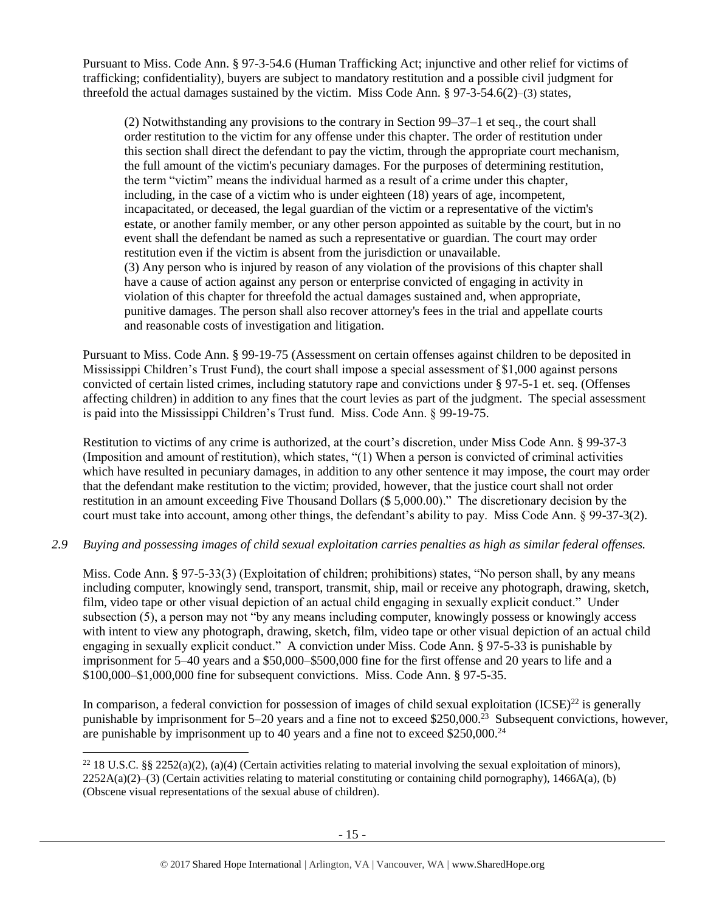Pursuant to Miss. Code Ann. § 97-3-54.6 (Human Trafficking Act; injunctive and other relief for victims of trafficking; confidentiality), buyers are subject to mandatory restitution and a possible civil judgment for threefold the actual damages sustained by the victim. Miss Code Ann. § 97-3-54.6(2)–(3) states,

(2) Notwithstanding any provisions to the contrary in Section 99–37–1 et seq., the court shall order restitution to the victim for any offense under this chapter. The order of restitution under this section shall direct the defendant to pay the victim, through the appropriate court mechanism, the full amount of the victim's pecuniary damages. For the purposes of determining restitution, the term "victim" means the individual harmed as a result of a crime under this chapter, including, in the case of a victim who is under eighteen (18) years of age, incompetent, incapacitated, or deceased, the legal guardian of the victim or a representative of the victim's estate, or another family member, or any other person appointed as suitable by the court, but in no event shall the defendant be named as such a representative or guardian. The court may order restitution even if the victim is absent from the jurisdiction or unavailable. (3) Any person who is injured by reason of any violation of the provisions of this chapter shall have a cause of action against any person or enterprise convicted of engaging in activity in violation of this chapter for threefold the actual damages sustained and, when appropriate, punitive damages. The person shall also recover attorney's fees in the trial and appellate courts and reasonable costs of investigation and litigation.

Pursuant to Miss. Code Ann. § 99-19-75 (Assessment on certain offenses against children to be deposited in Mississippi Children's Trust Fund), the court shall impose a special assessment of \$1,000 against persons convicted of certain listed crimes, including statutory rape and convictions under § 97-5-1 et. seq. (Offenses affecting children) in addition to any fines that the court levies as part of the judgment. The special assessment is paid into the Mississippi Children's Trust fund. Miss. Code Ann. § 99-19-75.

Restitution to victims of any crime is authorized, at the court's discretion, under Miss Code Ann. § 99-37-3 (Imposition and amount of restitution), which states, "(1) When a person is convicted of criminal activities which have resulted in pecuniary damages, in addition to any other sentence it may impose, the court may order that the defendant make restitution to the victim; provided, however, that the justice court shall not order restitution in an amount exceeding Five Thousand Dollars (\$ 5,000.00)." The discretionary decision by the court must take into account, among other things, the defendant's ability to pay. Miss Code Ann. § 99-37-3(2).

## *2.9 Buying and possessing images of child sexual exploitation carries penalties as high as similar federal offenses.*

Miss. Code Ann. § 97-5-33(3) (Exploitation of children; prohibitions) states, "No person shall, by any means including computer, knowingly send, transport, transmit, ship, mail or receive any photograph, drawing, sketch, film, video tape or other visual depiction of an actual child engaging in sexually explicit conduct." Under subsection (5), a person may not "by any means including computer, knowingly possess or knowingly access with intent to view any photograph, drawing, sketch, film, video tape or other visual depiction of an actual child engaging in sexually explicit conduct." A conviction under Miss. Code Ann. § 97-5-33 is punishable by imprisonment for 5–40 years and a \$50,000–\$500,000 fine for the first offense and 20 years to life and a \$100,000–\$1,000,000 fine for subsequent convictions. Miss. Code Ann. § 97-5-35.

In comparison, a federal conviction for possession of images of child sexual exploitation  $(ICSE)^{22}$  is generally punishable by imprisonment for 5–20 years and a fine not to exceed \$250,000.<sup>23</sup> Subsequent convictions, however, are punishable by imprisonment up to 40 years and a fine not to exceed  $$250,000.<sup>24</sup>$ 

l

<sup>&</sup>lt;sup>22</sup> 18 U.S.C. §§ 2252(a)(2), (a)(4) (Certain activities relating to material involving the sexual exploitation of minors),  $2252A(a)(2)$ –(3) (Certain activities relating to material constituting or containing child pornography), 1466A(a), (b) (Obscene visual representations of the sexual abuse of children).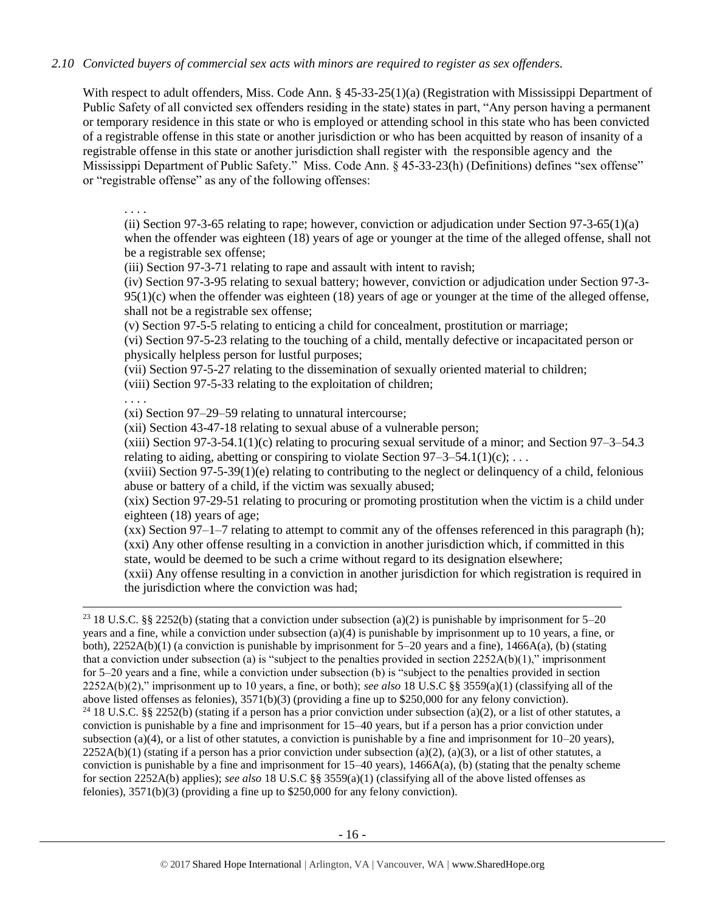## *2.10 Convicted buyers of commercial sex acts with minors are required to register as sex offenders.*

With respect to adult offenders, Miss. Code Ann. § 45-33-25(1)(a) (Registration with Mississippi Department of Public Safety of all convicted sex offenders residing in the state) states in part, "Any person having a permanent or temporary residence in this state or who is employed or attending school in this state who has been convicted of a registrable offense in this state or another jurisdiction or who has been acquitted by reason of insanity of a registrable offense in this state or another jurisdiction shall register with the responsible agency and the Mississippi Department of Public Safety." Miss. Code Ann. § 45-33-23(h) (Definitions) defines "sex offense" or "registrable offense" as any of the following offenses:

. . . .

(ii) Section 97-3-65 relating to rape; however, conviction or adjudication under Section 97-3-65(1)(a) when the offender was eighteen (18) years of age or younger at the time of the alleged offense, shall not be a registrable sex offense;

(iii) Section 97-3-71 relating to rape and assault with intent to ravish;

(iv) Section 97-3-95 relating to sexual battery; however, conviction or adjudication under Section 97-3-  $95(1)(c)$  when the offender was eighteen (18) years of age or younger at the time of the alleged offense, shall not be a registrable sex offense;

(v) Section 97-5-5 relating to enticing a child for concealment, prostitution or marriage;

(vi) Section 97-5-23 relating to the touching of a child, mentally defective or incapacitated person or physically helpless person for lustful purposes;

(vii) Section 97-5-27 relating to the dissemination of sexually oriented material to children;

(viii) Section 97-5-33 relating to the exploitation of children;

. . . .

 $\overline{a}$ 

(xi) Section 97–29–59 relating to unnatural intercourse;

(xii) Section 43-47-18 relating to sexual abuse of a vulnerable person;

 $(xiii)$  Section 97-3-54.1(1)(c) relating to procuring sexual servitude of a minor; and Section 97-3-54.3 relating to aiding, abetting or conspiring to violate Section  $97-3-54.1(1)(c)$ ; ...

 $(xviii)$  Section 97-5-39(1)(e) relating to contributing to the neglect or delinquency of a child, felonious abuse or battery of a child, if the victim was sexually abused;

(xix) Section 97-29-51 relating to procuring or promoting prostitution when the victim is a child under eighteen (18) years of age;

(xx) Section 97–1–7 relating to attempt to commit any of the offenses referenced in this paragraph (h); (xxi) Any other offense resulting in a conviction in another jurisdiction which, if committed in this state, would be deemed to be such a crime without regard to its designation elsewhere;

(xxii) Any offense resulting in a conviction in another jurisdiction for which registration is required in the jurisdiction where the conviction was had;

<sup>23</sup> 18 U.S.C. §§ 2252(b) (stating that a conviction under subsection (a)(2) is punishable by imprisonment for 5–20 years and a fine, while a conviction under subsection (a)(4) is punishable by imprisonment up to 10 years, a fine, or both), 2252A(b)(1) (a conviction is punishable by imprisonment for 5–20 years and a fine), 1466A(a), (b) (stating that a conviction under subsection (a) is "subject to the penalties provided in section  $2252A(b)(1)$ ," imprisonment for 5–20 years and a fine, while a conviction under subsection (b) is "subject to the penalties provided in section 2252A(b)(2)," imprisonment up to 10 years, a fine, or both); *see also* 18 U.S.C §§ 3559(a)(1) (classifying all of the above listed offenses as felonies), 3571(b)(3) (providing a fine up to \$250,000 for any felony conviction). <sup>24</sup> 18 U.S.C. §§ 2252(b) (stating if a person has a prior conviction under subsection (a)(2), or a list of other statutes, a conviction is punishable by a fine and imprisonment for 15–40 years, but if a person has a prior conviction under subsection (a)(4), or a list of other statutes, a conviction is punishable by a fine and imprisonment for  $10-20$  years),  $2252A(b)(1)$  (stating if a person has a prior conviction under subsection (a)(2), (a)(3), or a list of other statutes, a conviction is punishable by a fine and imprisonment for  $15-40$  years),  $1466A(a)$ , (b) (stating that the penalty scheme for section 2252A(b) applies); *see also* 18 U.S.C §§ 3559(a)(1) (classifying all of the above listed offenses as felonies),  $3571(b)(3)$  (providing a fine up to \$250,000 for any felony conviction).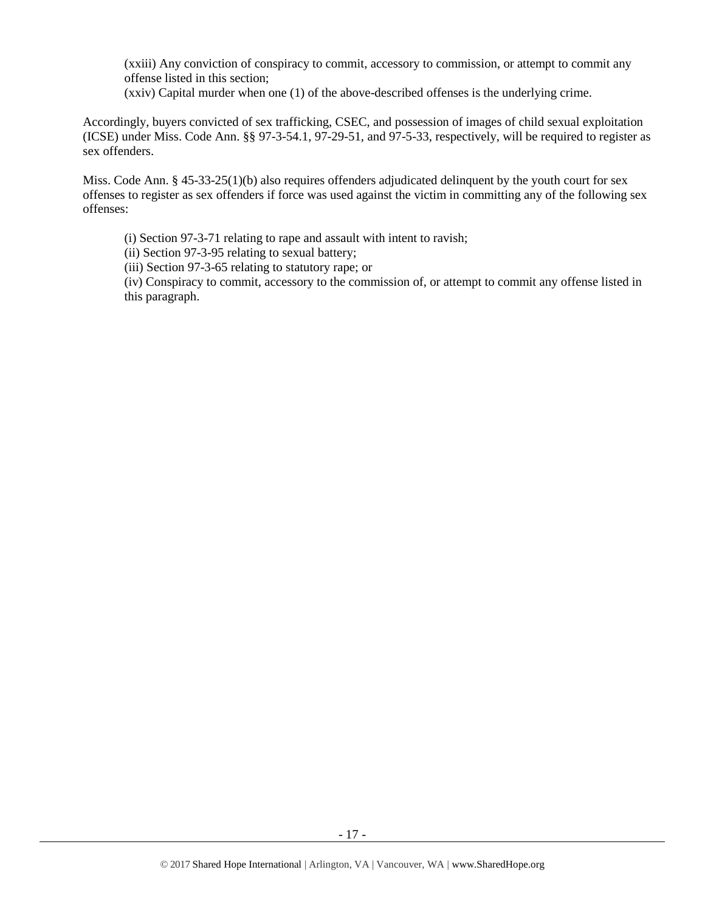(xxiii) Any conviction of conspiracy to commit, accessory to commission, or attempt to commit any offense listed in this section;

(xxiv) Capital murder when one (1) of the above-described offenses is the underlying crime.

Accordingly, buyers convicted of sex trafficking, CSEC, and possession of images of child sexual exploitation (ICSE) under Miss. Code Ann. §§ 97-3-54.1, 97-29-51, and 97-5-33, respectively, will be required to register as sex offenders.

Miss. Code Ann. § 45-33-25(1)(b) also requires offenders adjudicated delinquent by the youth court for sex offenses to register as sex offenders if force was used against the victim in committing any of the following sex offenses:

(i) Section 97-3-71 relating to rape and assault with intent to ravish;

(ii) Section 97-3-95 relating to sexual battery;

(iii) Section 97-3-65 relating to statutory rape; or

(iv) Conspiracy to commit, accessory to the commission of, or attempt to commit any offense listed in this paragraph.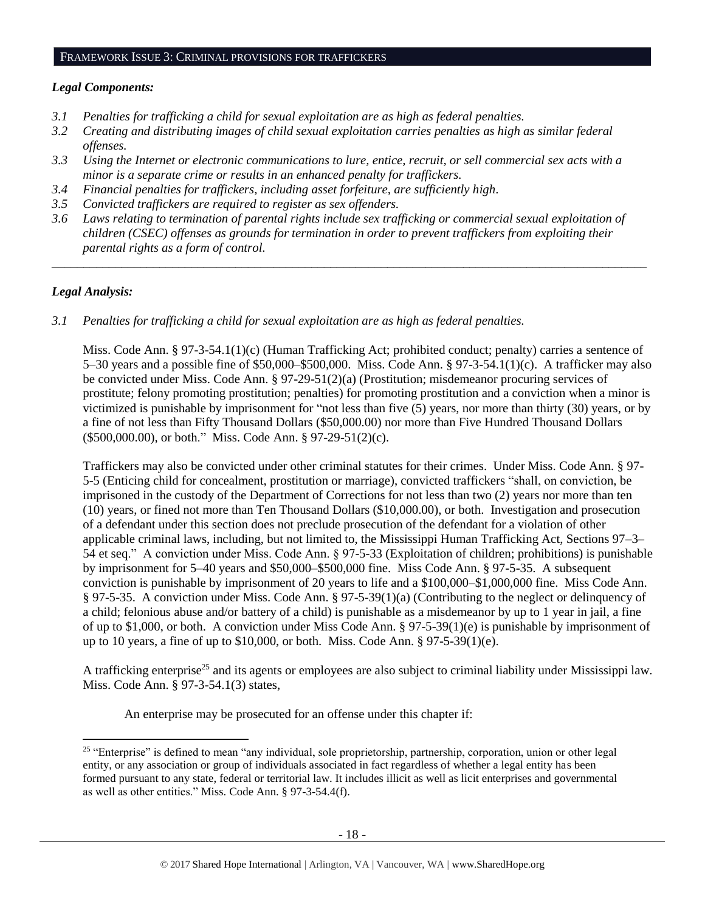#### FRAMEWORK ISSUE 3: CRIMINAL PROVISIONS FOR TRAFFICKERS

#### *Legal Components:*

- *3.1 Penalties for trafficking a child for sexual exploitation are as high as federal penalties.*
- *3.2 Creating and distributing images of child sexual exploitation carries penalties as high as similar federal offenses.*
- *3.3 Using the Internet or electronic communications to lure, entice, recruit, or sell commercial sex acts with a minor is a separate crime or results in an enhanced penalty for traffickers.*
- *3.4 Financial penalties for traffickers, including asset forfeiture, are sufficiently high*.
- *3.5 Convicted traffickers are required to register as sex offenders.*
- *3.6 Laws relating to termination of parental rights include sex trafficking or commercial sexual exploitation of children (CSEC) offenses as grounds for termination in order to prevent traffickers from exploiting their parental rights as a form of control.*

*\_\_\_\_\_\_\_\_\_\_\_\_\_\_\_\_\_\_\_\_\_\_\_\_\_\_\_\_\_\_\_\_\_\_\_\_\_\_\_\_\_\_\_\_\_\_\_\_\_\_\_\_\_\_\_\_\_\_\_\_\_\_\_\_\_\_\_\_\_\_\_\_\_\_\_\_\_\_\_\_\_\_\_\_\_\_\_\_\_\_\_\_\_\_*

## *Legal Analysis:*

l

*3.1 Penalties for trafficking a child for sexual exploitation are as high as federal penalties.* 

Miss. Code Ann. § 97-3-54.1(1)(c) (Human Trafficking Act; prohibited conduct; penalty) carries a sentence of 5–30 years and a possible fine of \$50,000–\$500,000. Miss. Code Ann. § 97-3-54.1(1)(c). A trafficker may also be convicted under Miss. Code Ann. § 97-29-51(2)(a) (Prostitution; misdemeanor procuring services of prostitute; felony promoting prostitution; penalties) for promoting prostitution and a conviction when a minor is victimized is punishable by imprisonment for "not less than five (5) years, nor more than thirty (30) years, or by a fine of not less than Fifty Thousand Dollars (\$50,000.00) nor more than Five Hundred Thousand Dollars (\$500,000.00), or both." Miss. Code Ann. § 97-29-51(2)(c).

Traffickers may also be convicted under other criminal statutes for their crimes. Under Miss. Code Ann. § 97- 5-5 (Enticing child for concealment, prostitution or marriage), convicted traffickers "shall, on conviction, be imprisoned in the custody of the Department of Corrections for not less than two (2) years nor more than ten (10) years, or fined not more than Ten Thousand Dollars (\$10,000.00), or both. Investigation and prosecution of a defendant under this section does not preclude prosecution of the defendant for a violation of other applicable criminal laws, including, but not limited to, the Mississippi Human Trafficking Act, Sections 97–3– 54 et seq." A conviction under Miss. Code Ann. § 97-5-33 (Exploitation of children; prohibitions) is punishable by imprisonment for 5–40 years and \$50,000–\$500,000 fine. Miss Code Ann. § 97-5-35. A subsequent conviction is punishable by imprisonment of 20 years to life and a \$100,000–\$1,000,000 fine. Miss Code Ann. § 97-5-35. A conviction under Miss. Code Ann. § 97-5-39(1)(a) (Contributing to the neglect or delinquency of a child; felonious abuse and/or battery of a child) is punishable as a misdemeanor by up to 1 year in jail, a fine of up to \$1,000, or both. A conviction under Miss Code Ann. § 97-5-39(1)(e) is punishable by imprisonment of up to 10 years, a fine of up to \$10,000, or both. Miss. Code Ann. § 97-5-39(1)(e).

A trafficking enterprise<sup>25</sup> and its agents or employees are also subject to criminal liability under Mississippi law. Miss. Code Ann. § 97-3-54.1(3) states,

An enterprise may be prosecuted for an offense under this chapter if:

 $25$  "Enterprise" is defined to mean "any individual, sole proprietorship, partnership, corporation, union or other legal entity, or any association or group of individuals associated in fact regardless of whether a legal entity has been formed pursuant to any state, federal or territorial law. It includes illicit as well as licit enterprises and governmental as well as other entities." Miss. Code Ann. § 97-3-54.4(f).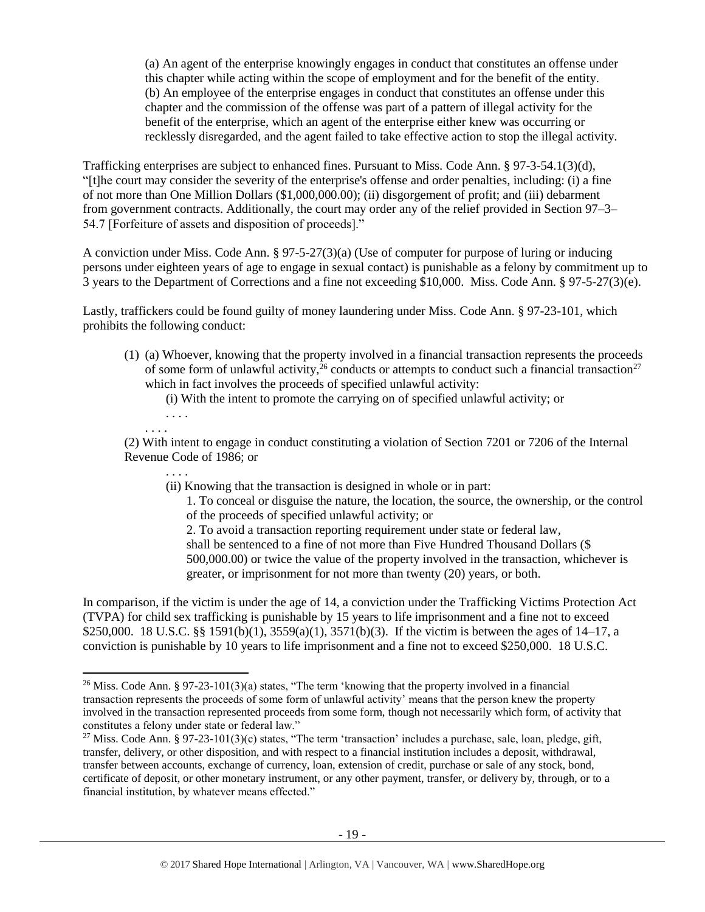(a) An agent of the enterprise knowingly engages in conduct that constitutes an offense under this chapter while acting within the scope of employment and for the benefit of the entity. (b) An employee of the enterprise engages in conduct that constitutes an offense under this chapter and the commission of the offense was part of a pattern of illegal activity for the benefit of the enterprise, which an agent of the enterprise either knew was occurring or recklessly disregarded, and the agent failed to take effective action to stop the illegal activity.

Trafficking enterprises are subject to enhanced fines. Pursuant to Miss. Code Ann. § 97-3-54.1(3)(d), "[t]he court may consider the severity of the enterprise's offense and order penalties, including: (i) a fine of not more than One Million Dollars (\$1,000,000.00); (ii) disgorgement of profit; and (iii) debarment from government contracts. Additionally, the court may order any of the relief provided in Section 97–3– 54.7 [Forfeiture of assets and disposition of proceeds]."

A conviction under Miss. Code Ann. § 97-5-27(3)(a) (Use of computer for purpose of luring or inducing persons under eighteen years of age to engage in sexual contact) is punishable as a felony by commitment up to 3 years to the Department of Corrections and a fine not exceeding \$10,000. Miss. Code Ann. § 97-5-27(3)(e).

Lastly, traffickers could be found guilty of money laundering under Miss. Code Ann. § 97-23-101, which prohibits the following conduct:

(1) (a) Whoever, knowing that the property involved in a financial transaction represents the proceeds of some form of unlawful activity,<sup> $26$ </sup> conducts or attempts to conduct such a financial transaction<sup>27</sup> which in fact involves the proceeds of specified unlawful activity:

<span id="page-18-0"></span>(i) With the intent to promote the carrying on of specified unlawful activity; or

. . . . . . . .

l

(2) With intent to engage in conduct constituting a violation of Section 7201 or 7206 of the Internal Revenue Code of 1986; or

. . . .

(ii) Knowing that the transaction is designed in whole or in part:

<span id="page-18-1"></span>1. To conceal or disguise the nature, the location, the source, the ownership, or the control of the proceeds of specified unlawful activity; or

2. To avoid a transaction reporting requirement under state or federal law, shall be sentenced to a fine of not more than Five Hundred Thousand Dollars (\$ 500,000.00) or twice the value of the property involved in the transaction, whichever is greater, or imprisonment for not more than twenty (20) years, or both.

In comparison, if the victim is under the age of 14, a conviction under the Trafficking Victims Protection Act (TVPA) for child sex trafficking is punishable by 15 years to life imprisonment and a fine not to exceed \$250,000. 18 U.S.C. §§ 1591(b)(1), 3559(a)(1), 3571(b)(3). If the victim is between the ages of 14–17, a conviction is punishable by 10 years to life imprisonment and a fine not to exceed \$250,000. 18 U.S.C.

<sup>&</sup>lt;sup>26</sup> Miss. Code Ann. § 97-23-101(3)(a) states, "The term 'knowing that the property involved in a financial transaction represents the proceeds of some form of unlawful activity' means that the person knew the property involved in the transaction represented proceeds from some form, though not necessarily which form, of activity that constitutes a felony under state or federal law."

<sup>&</sup>lt;sup>27</sup> Miss. Code Ann. § 97-23-101(3)(c) states, "The term 'transaction' includes a purchase, sale, loan, pledge, gift, transfer, delivery, or other disposition, and with respect to a financial institution includes a deposit, withdrawal, transfer between accounts, exchange of currency, loan, extension of credit, purchase or sale of any stock, bond, certificate of deposit, or other monetary instrument, or any other payment, transfer, or delivery by, through, or to a financial institution, by whatever means effected."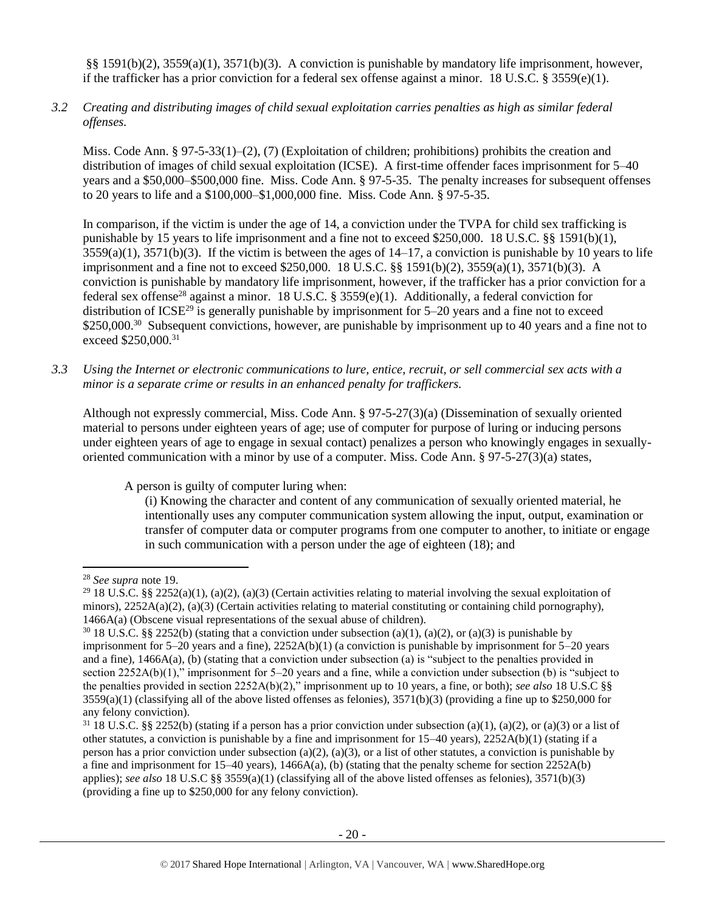§§ 1591(b)(2), 3559(a)(1), 3571(b)(3). A conviction is punishable by mandatory life imprisonment, however, if the trafficker has a prior conviction for a federal sex offense against a minor. 18 U.S.C. § 3559(e)(1).

*3.2 Creating and distributing images of child sexual exploitation carries penalties as high as similar federal offenses.*

Miss. Code Ann. § 97-5-33(1)–(2), (7) (Exploitation of children; prohibitions) prohibits the creation and distribution of images of child sexual exploitation (ICSE). A first-time offender faces imprisonment for 5–40 years and a \$50,000–\$500,000 fine. Miss. Code Ann. § 97-5-35. The penalty increases for subsequent offenses to 20 years to life and a \$100,000–\$1,000,000 fine. Miss. Code Ann. § 97-5-35.

In comparison, if the victim is under the age of 14, a conviction under the TVPA for child sex trafficking is punishable by 15 years to life imprisonment and a fine not to exceed \$250,000. 18 U.S.C. §§ 1591(b)(1), 3559(a)(1), 3571(b)(3). If the victim is between the ages of 14–17, a conviction is punishable by 10 years to life imprisonment and a fine not to exceed \$250,000. 18 U.S.C. §§ 1591(b)(2), 3559(a)(1), 3571(b)(3). A conviction is punishable by mandatory life imprisonment, however, if the trafficker has a prior conviction for a federal sex offense<sup>28</sup> against a minor. 18 U.S.C. § 3559(e)(1). Additionally, a federal conviction for distribution of ICSE<sup>29</sup> is generally punishable by imprisonment for  $5-20$  years and a fine not to exceed \$250,000.<sup>30</sup> Subsequent convictions, however, are punishable by imprisonment up to 40 years and a fine not to exceed \$250,000.<sup>31</sup>

*3.3 Using the Internet or electronic communications to lure, entice, recruit, or sell commercial sex acts with a minor is a separate crime or results in an enhanced penalty for traffickers.*

Although not expressly commercial, Miss. Code Ann. § 97-5-27(3)(a) (Dissemination of sexually oriented material to persons under eighteen years of age; use of computer for purpose of luring or inducing persons under eighteen years of age to engage in sexual contact) penalizes a person who knowingly engages in sexuallyoriented communication with a minor by use of a computer. Miss. Code Ann. § 97-5-27(3)(a) states,

A person is guilty of computer luring when:

(i) Knowing the character and content of any communication of sexually oriented material, he intentionally uses any computer communication system allowing the input, output, examination or transfer of computer data or computer programs from one computer to another, to initiate or engage in such communication with a person under the age of eighteen (18); and

 $\overline{\phantom{a}}$ 

<sup>28</sup> *See supra* note [19.](#page-11-0)

<sup>&</sup>lt;sup>29</sup> 18 U.S.C. §§ 2252(a)(1), (a)(2), (a)(3) (Certain activities relating to material involving the sexual exploitation of minors),  $2252A(a)(2)$ , (a)(3) (Certain activities relating to material constituting or containing child pornography), 1466A(a) (Obscene visual representations of the sexual abuse of children).

<sup>&</sup>lt;sup>30</sup> 18 U.S.C. §§ 2252(b) (stating that a conviction under subsection (a)(1), (a)(2), or (a)(3) is punishable by imprisonment for 5–20 years and a fine), 2252A(b)(1) (a conviction is punishable by imprisonment for 5–20 years and a fine), 1466A(a), (b) (stating that a conviction under subsection (a) is "subject to the penalties provided in section 2252A(b)(1)," imprisonment for 5–20 years and a fine, while a conviction under subsection (b) is "subject to the penalties provided in section 2252A(b)(2)," imprisonment up to 10 years, a fine, or both); *see also* 18 U.S.C §§  $3559(a)(1)$  (classifying all of the above listed offenses as felonies),  $3571(b)(3)$  (providing a fine up to \$250,000 for any felony conviction).

 $31\,18\,$  U.S.C. §§ 2252(b) (stating if a person has a prior conviction under subsection (a)(1), (a)(2), or (a)(3) or a list of other statutes, a conviction is punishable by a fine and imprisonment for 15–40 years), 2252A(b)(1) (stating if a person has a prior conviction under subsection (a)(2), (a)(3), or a list of other statutes, a conviction is punishable by a fine and imprisonment for  $15-40$  years),  $1466A(a)$ , (b) (stating that the penalty scheme for section  $2252A(b)$ applies); *see also* 18 U.S.C §§ 3559(a)(1) (classifying all of the above listed offenses as felonies), 3571(b)(3) (providing a fine up to \$250,000 for any felony conviction).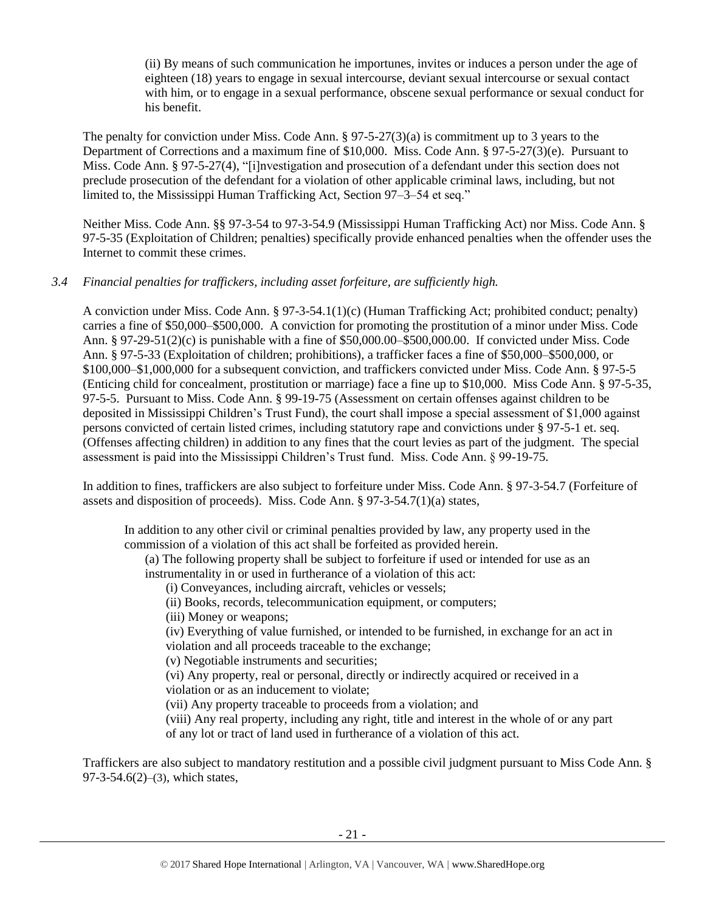(ii) By means of such communication he importunes, invites or induces a person under the age of eighteen (18) years to engage in sexual intercourse, deviant sexual intercourse or sexual contact with him, or to engage in a sexual performance, obscene sexual performance or sexual conduct for his benefit.

The penalty for conviction under Miss. Code Ann.  $\S 97-5-27(3)(a)$  is commitment up to 3 years to the Department of Corrections and a maximum fine of \$10,000. Miss. Code Ann. § 97-5-27(3)(e). Pursuant to Miss. Code Ann. § 97-5-27(4), "[i]nvestigation and prosecution of a defendant under this section does not preclude prosecution of the defendant for a violation of other applicable criminal laws, including, but not limited to, the Mississippi Human Trafficking Act, Section 97–3–54 et seq."

Neither Miss. Code Ann. §§ 97-3-54 to 97-3-54.9 (Mississippi Human Trafficking Act) nor Miss. Code Ann. § 97-5-35 (Exploitation of Children; penalties) specifically provide enhanced penalties when the offender uses the Internet to commit these crimes.

## *3.4 Financial penalties for traffickers, including asset forfeiture, are sufficiently high.*

A conviction under Miss. Code Ann. § 97-3-54.1(1)(c) (Human Trafficking Act; prohibited conduct; penalty) carries a fine of \$50,000–\$500,000. A conviction for promoting the prostitution of a minor under Miss. Code Ann. § 97-29-51(2)(c) is punishable with a fine of \$50,000.00–\$500,000.00. If convicted under Miss. Code Ann. § 97-5-33 (Exploitation of children; prohibitions), a trafficker faces a fine of \$50,000–\$500,000, or \$100,000–\$1,000,000 for a subsequent conviction, and traffickers convicted under Miss. Code Ann. § 97-5-5 (Enticing child for concealment, prostitution or marriage) face a fine up to \$10,000. Miss Code Ann. § 97-5-35, 97-5-5. Pursuant to Miss. Code Ann. § 99-19-75 (Assessment on certain offenses against children to be deposited in Mississippi Children's Trust Fund), the court shall impose a special assessment of \$1,000 against persons convicted of certain listed crimes, including statutory rape and convictions under § 97-5-1 et. seq. (Offenses affecting children) in addition to any fines that the court levies as part of the judgment. The special assessment is paid into the Mississippi Children's Trust fund. Miss. Code Ann. § 99-19-75.

In addition to fines, traffickers are also subject to forfeiture under Miss. Code Ann. § 97-3-54.7 (Forfeiture of assets and disposition of proceeds). Miss. Code Ann. § 97-3-54.7(1)(a) states,

In addition to any other civil or criminal penalties provided by law, any property used in the commission of a violation of this act shall be forfeited as provided herein.

(a) The following property shall be subject to forfeiture if used or intended for use as an instrumentality in or used in furtherance of a violation of this act:

(i) Conveyances, including aircraft, vehicles or vessels;

(ii) Books, records, telecommunication equipment, or computers;

(iii) Money or weapons;

(iv) Everything of value furnished, or intended to be furnished, in exchange for an act in violation and all proceeds traceable to the exchange;

(v) Negotiable instruments and securities;

(vi) Any property, real or personal, directly or indirectly acquired or received in a violation or as an inducement to violate;

(vii) Any property traceable to proceeds from a violation; and

(viii) Any real property, including any right, title and interest in the whole of or any part of any lot or tract of land used in furtherance of a violation of this act.

Traffickers are also subject to mandatory restitution and a possible civil judgment pursuant to Miss Code Ann. § 97-3-54.6(2)–(3), which states,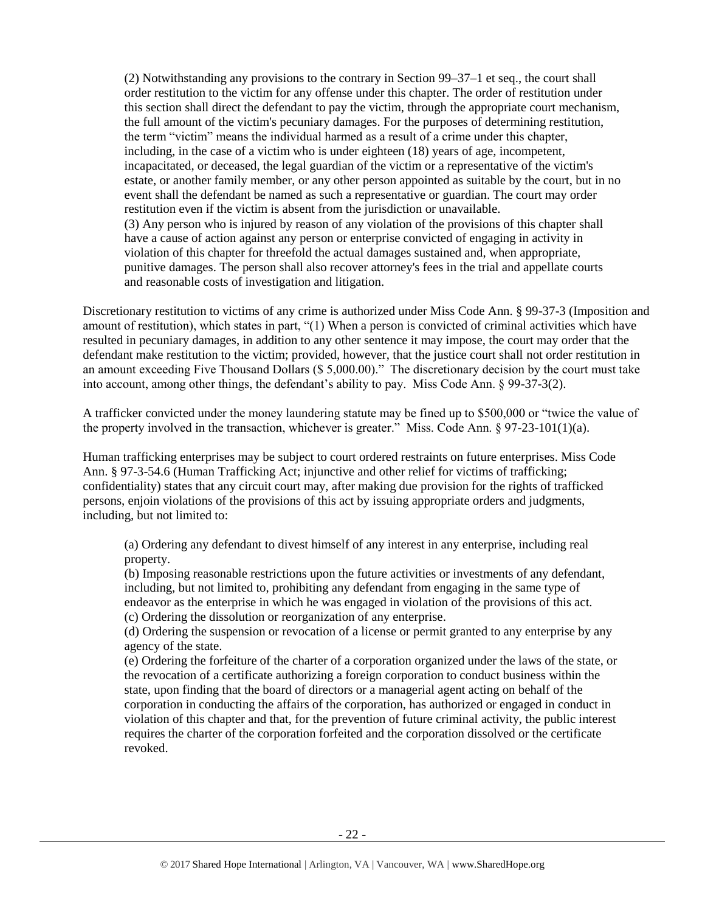(2) Notwithstanding any provisions to the contrary in Section 99–37–1 et seq., the court shall order restitution to the victim for any offense under this chapter. The order of restitution under this section shall direct the defendant to pay the victim, through the appropriate court mechanism, the full amount of the victim's pecuniary damages. For the purposes of determining restitution, the term "victim" means the individual harmed as a result of a crime under this chapter, including, in the case of a victim who is under eighteen (18) years of age, incompetent, incapacitated, or deceased, the legal guardian of the victim or a representative of the victim's estate, or another family member, or any other person appointed as suitable by the court, but in no event shall the defendant be named as such a representative or guardian. The court may order restitution even if the victim is absent from the jurisdiction or unavailable. (3) Any person who is injured by reason of any violation of the provisions of this chapter shall have a cause of action against any person or enterprise convicted of engaging in activity in violation of this chapter for threefold the actual damages sustained and, when appropriate, punitive damages. The person shall also recover attorney's fees in the trial and appellate courts and reasonable costs of investigation and litigation.

Discretionary restitution to victims of any crime is authorized under Miss Code Ann. § 99-37-3 (Imposition and amount of restitution), which states in part, "(1) When a person is convicted of criminal activities which have resulted in pecuniary damages, in addition to any other sentence it may impose, the court may order that the defendant make restitution to the victim; provided, however, that the justice court shall not order restitution in an amount exceeding Five Thousand Dollars (\$ 5,000.00)." The discretionary decision by the court must take into account, among other things, the defendant's ability to pay. Miss Code Ann. § 99-37-3(2).

A trafficker convicted under the money laundering statute may be fined up to \$500,000 or "twice the value of the property involved in the transaction, whichever is greater." Miss. Code Ann.  $\S 97-23-101(1)(a)$ .

Human trafficking enterprises may be subject to court ordered restraints on future enterprises. Miss Code Ann. § 97-3-54.6 (Human Trafficking Act; injunctive and other relief for victims of trafficking; confidentiality) states that any circuit court may, after making due provision for the rights of trafficked persons, enjoin violations of the provisions of this act by issuing appropriate orders and judgments, including, but not limited to:

(a) Ordering any defendant to divest himself of any interest in any enterprise, including real property.

(b) Imposing reasonable restrictions upon the future activities or investments of any defendant, including, but not limited to, prohibiting any defendant from engaging in the same type of endeavor as the enterprise in which he was engaged in violation of the provisions of this act. (c) Ordering the dissolution or reorganization of any enterprise.

(d) Ordering the suspension or revocation of a license or permit granted to any enterprise by any agency of the state.

(e) Ordering the forfeiture of the charter of a corporation organized under the laws of the state, or the revocation of a certificate authorizing a foreign corporation to conduct business within the state, upon finding that the board of directors or a managerial agent acting on behalf of the corporation in conducting the affairs of the corporation, has authorized or engaged in conduct in violation of this chapter and that, for the prevention of future criminal activity, the public interest requires the charter of the corporation forfeited and the corporation dissolved or the certificate revoked.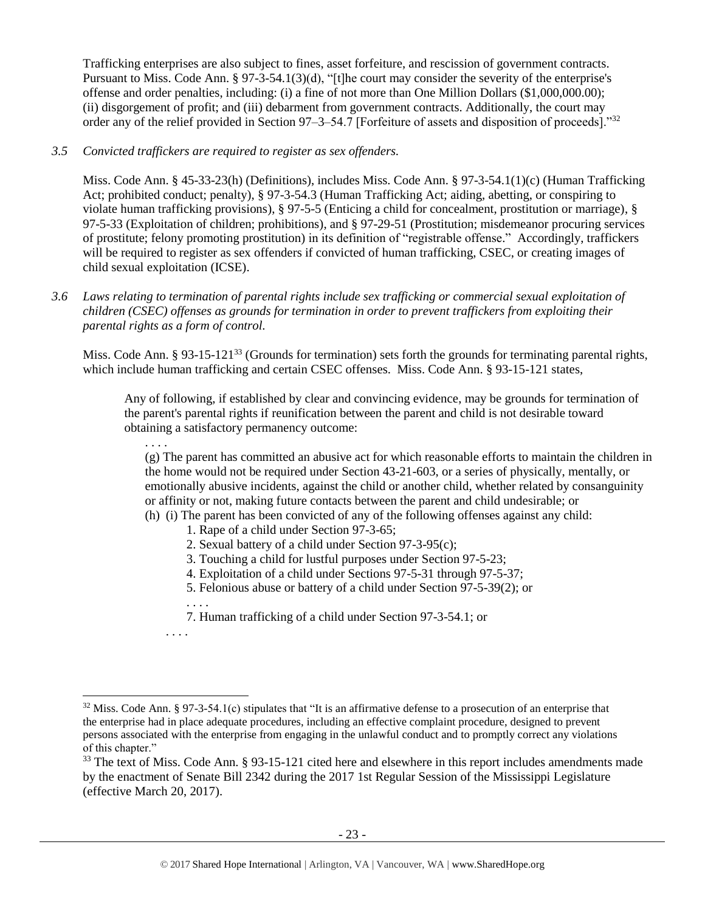Trafficking enterprises are also subject to fines, asset forfeiture, and rescission of government contracts. Pursuant to Miss. Code Ann. § 97-3-54.1(3)(d), "[t]he court may consider the severity of the enterprise's offense and order penalties, including: (i) a fine of not more than One Million Dollars (\$1,000,000.00); (ii) disgorgement of profit; and (iii) debarment from government contracts. Additionally, the court may order any of the relief provided in Section 97–3–54.7 [Forfeiture of assets and disposition of proceeds]."<sup>32</sup>

## *3.5 Convicted traffickers are required to register as sex offenders.*

Miss. Code Ann. § 45-33-23(h) (Definitions), includes Miss. Code Ann. § 97-3-54.1(1)(c) (Human Trafficking Act; prohibited conduct; penalty), § 97-3-54.3 (Human Trafficking Act; aiding, abetting, or conspiring to violate human trafficking provisions), § 97-5-5 (Enticing a child for concealment, prostitution or marriage), § 97-5-33 (Exploitation of children; prohibitions), and § 97-29-51 (Prostitution; misdemeanor procuring services of prostitute; felony promoting prostitution) in its definition of "registrable offense." Accordingly, traffickers will be required to register as sex offenders if convicted of human trafficking, CSEC, or creating images of child sexual exploitation (ICSE).

*3.6 Laws relating to termination of parental rights include sex trafficking or commercial sexual exploitation of children (CSEC) offenses as grounds for termination in order to prevent traffickers from exploiting their parental rights as a form of control.* 

Miss. Code Ann. § 93-15-121<sup>33</sup> (Grounds for termination) sets forth the grounds for terminating parental rights, which include human trafficking and certain CSEC offenses. Miss. Code Ann. § 93-15-121 states,

Any of following, if established by clear and convincing evidence, may be grounds for termination of the parent's parental rights if reunification between the parent and child is not desirable toward obtaining a satisfactory permanency outcome:

(g) The parent has committed an abusive act for which reasonable efforts to maintain the children in the home would not be required under Section 43-21-603, or a series of physically, mentally, or emotionally abusive incidents, against the child or another child, whether related by consanguinity or affinity or not, making future contacts between the parent and child undesirable; or (h) (i) The parent has been convicted of any of the following offenses against any child:

- 1. Rape of a child under Section 97-3-65;
- 2. Sexual battery of a child under Section 97-3-95(c);
- 3. Touching a child for lustful purposes under Section 97-5-23;
- 4. Exploitation of a child under Sections 97-5-31 through 97-5-37;
- 5. Felonious abuse or battery of a child under Section 97-5-39(2); or

7. Human trafficking of a child under Section 97-3-54.1; or

. . . .

l

. . . .

. . . .

 $32$  Miss. Code Ann. § 97-3-54.1(c) stipulates that "It is an affirmative defense to a prosecution of an enterprise that the enterprise had in place adequate procedures, including an effective complaint procedure, designed to prevent persons associated with the enterprise from engaging in the unlawful conduct and to promptly correct any violations of this chapter."

<sup>&</sup>lt;sup>33</sup> The text of Miss. Code Ann. § 93-15-121 cited here and elsewhere in this report includes amendments made by the enactment of Senate Bill 2342 during the 2017 1st Regular Session of the Mississippi Legislature (effective March 20, 2017).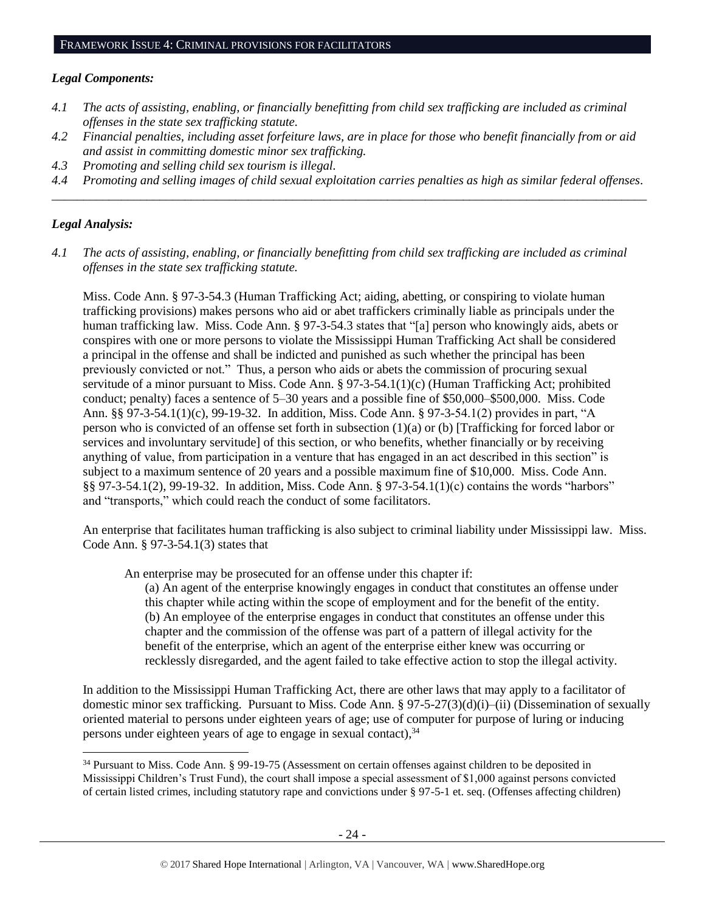#### *Legal Components:*

- *4.1 The acts of assisting, enabling, or financially benefitting from child sex trafficking are included as criminal offenses in the state sex trafficking statute.*
- *4.2 Financial penalties, including asset forfeiture laws, are in place for those who benefit financially from or aid and assist in committing domestic minor sex trafficking.*
- *4.3 Promoting and selling child sex tourism is illegal.*
- *4.4 Promoting and selling images of child sexual exploitation carries penalties as high as similar federal offenses. \_\_\_\_\_\_\_\_\_\_\_\_\_\_\_\_\_\_\_\_\_\_\_\_\_\_\_\_\_\_\_\_\_\_\_\_\_\_\_\_\_\_\_\_\_\_\_\_\_\_\_\_\_\_\_\_\_\_\_\_\_\_\_\_\_\_\_\_\_\_\_\_\_\_\_\_\_\_\_\_\_\_\_\_\_\_\_\_\_\_\_\_\_\_*

#### *Legal Analysis:*

l

*4.1 The acts of assisting, enabling, or financially benefitting from child sex trafficking are included as criminal offenses in the state sex trafficking statute.*

Miss. Code Ann. § 97-3-54.3 (Human Trafficking Act; aiding, abetting, or conspiring to violate human trafficking provisions) makes persons who aid or abet traffickers criminally liable as principals under the human trafficking law. Miss. Code Ann. § 97-3-54.3 states that "[a] person who knowingly aids, abets or conspires with one or more persons to violate the Mississippi Human Trafficking Act shall be considered a principal in the offense and shall be indicted and punished as such whether the principal has been previously convicted or not." Thus, a person who aids or abets the commission of procuring sexual servitude of a minor pursuant to Miss. Code Ann. § 97-3-54.1(1)(c) (Human Trafficking Act; prohibited conduct; penalty) faces a sentence of 5–30 years and a possible fine of \$50,000–\$500,000. Miss. Code Ann. §§ 97-3-54.1(1)(c), 99-19-32. In addition, Miss. Code Ann. § 97-3-54.1(2) provides in part, "A person who is convicted of an offense set forth in subsection (1)(a) or (b) [Trafficking for forced labor or services and involuntary servitude] of this section, or who benefits, whether financially or by receiving anything of value, from participation in a venture that has engaged in an act described in this section" is subject to a maximum sentence of 20 years and a possible maximum fine of \$10,000. Miss. Code Ann. §§ 97-3-54.1(2), 99-19-32. In addition, Miss. Code Ann. § 97-3-54.1(1)(c) contains the words "harbors" and "transports," which could reach the conduct of some facilitators.

An enterprise that facilitates human trafficking is also subject to criminal liability under Mississippi law. Miss. Code Ann. § 97-3-54.1(3) states that

An enterprise may be prosecuted for an offense under this chapter if:

(a) An agent of the enterprise knowingly engages in conduct that constitutes an offense under this chapter while acting within the scope of employment and for the benefit of the entity. (b) An employee of the enterprise engages in conduct that constitutes an offense under this chapter and the commission of the offense was part of a pattern of illegal activity for the benefit of the enterprise, which an agent of the enterprise either knew was occurring or recklessly disregarded, and the agent failed to take effective action to stop the illegal activity.

In addition to the Mississippi Human Trafficking Act, there are other laws that may apply to a facilitator of domestic minor sex trafficking. Pursuant to Miss. Code Ann. § 97-5-27(3)(d)(i)–(ii) (Dissemination of sexually oriented material to persons under eighteen years of age; use of computer for purpose of luring or inducing persons under eighteen years of age to engage in sexual contact),  $34$ 

<sup>34</sup> Pursuant to Miss. Code Ann. § 99-19-75 (Assessment on certain offenses against children to be deposited in Mississippi Children's Trust Fund), the court shall impose a special assessment of \$1,000 against persons convicted of certain listed crimes, including statutory rape and convictions under § 97-5-1 et. seq. (Offenses affecting children)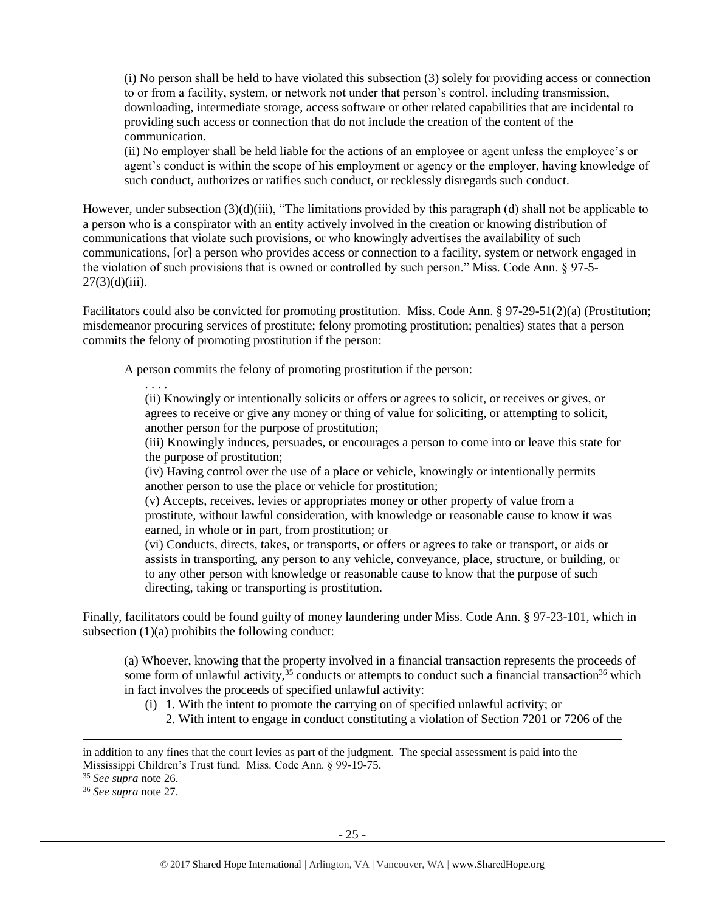(i) No person shall be held to have violated this subsection (3) solely for providing access or connection to or from a facility, system, or network not under that person's control, including transmission, downloading, intermediate storage, access software or other related capabilities that are incidental to providing such access or connection that do not include the creation of the content of the communication.

(ii) No employer shall be held liable for the actions of an employee or agent unless the employee's or agent's conduct is within the scope of his employment or agency or the employer, having knowledge of such conduct, authorizes or ratifies such conduct, or recklessly disregards such conduct.

However, under subsection (3)(d)(iii), "The limitations provided by this paragraph (d) shall not be applicable to a person who is a conspirator with an entity actively involved in the creation or knowing distribution of communications that violate such provisions, or who knowingly advertises the availability of such communications, [or] a person who provides access or connection to a facility, system or network engaged in the violation of such provisions that is owned or controlled by such person." Miss. Code Ann. § 97-5-  $27(3)(d)(iii)$ .

Facilitators could also be convicted for promoting prostitution. Miss. Code Ann. § 97-29-51(2)(a) (Prostitution; misdemeanor procuring services of prostitute; felony promoting prostitution; penalties) states that a person commits the felony of promoting prostitution if the person:

A person commits the felony of promoting prostitution if the person:

. . . . (ii) Knowingly or intentionally solicits or offers or agrees to solicit, or receives or gives, or agrees to receive or give any money or thing of value for soliciting, or attempting to solicit, another person for the purpose of prostitution;

(iii) Knowingly induces, persuades, or encourages a person to come into or leave this state for the purpose of prostitution;

(iv) Having control over the use of a place or vehicle, knowingly or intentionally permits another person to use the place or vehicle for prostitution;

(v) Accepts, receives, levies or appropriates money or other property of value from a prostitute, without lawful consideration, with knowledge or reasonable cause to know it was earned, in whole or in part, from prostitution; or

(vi) Conducts, directs, takes, or transports, or offers or agrees to take or transport, or aids or assists in transporting, any person to any vehicle, conveyance, place, structure, or building, or to any other person with knowledge or reasonable cause to know that the purpose of such directing, taking or transporting is prostitution.

Finally, facilitators could be found guilty of money laundering under Miss. Code Ann. § 97-23-101, which in subsection  $(1)(a)$  prohibits the following conduct:

(a) Whoever, knowing that the property involved in a financial transaction represents the proceeds of some form of unlawful activity,  $35$  conducts or attempts to conduct such a financial transaction  $36$  which in fact involves the proceeds of specified unlawful activity:

- (i) 1. With the intent to promote the carrying on of specified unlawful activity; or
	- 2. With intent to engage in conduct constituting a violation of Section 7201 or 7206 of the

l

in addition to any fines that the court levies as part of the judgment. The special assessment is paid into the Mississippi Children's Trust fund. Miss. Code Ann. § 99-19-75.

<sup>35</sup> *See supra* note [26.](#page-18-0)

<sup>36</sup> *See supra* note [27.](#page-18-1)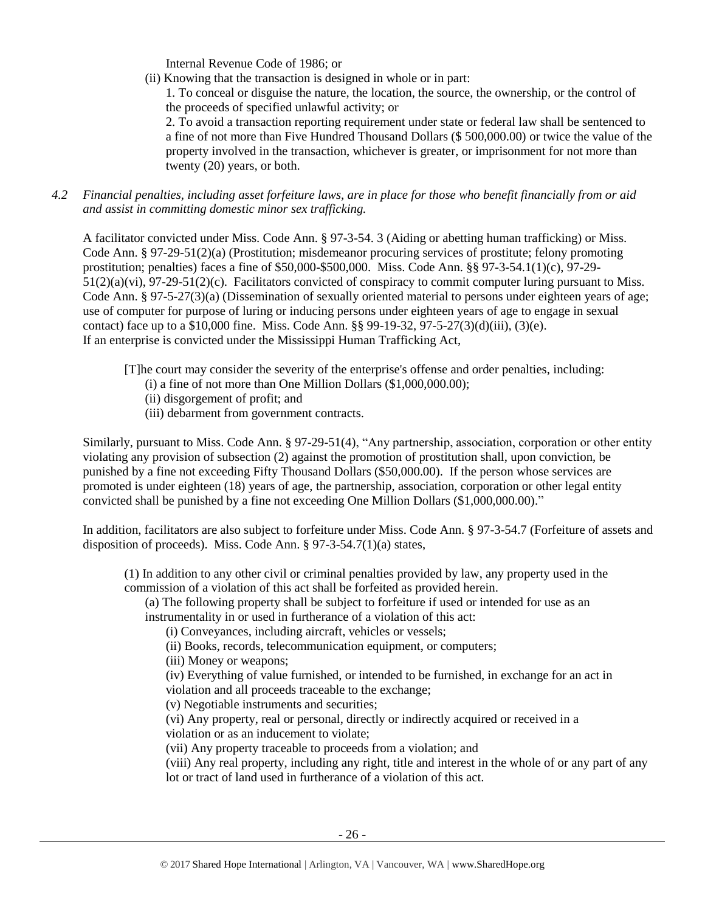Internal Revenue Code of 1986; or

(ii) Knowing that the transaction is designed in whole or in part:

1. To conceal or disguise the nature, the location, the source, the ownership, or the control of the proceeds of specified unlawful activity; or

2. To avoid a transaction reporting requirement under state or federal law shall be sentenced to a fine of not more than Five Hundred Thousand Dollars (\$ 500,000.00) or twice the value of the property involved in the transaction, whichever is greater, or imprisonment for not more than twenty (20) years, or both.

*4.2 Financial penalties, including asset forfeiture laws, are in place for those who benefit financially from or aid and assist in committing domestic minor sex trafficking.*

A facilitator convicted under Miss. Code Ann. § 97-3-54. 3 (Aiding or abetting human trafficking) or Miss. Code Ann. § 97-29-51(2)(a) (Prostitution; misdemeanor procuring services of prostitute; felony promoting prostitution; penalties) faces a fine of \$50,000-\$500,000. Miss. Code Ann. §§ 97-3-54.1(1)(c), 97-29- 51(2)(a)(vi), 97-29-51(2)(c). Facilitators convicted of conspiracy to commit computer luring pursuant to Miss. Code Ann. § 97-5-27(3)(a) (Dissemination of sexually oriented material to persons under eighteen years of age; use of computer for purpose of luring or inducing persons under eighteen years of age to engage in sexual contact) face up to a \$10,000 fine. Miss. Code Ann.  $\S$ § 99-19-32, 97-5-27(3)(d)(iii), (3)(e). If an enterprise is convicted under the Mississippi Human Trafficking Act,

[T]he court may consider the severity of the enterprise's offense and order penalties, including:

- (i) a fine of not more than One Million Dollars (\$1,000,000.00);
- (ii) disgorgement of profit; and
- (iii) debarment from government contracts.

Similarly, pursuant to Miss. Code Ann. § 97-29-51(4), "Any partnership, association, corporation or other entity violating any provision of subsection (2) against the promotion of prostitution shall, upon conviction, be punished by a fine not exceeding Fifty Thousand Dollars (\$50,000.00). If the person whose services are promoted is under eighteen (18) years of age, the partnership, association, corporation or other legal entity convicted shall be punished by a fine not exceeding One Million Dollars (\$1,000,000.00)."

In addition, facilitators are also subject to forfeiture under Miss. Code Ann. § 97-3-54.7 (Forfeiture of assets and disposition of proceeds). Miss. Code Ann. § 97-3-54.7(1)(a) states,

(1) In addition to any other civil or criminal penalties provided by law, any property used in the commission of a violation of this act shall be forfeited as provided herein.

(a) The following property shall be subject to forfeiture if used or intended for use as an instrumentality in or used in furtherance of a violation of this act:

(i) Conveyances, including aircraft, vehicles or vessels;

(ii) Books, records, telecommunication equipment, or computers;

(iii) Money or weapons;

(iv) Everything of value furnished, or intended to be furnished, in exchange for an act in violation and all proceeds traceable to the exchange;

(v) Negotiable instruments and securities;

(vi) Any property, real or personal, directly or indirectly acquired or received in a violation or as an inducement to violate;

(vii) Any property traceable to proceeds from a violation; and

(viii) Any real property, including any right, title and interest in the whole of or any part of any lot or tract of land used in furtherance of a violation of this act.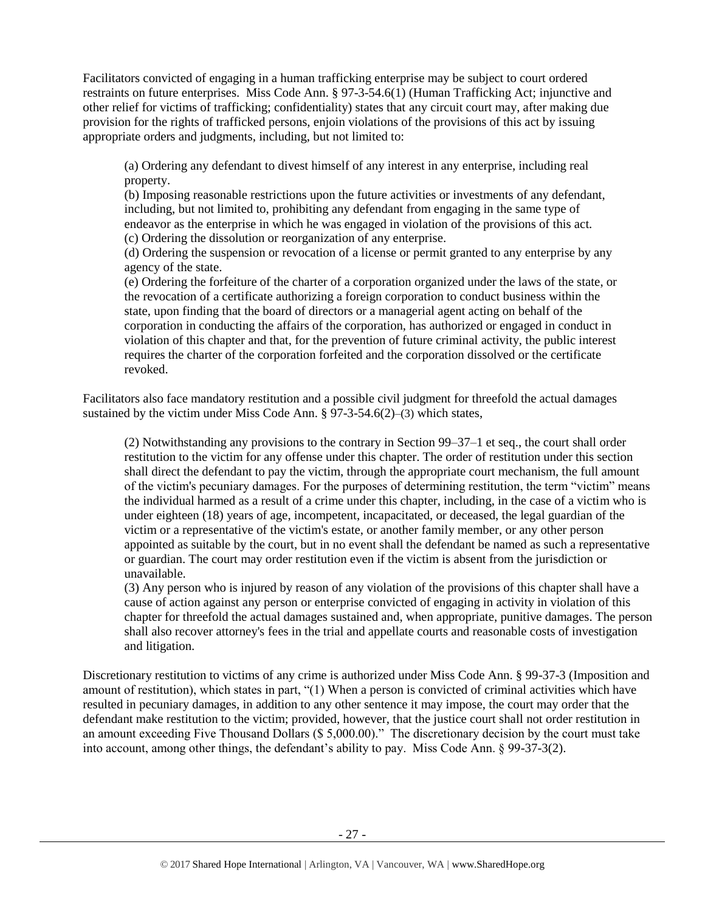Facilitators convicted of engaging in a human trafficking enterprise may be subject to court ordered restraints on future enterprises. Miss Code Ann. § 97-3-54.6(1) (Human Trafficking Act; injunctive and other relief for victims of trafficking; confidentiality) states that any circuit court may, after making due provision for the rights of trafficked persons, enjoin violations of the provisions of this act by issuing appropriate orders and judgments, including, but not limited to:

(a) Ordering any defendant to divest himself of any interest in any enterprise, including real property.

(b) Imposing reasonable restrictions upon the future activities or investments of any defendant, including, but not limited to, prohibiting any defendant from engaging in the same type of endeavor as the enterprise in which he was engaged in violation of the provisions of this act. (c) Ordering the dissolution or reorganization of any enterprise.

(d) Ordering the suspension or revocation of a license or permit granted to any enterprise by any agency of the state.

(e) Ordering the forfeiture of the charter of a corporation organized under the laws of the state, or the revocation of a certificate authorizing a foreign corporation to conduct business within the state, upon finding that the board of directors or a managerial agent acting on behalf of the corporation in conducting the affairs of the corporation, has authorized or engaged in conduct in violation of this chapter and that, for the prevention of future criminal activity, the public interest requires the charter of the corporation forfeited and the corporation dissolved or the certificate revoked.

Facilitators also face mandatory restitution and a possible civil judgment for threefold the actual damages sustained by the victim under Miss Code Ann.  $\S$  97-3-54.6(2)–(3) which states,

(2) Notwithstanding any provisions to the contrary in Section 99–37–1 et seq., the court shall order restitution to the victim for any offense under this chapter. The order of restitution under this section shall direct the defendant to pay the victim, through the appropriate court mechanism, the full amount of the victim's pecuniary damages. For the purposes of determining restitution, the term "victim" means the individual harmed as a result of a crime under this chapter, including, in the case of a victim who is under eighteen (18) years of age, incompetent, incapacitated, or deceased, the legal guardian of the victim or a representative of the victim's estate, or another family member, or any other person appointed as suitable by the court, but in no event shall the defendant be named as such a representative or guardian. The court may order restitution even if the victim is absent from the jurisdiction or unavailable.

(3) Any person who is injured by reason of any violation of the provisions of this chapter shall have a cause of action against any person or enterprise convicted of engaging in activity in violation of this chapter for threefold the actual damages sustained and, when appropriate, punitive damages. The person shall also recover attorney's fees in the trial and appellate courts and reasonable costs of investigation and litigation.

Discretionary restitution to victims of any crime is authorized under Miss Code Ann. § 99-37-3 (Imposition and amount of restitution), which states in part, "(1) When a person is convicted of criminal activities which have resulted in pecuniary damages, in addition to any other sentence it may impose, the court may order that the defendant make restitution to the victim; provided, however, that the justice court shall not order restitution in an amount exceeding Five Thousand Dollars (\$ 5,000.00)." The discretionary decision by the court must take into account, among other things, the defendant's ability to pay. Miss Code Ann. § 99-37-3(2).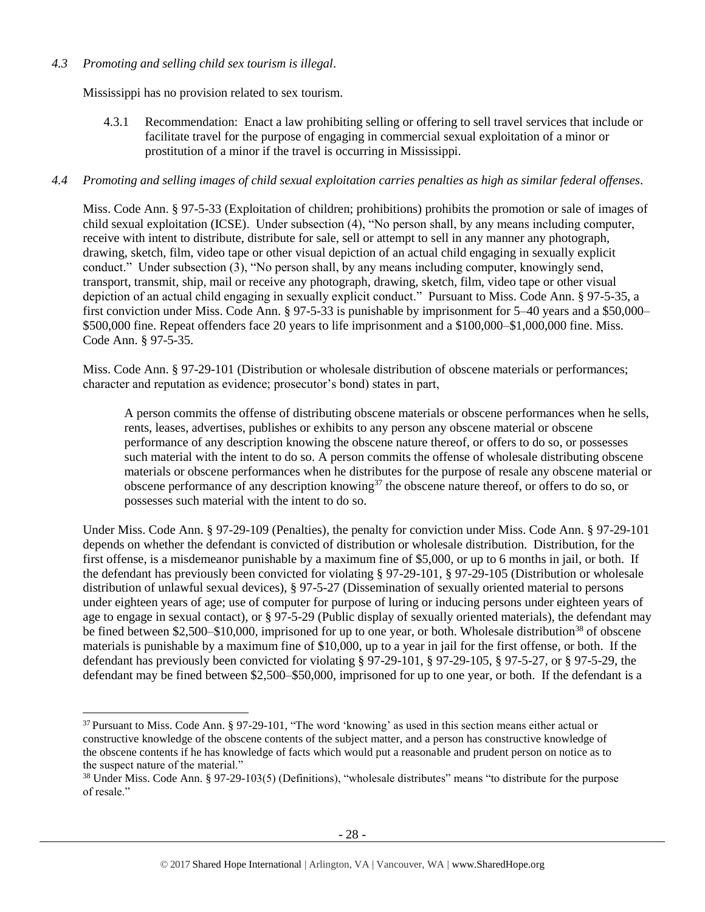## *4.3 Promoting and selling child sex tourism is illegal*.

l

Mississippi has no provision related to sex tourism.

4.3.1 Recommendation: Enact a law prohibiting selling or offering to sell travel services that include or facilitate travel for the purpose of engaging in commercial sexual exploitation of a minor or prostitution of a minor if the travel is occurring in Mississippi.

## *4.4 Promoting and selling images of child sexual exploitation carries penalties as high as similar federal offenses.*

Miss. Code Ann. § 97-5-33 (Exploitation of children; prohibitions) prohibits the promotion or sale of images of child sexual exploitation (ICSE). Under subsection (4), "No person shall, by any means including computer, receive with intent to distribute, distribute for sale, sell or attempt to sell in any manner any photograph, drawing, sketch, film, video tape or other visual depiction of an actual child engaging in sexually explicit conduct." Under subsection (3), "No person shall, by any means including computer, knowingly send, transport, transmit, ship, mail or receive any photograph, drawing, sketch, film, video tape or other visual depiction of an actual child engaging in sexually explicit conduct." Pursuant to Miss. Code Ann. § 97-5-35, a first conviction under Miss. Code Ann. § 97-5-33 is punishable by imprisonment for 5–40 years and a \$50,000– \$500,000 fine. Repeat offenders face 20 years to life imprisonment and a \$100,000–\$1,000,000 fine. Miss. Code Ann. § 97-5-35.

Miss. Code Ann. § 97-29-101 (Distribution or wholesale distribution of obscene materials or performances; character and reputation as evidence; prosecutor's bond) states in part,

A person commits the offense of distributing obscene materials or obscene performances when he sells, rents, leases, advertises, publishes or exhibits to any person any obscene material or obscene performance of any description knowing the obscene nature thereof, or offers to do so, or possesses such material with the intent to do so. A person commits the offense of wholesale distributing obscene materials or obscene performances when he distributes for the purpose of resale any obscene material or obscene performance of any description knowing<sup>37</sup> the obscene nature thereof, or offers to do so, or possesses such material with the intent to do so.

Under Miss. Code Ann. § 97-29-109 (Penalties), the penalty for conviction under Miss. Code Ann. § 97-29-101 depends on whether the defendant is convicted of distribution or wholesale distribution. Distribution, for the first offense, is a misdemeanor punishable by a maximum fine of \$5,000, or up to 6 months in jail, or both. If the defendant has previously been convicted for violating § 97-29-101, § 97-29-105 (Distribution or wholesale distribution of unlawful sexual devices), § 97-5-27 (Dissemination of sexually oriented material to persons under eighteen years of age; use of computer for purpose of luring or inducing persons under eighteen years of age to engage in sexual contact), or § 97-5-29 (Public display of sexually oriented materials), the defendant may be fined between \$2,500–\$10,000, imprisoned for up to one year, or both. Wholesale distribution<sup>38</sup> of obscene materials is punishable by a maximum fine of \$10,000, up to a year in jail for the first offense, or both. If the defendant has previously been convicted for violating § 97-29-101, § 97-29-105, § 97-5-27, or § 97-5-29, the defendant may be fined between \$2,500–\$50,000, imprisoned for up to one year, or both. If the defendant is a

<sup>37</sup> Pursuant to Miss. Code Ann. § 97-29-101, "The word 'knowing' as used in this section means either actual or constructive knowledge of the obscene contents of the subject matter, and a person has constructive knowledge of the obscene contents if he has knowledge of facts which would put a reasonable and prudent person on notice as to the suspect nature of the material."

<sup>38</sup> Under Miss. Code Ann. § 97-29-103(5) (Definitions), "wholesale distributes" means "to distribute for the purpose of resale."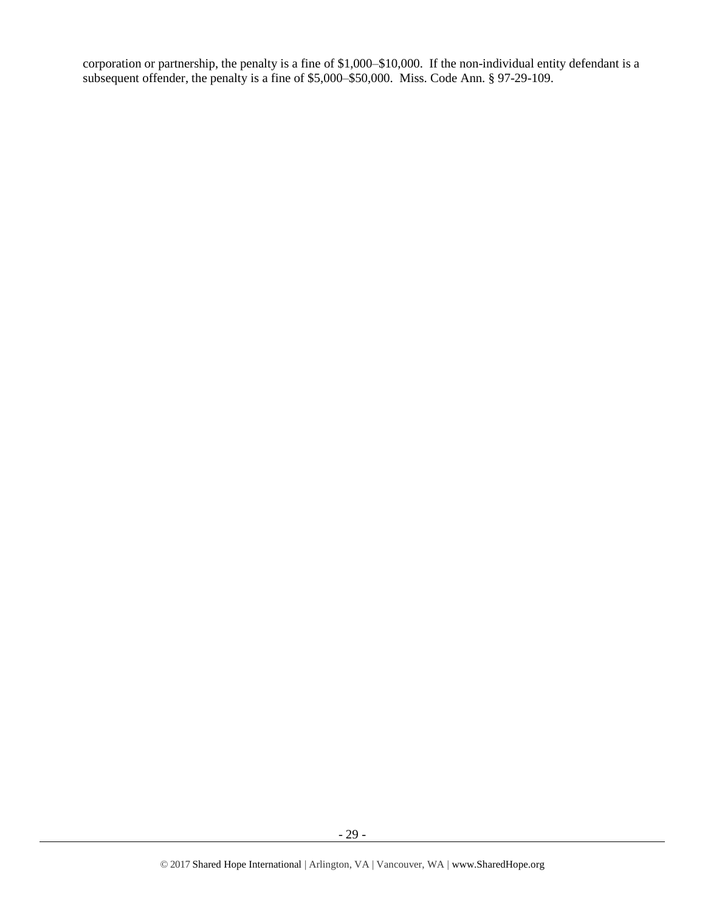corporation or partnership, the penalty is a fine of \$1,000–\$10,000. If the non-individual entity defendant is a subsequent offender, the penalty is a fine of \$5,000–\$50,000. Miss. Code Ann. § 97-29-109.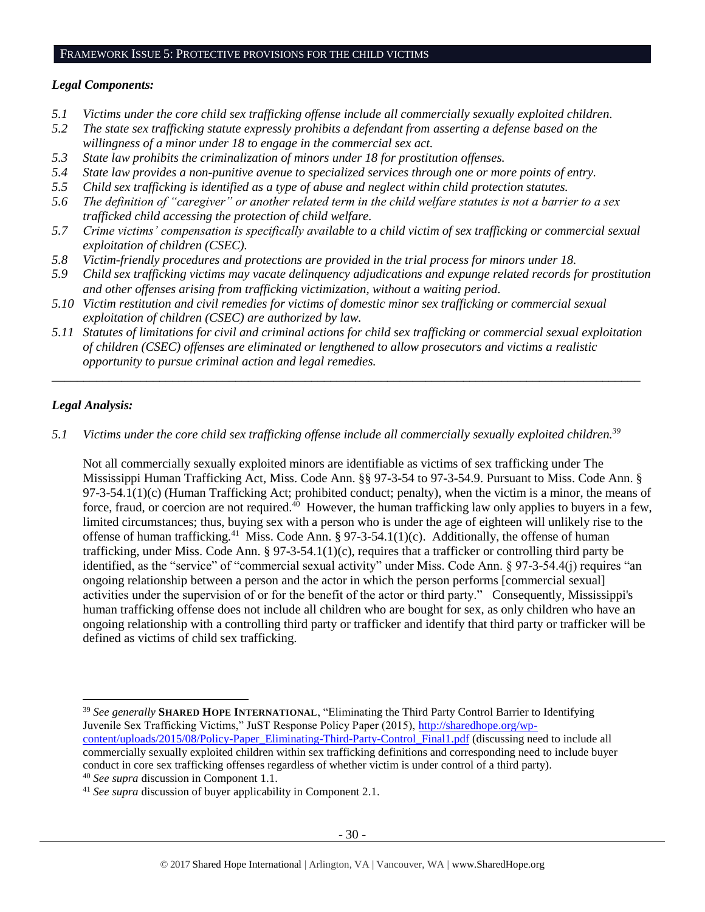#### FRAMEWORK ISSUE 5: PROTECTIVE PROVISIONS FOR THE CHILD VICTIMS

#### *Legal Components:*

- *5.1 Victims under the core child sex trafficking offense include all commercially sexually exploited children.*
- *5.2 The state sex trafficking statute expressly prohibits a defendant from asserting a defense based on the willingness of a minor under 18 to engage in the commercial sex act.*
- *5.3 State law prohibits the criminalization of minors under 18 for prostitution offenses.*
- *5.4 State law provides a non-punitive avenue to specialized services through one or more points of entry.*
- *5.5 Child sex trafficking is identified as a type of abuse and neglect within child protection statutes.*
- *5.6 The definition of "caregiver" or another related term in the child welfare statutes is not a barrier to a sex trafficked child accessing the protection of child welfare.*
- *5.7 Crime victims' compensation is specifically available to a child victim of sex trafficking or commercial sexual exploitation of children (CSEC).*
- *5.8 Victim-friendly procedures and protections are provided in the trial process for minors under 18.*
- *5.9 Child sex trafficking victims may vacate delinquency adjudications and expunge related records for prostitution and other offenses arising from trafficking victimization, without a waiting period.*
- *5.10 Victim restitution and civil remedies for victims of domestic minor sex trafficking or commercial sexual exploitation of children (CSEC) are authorized by law.*
- *5.11 Statutes of limitations for civil and criminal actions for child sex trafficking or commercial sexual exploitation of children (CSEC) offenses are eliminated or lengthened to allow prosecutors and victims a realistic opportunity to pursue criminal action and legal remedies.*

*\_\_\_\_\_\_\_\_\_\_\_\_\_\_\_\_\_\_\_\_\_\_\_\_\_\_\_\_\_\_\_\_\_\_\_\_\_\_\_\_\_\_\_\_\_\_\_\_\_\_\_\_\_\_\_\_\_\_\_\_\_\_\_\_\_\_\_\_\_\_\_\_\_\_\_\_\_\_\_\_\_\_\_\_\_\_\_\_\_\_\_\_\_*

## *Legal Analysis:*

l

*5.1 Victims under the core child sex trafficking offense include all commercially sexually exploited children.<sup>39</sup>*

Not all commercially sexually exploited minors are identifiable as victims of sex trafficking under The Mississippi Human Trafficking Act, Miss. Code Ann. §§ 97-3-54 to 97-3-54.9. Pursuant to Miss. Code Ann. § 97-3-54.1(1)(c) (Human Trafficking Act; prohibited conduct; penalty), when the victim is a minor, the means of force, fraud, or coercion are not required.<sup>40</sup> However, the human trafficking law only applies to buyers in a few, limited circumstances; thus, buying sex with a person who is under the age of eighteen will unlikely rise to the offense of human trafficking.<sup>41</sup> Miss. Code Ann. § 97-3-54.1(1)(c). Additionally, the offense of human trafficking, under Miss. Code Ann. § 97-3-54.1(1)(c), requires that a trafficker or controlling third party be identified, as the "service" of "commercial sexual activity" under Miss. Code Ann. § 97-3-54.4(j) requires "an ongoing relationship between a person and the actor in which the person performs [commercial sexual] activities under the supervision of or for the benefit of the actor or third party." Consequently, Mississippi's human trafficking offense does not include all children who are bought for sex, as only children who have an ongoing relationship with a controlling third party or trafficker and identify that third party or trafficker will be defined as victims of child sex trafficking.

<sup>39</sup> *See generally* **SHARED HOPE INTERNATIONAL**, "Eliminating the Third Party Control Barrier to Identifying Juvenile Sex Trafficking Victims," JuST Response Policy Paper (2015), [http://sharedhope.org/wp](http://sharedhope.org/wp-content/uploads/2015/08/Policy-Paper_Eliminating-Third-Party-Control_Final1.pdf)[content/uploads/2015/08/Policy-Paper\\_Eliminating-Third-Party-Control\\_Final1.pdf](http://sharedhope.org/wp-content/uploads/2015/08/Policy-Paper_Eliminating-Third-Party-Control_Final1.pdf) (discussing need to include all commercially sexually exploited children within sex trafficking definitions and corresponding need to include buyer conduct in core sex trafficking offenses regardless of whether victim is under control of a third party). <sup>40</sup> *See supra* discussion in Component 1.1.

<sup>41</sup> *See supra* discussion of buyer applicability in Component 2.1.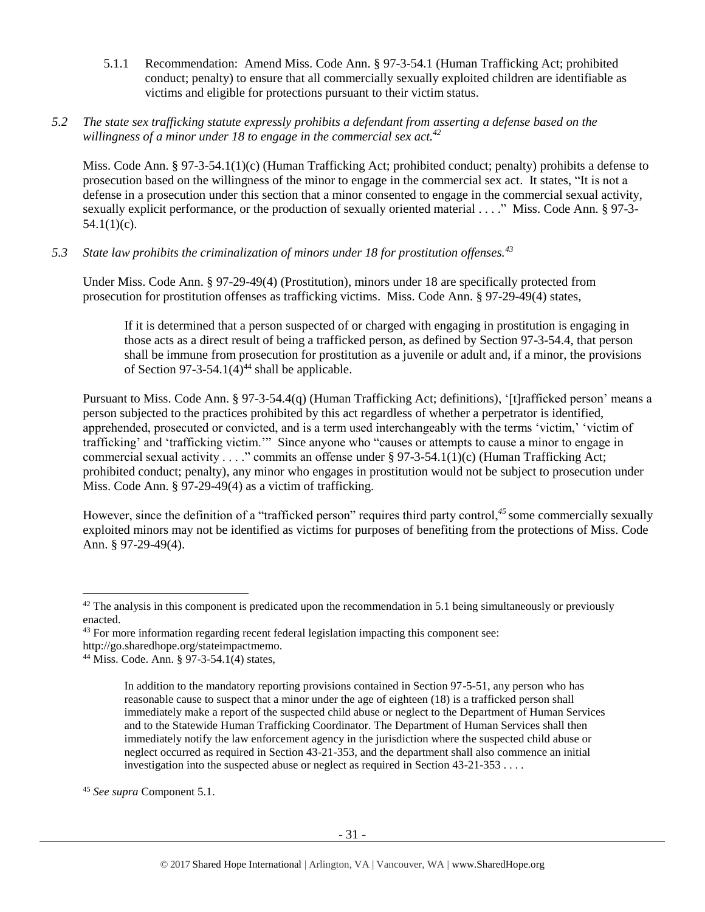- 5.1.1 Recommendation: Amend Miss. Code Ann. § 97-3-54.1 (Human Trafficking Act; prohibited conduct; penalty) to ensure that all commercially sexually exploited children are identifiable as victims and eligible for protections pursuant to their victim status.
- *5.2 The state sex trafficking statute expressly prohibits a defendant from asserting a defense based on the willingness of a minor under 18 to engage in the commercial sex act.<sup>42</sup>*

Miss. Code Ann. § 97-3-54.1(1)(c) (Human Trafficking Act; prohibited conduct; penalty) prohibits a defense to prosecution based on the willingness of the minor to engage in the commercial sex act. It states, "It is not a defense in a prosecution under this section that a minor consented to engage in the commercial sexual activity, sexually explicit performance, or the production of sexually oriented material . . . ." Miss. Code Ann. § 97-3-  $54.1(1)(c)$ .

*5.3 State law prohibits the criminalization of minors under 18 for prostitution offenses.<sup>43</sup>*

Under Miss. Code Ann. § 97-29-49(4) (Prostitution), minors under 18 are specifically protected from prosecution for prostitution offenses as trafficking victims. Miss. Code Ann. § 97-29-49(4) states,

If it is determined that a person suspected of or charged with engaging in prostitution is engaging in those acts as a direct result of being a trafficked person, as defined by Section 97-3-54.4, that person shall be immune from prosecution for prostitution as a juvenile or adult and, if a minor, the provisions of Section 97-3-54.1(4)<sup>44</sup> shall be applicable.

Pursuant to Miss. Code Ann. § 97-3-54.4(q) (Human Trafficking Act; definitions), '[t]rafficked person' means a person subjected to the practices prohibited by this act regardless of whether a perpetrator is identified, apprehended, prosecuted or convicted, and is a term used interchangeably with the terms 'victim,' 'victim of trafficking' and 'trafficking victim.'" Since anyone who "causes or attempts to cause a minor to engage in commercial sexual activity . . . ." commits an offense under § 97-3-54.1(1)(c) (Human Trafficking Act; prohibited conduct; penalty), any minor who engages in prostitution would not be subject to prosecution under Miss. Code Ann. § 97-29-49(4) as a victim of trafficking.

However, since the definition of a "trafficked person" requires third party control,<sup>45</sup> some commercially sexually exploited minors may not be identified as victims for purposes of benefiting from the protections of Miss. Code Ann. § 97-29-49(4).

http://go.sharedhope.org/stateimpactmemo.

<sup>45</sup> *See supra* Component 5.1.

 $\overline{\phantom{a}}$ 

 $42$  The analysis in this component is predicated upon the recommendation in 5.1 being simultaneously or previously enacted.

<sup>&</sup>lt;sup>43</sup> For more information regarding recent federal legislation impacting this component see:

<sup>44</sup> Miss. Code. Ann. § 97-3-54.1(4) states,

In addition to the mandatory reporting provisions contained in Section 97-5-51, any person who has reasonable cause to suspect that a minor under the age of eighteen (18) is a trafficked person shall immediately make a report of the suspected child abuse or neglect to the Department of Human Services and to the Statewide Human Trafficking Coordinator. The Department of Human Services shall then immediately notify the law enforcement agency in the jurisdiction where the suspected child abuse or neglect occurred as required in Section 43-21-353, and the department shall also commence an initial investigation into the suspected abuse or neglect as required in Section 43-21-353 . . . .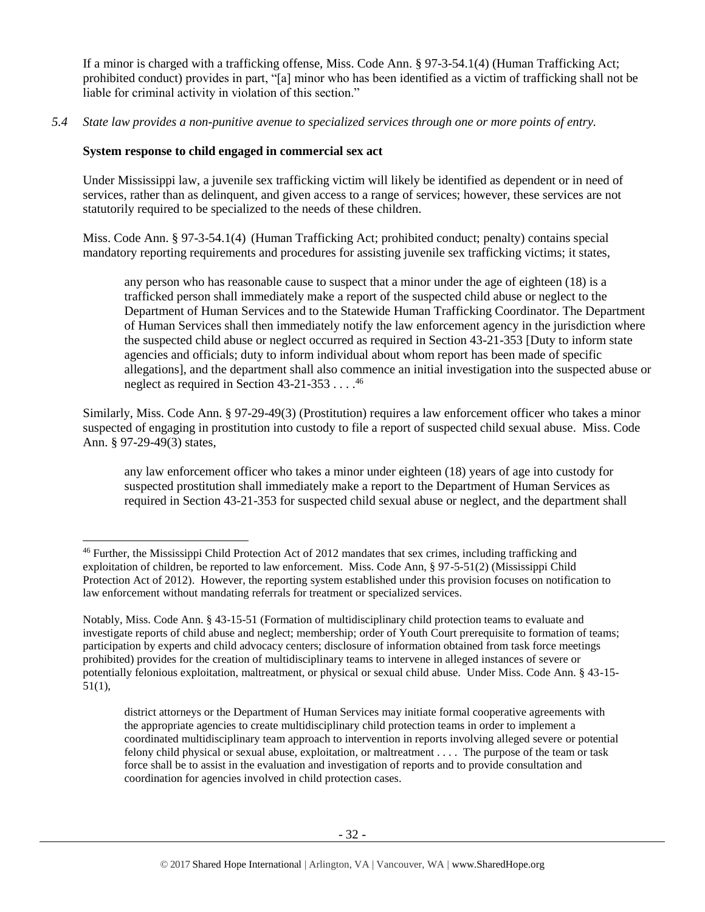If a minor is charged with a trafficking offense, Miss. Code Ann. § 97-3-54.1(4) (Human Trafficking Act; prohibited conduct) provides in part, "[a] minor who has been identified as a victim of trafficking shall not be liable for criminal activity in violation of this section."

*5.4 State law provides a non-punitive avenue to specialized services through one or more points of entry.*

## **System response to child engaged in commercial sex act**

l

Under Mississippi law, a juvenile sex trafficking victim will likely be identified as dependent or in need of services, rather than as delinquent, and given access to a range of services; however, these services are not statutorily required to be specialized to the needs of these children.

Miss. Code Ann. § 97-3-54.1(4) (Human Trafficking Act; prohibited conduct; penalty) contains special mandatory reporting requirements and procedures for assisting juvenile sex trafficking victims; it states,

any person who has reasonable cause to suspect that a minor under the age of eighteen (18) is a trafficked person shall immediately make a report of the suspected child abuse or neglect to the Department of Human Services and to the Statewide Human Trafficking Coordinator. The Department of Human Services shall then immediately notify the law enforcement agency in the jurisdiction where the suspected child abuse or neglect occurred as required in Section 43-21-353 [Duty to inform state agencies and officials; duty to inform individual about whom report has been made of specific allegations], and the department shall also commence an initial investigation into the suspected abuse or neglect as required in Section 43-21-353  $\dots$ .<sup>46</sup>

Similarly, Miss. Code Ann. § 97-29-49(3) (Prostitution) requires a law enforcement officer who takes a minor suspected of engaging in prostitution into custody to file a report of suspected child sexual abuse. Miss. Code Ann. § 97-29-49(3) states,

any law enforcement officer who takes a minor under eighteen (18) years of age into custody for suspected prostitution shall immediately make a report to the Department of Human Services as required in Section 43-21-353 for suspected child sexual abuse or neglect, and the department shall

<sup>46</sup> Further, the Mississippi Child Protection Act of 2012 mandates that sex crimes, including trafficking and exploitation of children, be reported to law enforcement. Miss. Code Ann, § 97-5-51(2) (Mississippi Child Protection Act of 2012). However, the reporting system established under this provision focuses on notification to law enforcement without mandating referrals for treatment or specialized services.

Notably, Miss. Code Ann. § 43-15-51 (Formation of multidisciplinary child protection teams to evaluate and investigate reports of child abuse and neglect; membership; order of Youth Court prerequisite to formation of teams; participation by experts and child advocacy centers; disclosure of information obtained from task force meetings prohibited) provides for the creation of multidisciplinary teams to intervene in alleged instances of severe or potentially felonious exploitation, maltreatment, or physical or sexual child abuse. Under Miss. Code Ann. § 43-15- 51(1),

district attorneys or the Department of Human Services may initiate formal cooperative agreements with the appropriate agencies to create multidisciplinary child protection teams in order to implement a coordinated multidisciplinary team approach to intervention in reports involving alleged severe or potential felony child physical or sexual abuse, exploitation, or maltreatment . . . . The purpose of the team or task force shall be to assist in the evaluation and investigation of reports and to provide consultation and coordination for agencies involved in child protection cases.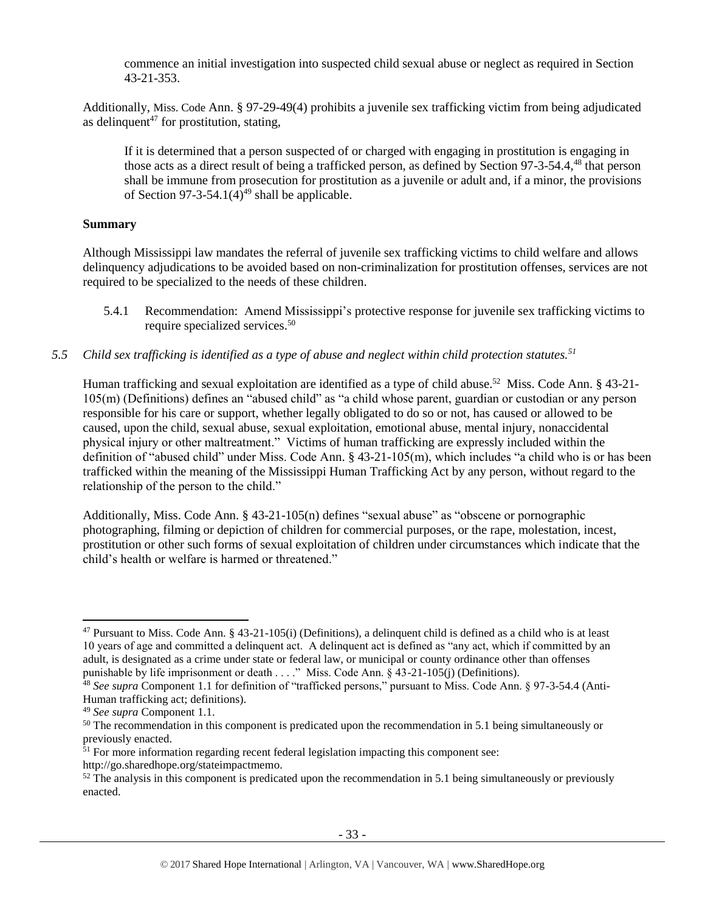commence an initial investigation into suspected child sexual abuse or neglect as required in Section 43-21-353.

Additionally, Miss. Code Ann. § 97-29-49(4) prohibits a juvenile sex trafficking victim from being adjudicated as delinquent<sup>47</sup> for prostitution, stating,

If it is determined that a person suspected of or charged with engaging in prostitution is engaging in those acts as a direct result of being a trafficked person, as defined by Section 97-3-54.4,<sup>48</sup> that person shall be immune from prosecution for prostitution as a juvenile or adult and, if a minor, the provisions of Section 97-3-54.1(4)<sup>49</sup> shall be applicable.

## **Summary**

Although Mississippi law mandates the referral of juvenile sex trafficking victims to child welfare and allows delinquency adjudications to be avoided based on non-criminalization for prostitution offenses, services are not required to be specialized to the needs of these children.

- 5.4.1 Recommendation: Amend Mississippi's protective response for juvenile sex trafficking victims to require specialized services. 50
- *5.5 Child sex trafficking is identified as a type of abuse and neglect within child protection statutes.<sup>51</sup>*

Human trafficking and sexual exploitation are identified as a type of child abuse.<sup>52</sup> Miss. Code Ann. § 43-21-105(m) (Definitions) defines an "abused child" as "a child whose parent, guardian or custodian or any person responsible for his care or support, whether legally obligated to do so or not, has caused or allowed to be caused, upon the child, sexual abuse, sexual exploitation, emotional abuse, mental injury, nonaccidental physical injury or other maltreatment." Victims of human trafficking are expressly included within the definition of "abused child" under Miss. Code Ann. § 43-21-105(m), which includes "a child who is or has been trafficked within the meaning of the Mississippi Human Trafficking Act by any person, without regard to the relationship of the person to the child."

Additionally, Miss. Code Ann. § 43-21-105(n) defines "sexual abuse" as "obscene or pornographic photographing, filming or depiction of children for commercial purposes, or the rape, molestation, incest, prostitution or other such forms of sexual exploitation of children under circumstances which indicate that the child's health or welfare is harmed or threatened."

l

 $47$  Pursuant to Miss. Code Ann. §  $43-21-105(i)$  (Definitions), a delinquent child is defined as a child who is at least 10 years of age and committed a delinquent act. A delinquent act is defined as "any act, which if committed by an adult, is designated as a crime under state or federal law, or municipal or county ordinance other than offenses punishable by life imprisonment or death . . . ." Miss. Code Ann. § 43-21-105(j) (Definitions).

<sup>48</sup> *See supra* Component 1.1 for definition of "trafficked persons," pursuant to Miss. Code Ann. § 97-3-54.4 (Anti-Human trafficking act; definitions).

<sup>49</sup> *See supra* Component 1.1.

<sup>&</sup>lt;sup>50</sup> The recommendation in this component is predicated upon the recommendation in 5.1 being simultaneously or previously enacted.

 $<sup>51</sup>$  For more information regarding recent federal legislation impacting this component see:</sup>

http://go.sharedhope.org/stateimpactmemo.

 $52$  The analysis in this component is predicated upon the recommendation in 5.1 being simultaneously or previously enacted.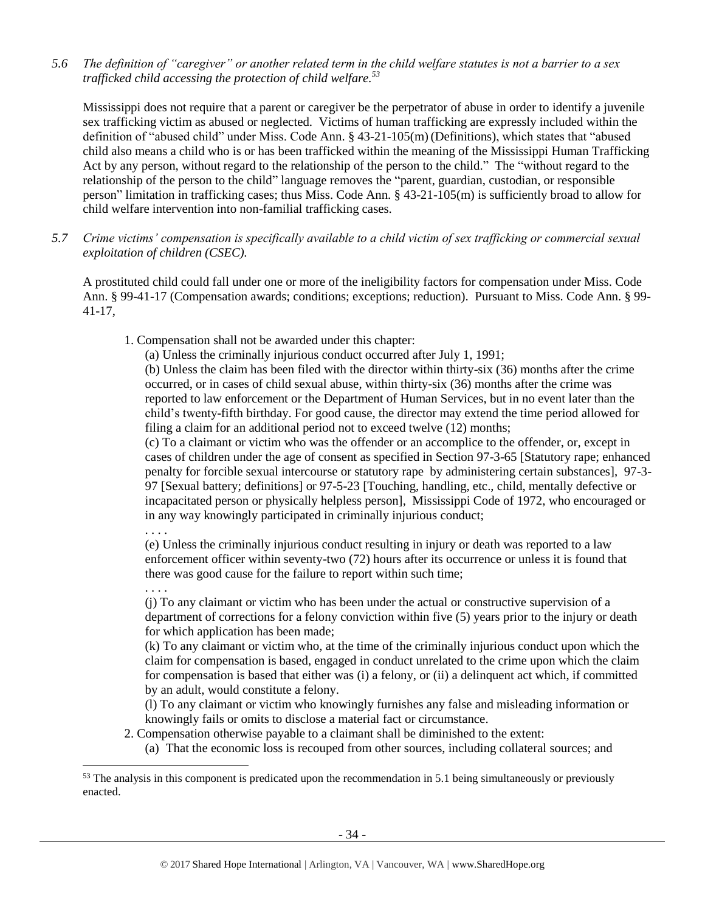*5.6 The definition of "caregiver" or another related term in the child welfare statutes is not a barrier to a sex trafficked child accessing the protection of child welfare.<sup>53</sup>*

Mississippi does not require that a parent or caregiver be the perpetrator of abuse in order to identify a juvenile sex trafficking victim as abused or neglected. Victims of human trafficking are expressly included within the definition of "abused child" under Miss. Code Ann. § 43-21-105(m) (Definitions), which states that "abused child also means a child who is or has been trafficked within the meaning of the Mississippi Human Trafficking Act by any person, without regard to the relationship of the person to the child." The "without regard to the relationship of the person to the child" language removes the "parent, guardian, custodian, or responsible person" limitation in trafficking cases; thus Miss. Code Ann. § 43-21-105(m) is sufficiently broad to allow for child welfare intervention into non-familial trafficking cases.

*5.7 Crime victims' compensation is specifically available to a child victim of sex trafficking or commercial sexual exploitation of children (CSEC).*

A prostituted child could fall under one or more of the ineligibility factors for compensation under Miss. Code Ann. § 99-41-17 (Compensation awards; conditions; exceptions; reduction). Pursuant to Miss. Code Ann. § 99- 41-17,

1. Compensation shall not be awarded under this chapter:

(a) Unless the criminally injurious conduct occurred after July 1, 1991;

(b) Unless the claim has been filed with the director within thirty-six (36) months after the crime occurred, or in cases of child sexual abuse, within thirty-six (36) months after the crime was reported to law enforcement or the Department of Human Services, but in no event later than the child's twenty-fifth birthday. For good cause, the director may extend the time period allowed for filing a claim for an additional period not to exceed twelve (12) months;

(c) To a claimant or victim who was the offender or an accomplice to the offender, or, except in cases of children under the age of consent as specified in Section 97-3-65 [Statutory rape; enhanced penalty for forcible sexual intercourse or statutory rape by administering certain substances], 97-3- 97 [Sexual battery; definitions] or 97-5-23 [Touching, handling, etc., child, mentally defective or incapacitated person or physically helpless person], Mississippi Code of 1972, who encouraged or in any way knowingly participated in criminally injurious conduct;

. . . .

l

(e) Unless the criminally injurious conduct resulting in injury or death was reported to a law enforcement officer within seventy-two (72) hours after its occurrence or unless it is found that there was good cause for the failure to report within such time;

. . . . (j) To any claimant or victim who has been under the actual or constructive supervision of a department of corrections for a felony conviction within five (5) years prior to the injury or death for which application has been made;

(k) To any claimant or victim who, at the time of the criminally injurious conduct upon which the claim for compensation is based, engaged in conduct unrelated to the crime upon which the claim for compensation is based that either was (i) a felony, or (ii) a delinquent act which, if committed by an adult, would constitute a felony.

(l) To any claimant or victim who knowingly furnishes any false and misleading information or knowingly fails or omits to disclose a material fact or circumstance.

2. Compensation otherwise payable to a claimant shall be diminished to the extent:

(a) That the economic loss is recouped from other sources, including collateral sources; and

<sup>&</sup>lt;sup>53</sup> The analysis in this component is predicated upon the recommendation in 5.1 being simultaneously or previously enacted.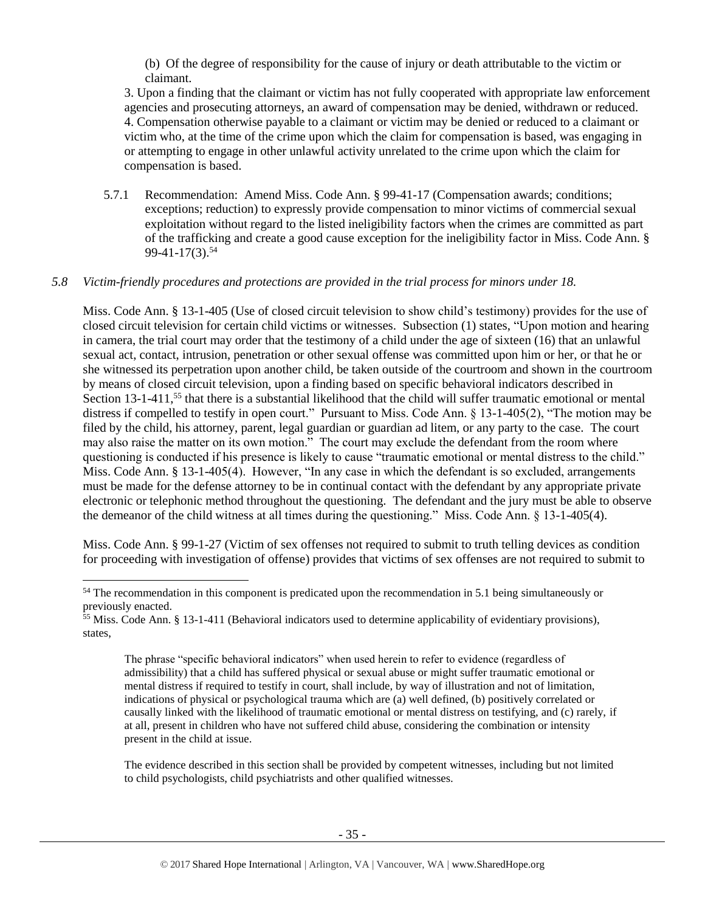(b) Of the degree of responsibility for the cause of injury or death attributable to the victim or claimant.

3. Upon a finding that the claimant or victim has not fully cooperated with appropriate law enforcement agencies and prosecuting attorneys, an award of compensation may be denied, withdrawn or reduced. 4. Compensation otherwise payable to a claimant or victim may be denied or reduced to a claimant or victim who, at the time of the crime upon which the claim for compensation is based, was engaging in or attempting to engage in other unlawful activity unrelated to the crime upon which the claim for compensation is based.

5.7.1 Recommendation: Amend Miss. Code Ann. § 99-41-17 (Compensation awards; conditions; exceptions; reduction) to expressly provide compensation to minor victims of commercial sexual exploitation without regard to the listed ineligibility factors when the crimes are committed as part of the trafficking and create a good cause exception for the ineligibility factor in Miss. Code Ann. § 99-41-17(3).<sup>54</sup>

## *5.8 Victim-friendly procedures and protections are provided in the trial process for minors under 18.*

Miss. Code Ann. § 13-1-405 (Use of closed circuit television to show child's testimony) provides for the use of closed circuit television for certain child victims or witnesses. Subsection (1) states, "Upon motion and hearing in camera, the trial court may order that the testimony of a child under the age of sixteen (16) that an unlawful sexual act, contact, intrusion, penetration or other sexual offense was committed upon him or her, or that he or she witnessed its perpetration upon another child, be taken outside of the courtroom and shown in the courtroom by means of closed circuit television, upon a finding based on specific behavioral indicators described in Section  $13$ -1-411,<sup>55</sup> that there is a substantial likelihood that the child will suffer traumatic emotional or mental distress if compelled to testify in open court." Pursuant to Miss. Code Ann. § 13-1-405(2), "The motion may be filed by the child, his attorney, parent, legal guardian or guardian ad litem, or any party to the case. The court may also raise the matter on its own motion." The court may exclude the defendant from the room where questioning is conducted if his presence is likely to cause "traumatic emotional or mental distress to the child." Miss. Code Ann. § 13-1-405(4). However, "In any case in which the defendant is so excluded, arrangements must be made for the defense attorney to be in continual contact with the defendant by any appropriate private electronic or telephonic method throughout the questioning. The defendant and the jury must be able to observe the demeanor of the child witness at all times during the questioning." Miss. Code Ann. § 13-1-405(4).

Miss. Code Ann. § 99-1-27 (Victim of sex offenses not required to submit to truth telling devices as condition for proceeding with investigation of offense) provides that victims of sex offenses are not required to submit to

l

The evidence described in this section shall be provided by competent witnesses, including but not limited to child psychologists, child psychiatrists and other qualified witnesses.

<sup>&</sup>lt;sup>54</sup> The recommendation in this component is predicated upon the recommendation in 5.1 being simultaneously or previously enacted.

<sup>&</sup>lt;sup>55</sup> Miss. Code Ann. § 13-1-411 (Behavioral indicators used to determine applicability of evidentiary provisions), states,

The phrase "specific behavioral indicators" when used herein to refer to evidence (regardless of admissibility) that a child has suffered physical or sexual abuse or might suffer traumatic emotional or mental distress if required to testify in court, shall include, by way of illustration and not of limitation, indications of physical or psychological trauma which are (a) well defined, (b) positively correlated or causally linked with the likelihood of traumatic emotional or mental distress on testifying, and (c) rarely, if at all, present in children who have not suffered child abuse, considering the combination or intensity present in the child at issue.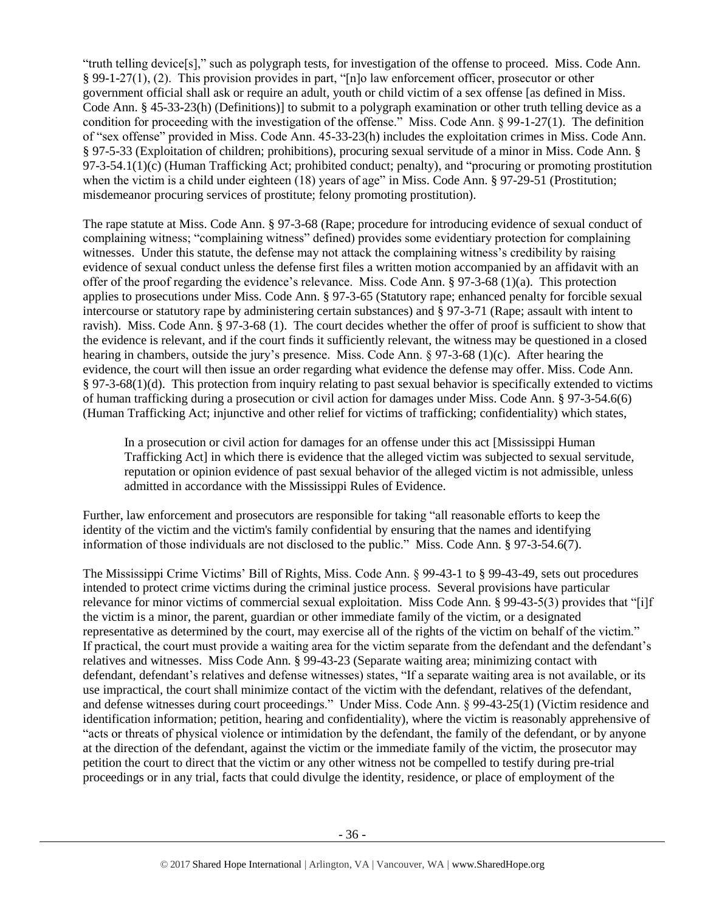"truth telling device[s]," such as polygraph tests, for investigation of the offense to proceed. Miss. Code Ann. § 99-1-27(1), (2). This provision provides in part, "[n]o law enforcement officer, prosecutor or other government official shall ask or require an adult, youth or child victim of a sex offense [as defined in Miss. Code Ann. § 45-33-23(h) (Definitions)] to submit to a polygraph examination or other truth telling device as a code The set of the investigation of the offense." Miss. Code Ann. § 99-1-27(1). The definition condition for proceeding with the investigation of the offense." of "sex offense" provided in Miss. Code Ann. 45-33-23(h) includes the exploitation crimes in Miss. Code Ann. § 97-5-33 (Exploitation of children; prohibitions), procuring sexual servitude of a minor in Miss. Code Ann. § 97-3-54.1(1)(c) (Human Trafficking Act; prohibited conduct; penalty), and "procuring or promoting prostitution when the victim is a child under eighteen (18) years of age" in Miss. Code Ann. § 97-29-51 (Prostitution; misdemeanor procuring services of prostitute; felony promoting prostitution).

The rape statute at Miss. Code Ann. § 97-3-68 (Rape; procedure for introducing evidence of sexual conduct of complaining witness; "complaining witness" defined) provides some evidentiary protection for complaining witnesses. Under this statute, the defense may not attack the complaining witness's credibility by raising evidence of sexual conduct unless the defense first files a written motion accompanied by an affidavit with an offer of the proof regarding the evidence's relevance. Miss. Code Ann. § 97-3-68 (1)(a). This protection applies to prosecutions under Miss. Code Ann. § 97-3-65 (Statutory rape; enhanced penalty for forcible sexual intercourse or statutory rape by administering certain substances) and § 97-3-71 (Rape; assault with intent to ravish). Miss. Code Ann. § 97-3-68 (1). The court decides whether the offer of proof is sufficient to show that the evidence is relevant, and if the court finds it sufficiently relevant, the witness may be questioned in a closed hearing in chambers, outside the jury's presence. Miss. Code Ann. § 97-3-68 (1)(c). After hearing the evidence, the court will then issue an order regarding what evidence the defense may offer. Miss. Code Ann. § 97-3-68(1)(d). This protection from inquiry relating to past sexual behavior is specifically extended to victims of human trafficking during a prosecution or civil action for damages under Miss. Code Ann. § 97-3-54.6(6) (Human Trafficking Act; injunctive and other relief for victims of trafficking; confidentiality) which states,

In a prosecution or civil action for damages for an offense under this act [Mississippi Human Trafficking Act] in which there is evidence that the alleged victim was subjected to sexual servitude, reputation or opinion evidence of past sexual behavior of the alleged victim is not admissible, unless admitted in accordance with the Mississippi Rules of Evidence.

Further, law enforcement and prosecutors are responsible for taking "all reasonable efforts to keep the identity of the victim and the victim's family confidential by ensuring that the names and identifying information of those individuals are not disclosed to the public." Miss. Code Ann. § 97-3-54.6(7).

The Mississippi Crime Victims' Bill of Rights, Miss. Code Ann. § 99-43-1 to § 99-43-49, sets out procedures intended to protect crime victims during the criminal justice process. Several provisions have particular relevance for minor victims of commercial sexual exploitation. Miss Code Ann. § 99-43-5(3) provides that "[i]f the victim is a minor, the parent, guardian or other immediate family of the victim, or a designated representative as determined by the court, may exercise all of the rights of the victim on behalf of the victim." If practical, the court must provide a waiting area for the victim separate from the defendant and the defendant's relatives and witnesses. Miss Code Ann. § 99-43-23 (Separate waiting area; minimizing contact with defendant, defendant's relatives and defense witnesses) states, "If a separate waiting area is not available, or its use impractical, the court shall minimize contact of the victim with the defendant, relatives of the defendant, and defense witnesses during court proceedings." Under Miss. Code Ann. § 99-43-25(1) (Victim residence and identification information; petition, hearing and confidentiality), where the victim is reasonably apprehensive of "acts or threats of physical violence or intimidation by the defendant, the family of the defendant, or by anyone at the direction of the defendant, against the victim or the immediate family of the victim, the prosecutor may petition the court to direct that the victim or any other witness not be compelled to testify during pre-trial proceedings or in any trial, facts that could divulge the identity, residence, or place of employment of the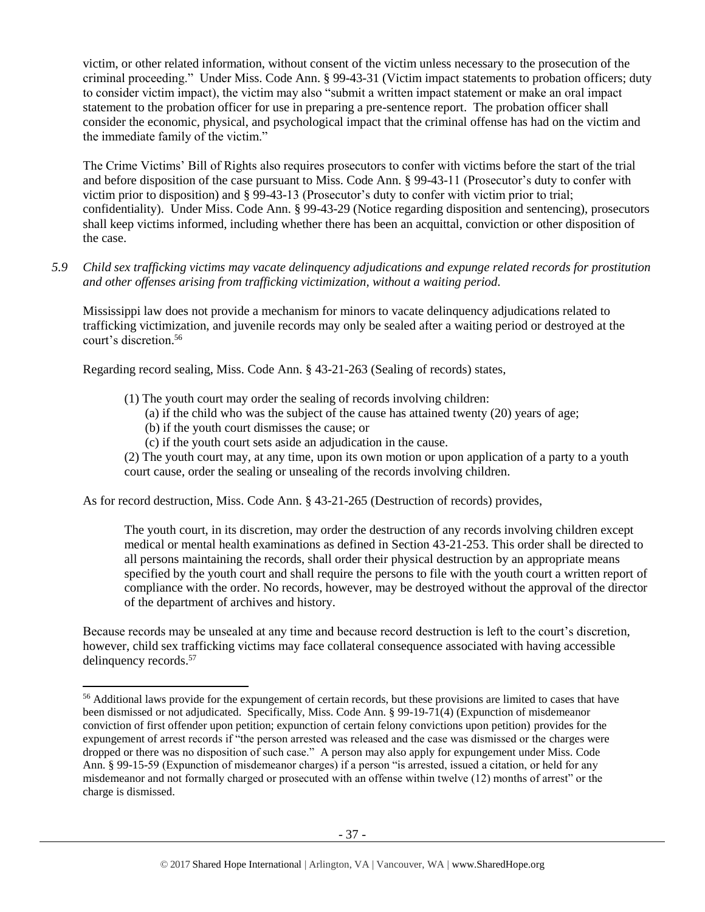victim, or other related information, without consent of the victim unless necessary to the prosecution of the criminal proceeding." Under Miss. Code Ann. § 99-43-31 (Victim impact statements to probation officers; duty to consider victim impact), the victim may also "submit a written impact statement or make an oral impact statement to the probation officer for use in preparing a pre-sentence report. The probation officer shall consider the economic, physical, and psychological impact that the criminal offense has had on the victim and the immediate family of the victim."

The Crime Victims' Bill of Rights also requires prosecutors to confer with victims before the start of the trial and before disposition of the case pursuant to Miss. Code Ann. § 99-43-11 (Prosecutor's duty to confer with victim prior to disposition) and § 99-43-13 (Prosecutor's duty to confer with victim prior to trial; confidentiality). Under Miss. Code Ann. § 99-43-29 (Notice regarding disposition and sentencing), prosecutors shall keep victims informed, including whether there has been an acquittal, conviction or other disposition of the case.

*5.9 Child sex trafficking victims may vacate delinquency adjudications and expunge related records for prostitution and other offenses arising from trafficking victimization, without a waiting period.*

Mississippi law does not provide a mechanism for minors to vacate delinquency adjudications related to trafficking victimization, and juvenile records may only be sealed after a waiting period or destroyed at the court's discretion. 56

Regarding record sealing, Miss. Code Ann. § 43-21-263 (Sealing of records) states,

- (1) The youth court may order the sealing of records involving children:
	- (a) if the child who was the subject of the cause has attained twenty (20) years of age;
	- (b) if the youth court dismisses the cause; or

l

(c) if the youth court sets aside an adjudication in the cause.

(2) The youth court may, at any time, upon its own motion or upon application of a party to a youth court cause, order the sealing or unsealing of the records involving children.

As for record destruction, Miss. Code Ann. § 43-21-265 (Destruction of records) provides,

The youth court, in its discretion, may order the destruction of any records involving children except medical or mental health examinations as defined in Section 43-21-253. This order shall be directed to all persons maintaining the records, shall order their physical destruction by an appropriate means specified by the youth court and shall require the persons to file with the youth court a written report of compliance with the order. No records, however, may be destroyed without the approval of the director of the department of archives and history.

Because records may be unsealed at any time and because record destruction is left to the court's discretion, however, child sex trafficking victims may face collateral consequence associated with having accessible delinquency records. 57

<sup>&</sup>lt;sup>56</sup> Additional laws provide for the expungement of certain records, but these provisions are limited to cases that have been dismissed or not adjudicated. Specifically, Miss. Code Ann. § 99-19-71(4) (Expunction of misdemeanor conviction of first offender upon petition; expunction of certain felony convictions upon petition) provides for the expungement of arrest records if "the person arrested was released and the case was dismissed or the charges were dropped or there was no disposition of such case." A person may also apply for expungement under Miss. Code Ann. § 99-15-59 (Expunction of misdemeanor charges) if a person "is arrested, issued a citation, or held for any misdemeanor and not formally charged or prosecuted with an offense within twelve (12) months of arrest" or the charge is dismissed.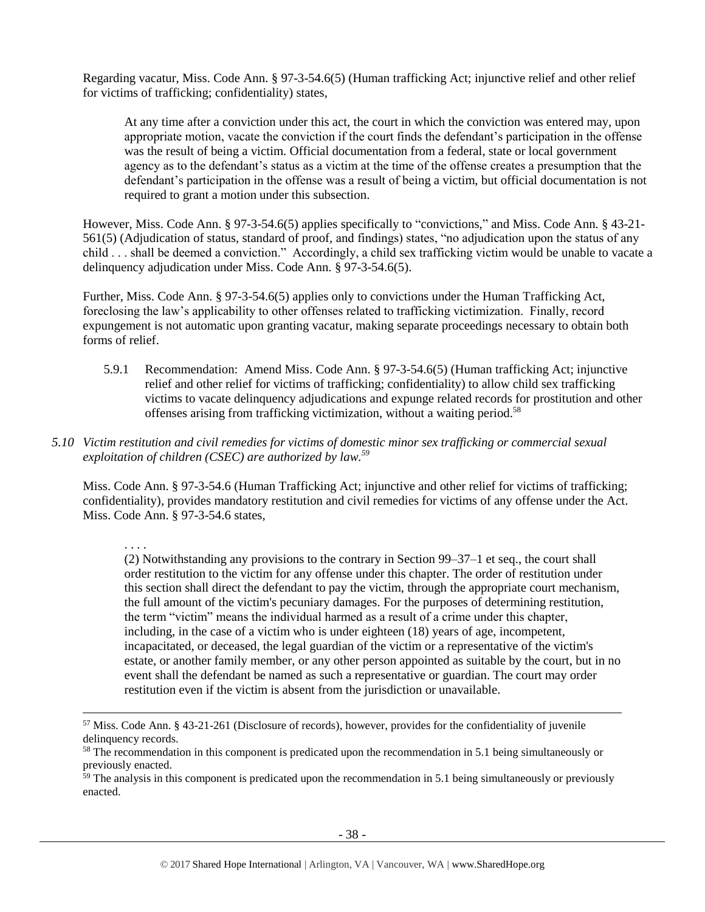Regarding vacatur, Miss. Code Ann. § 97-3-54.6(5) (Human trafficking Act; injunctive relief and other relief for victims of trafficking; confidentiality) states,

At any time after a conviction under this act, the court in which the conviction was entered may, upon appropriate motion, vacate the conviction if the court finds the defendant's participation in the offense was the result of being a victim. Official documentation from a federal, state or local government agency as to the defendant's status as a victim at the time of the offense creates a presumption that the defendant's participation in the offense was a result of being a victim, but official documentation is not required to grant a motion under this subsection.

However, Miss. Code Ann. § 97-3-54.6(5) applies specifically to "convictions," and Miss. Code Ann. § 43-21- 561(5) (Adjudication of status, standard of proof, and findings) states, "no adjudication upon the status of any child . . . shall be deemed a conviction." Accordingly, a child sex trafficking victim would be unable to vacate a delinquency adjudication under Miss. Code Ann. § 97-3-54.6(5).

Further, Miss. Code Ann. § 97-3-54.6(5) applies only to convictions under the Human Trafficking Act, foreclosing the law's applicability to other offenses related to trafficking victimization. Finally, record expungement is not automatic upon granting vacatur, making separate proceedings necessary to obtain both forms of relief.

- 5.9.1 Recommendation: Amend Miss. Code Ann. § 97-3-54.6(5) (Human trafficking Act; injunctive relief and other relief for victims of trafficking; confidentiality) to allow child sex trafficking victims to vacate delinquency adjudications and expunge related records for prostitution and other offenses arising from trafficking victimization, without a waiting period. 58
- *5.10 Victim restitution and civil remedies for victims of domestic minor sex trafficking or commercial sexual exploitation of children (CSEC) are authorized by law.<sup>59</sup>*

Miss. Code Ann. § 97-3-54.6 (Human Trafficking Act; injunctive and other relief for victims of trafficking; confidentiality), provides mandatory restitution and civil remedies for victims of any offense under the Act. Miss. Code Ann. § 97-3-54.6 states,

. . . .

l

(2) Notwithstanding any provisions to the contrary in Section 99–37–1 et seq., the court shall order restitution to the victim for any offense under this chapter. The order of restitution under this section shall direct the defendant to pay the victim, through the appropriate court mechanism, the full amount of the victim's pecuniary damages. For the purposes of determining restitution, the term "victim" means the individual harmed as a result of a crime under this chapter, including, in the case of a victim who is under eighteen (18) years of age, incompetent, incapacitated, or deceased, the legal guardian of the victim or a representative of the victim's estate, or another family member, or any other person appointed as suitable by the court, but in no event shall the defendant be named as such a representative or guardian. The court may order restitution even if the victim is absent from the jurisdiction or unavailable.

<sup>57</sup> Miss. Code Ann. § 43-21-261 (Disclosure of records), however, provides for the confidentiality of juvenile delinquency records.

<sup>&</sup>lt;sup>58</sup> The recommendation in this component is predicated upon the recommendation in 5.1 being simultaneously or previously enacted.

 $59$  The analysis in this component is predicated upon the recommendation in 5.1 being simultaneously or previously enacted.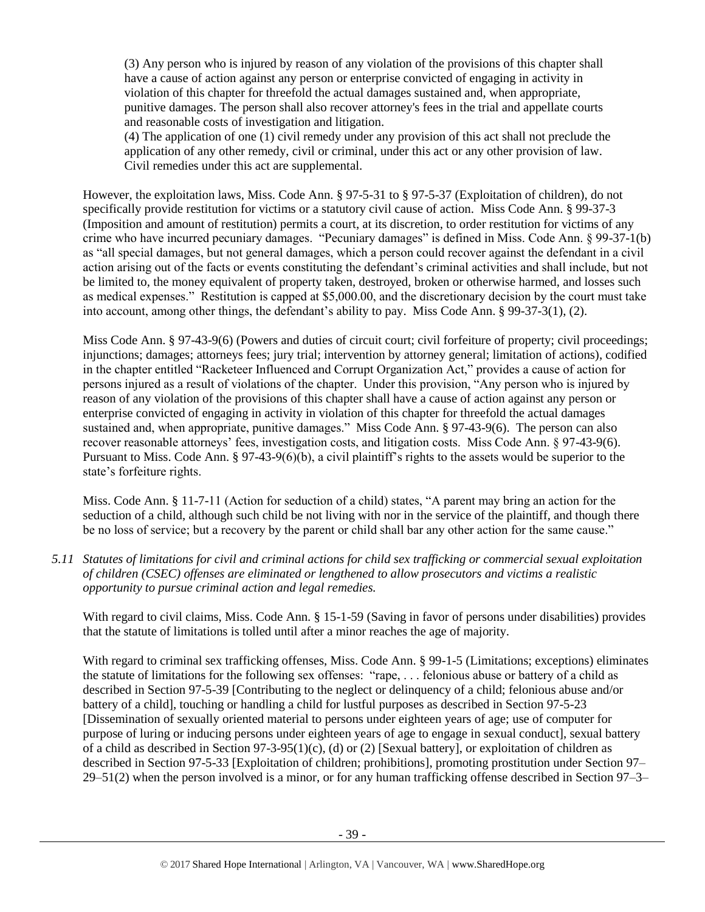(3) Any person who is injured by reason of any violation of the provisions of this chapter shall have a cause of action against any person or enterprise convicted of engaging in activity in violation of this chapter for threefold the actual damages sustained and, when appropriate, punitive damages. The person shall also recover attorney's fees in the trial and appellate courts and reasonable costs of investigation and litigation.

(4) The application of one (1) civil remedy under any provision of this act shall not preclude the application of any other remedy, civil or criminal, under this act or any other provision of law. Civil remedies under this act are supplemental.

However, the exploitation laws, Miss. Code Ann. § 97-5-31 to § 97-5-37 (Exploitation of children), do not specifically provide restitution for victims or a statutory civil cause of action. Miss Code Ann. § 99-37-3 (Imposition and amount of restitution) permits a court, at its discretion, to order restitution for victims of any crime who have incurred pecuniary damages. "Pecuniary damages" is defined in Miss. Code Ann. § 99-37-1(b) as "all special damages, but not general damages, which a person could recover against the defendant in a civil action arising out of the facts or events constituting the defendant's criminal activities and shall include, but not be limited to, the money equivalent of property taken, destroyed, broken or otherwise harmed, and losses such as medical expenses." Restitution is capped at \$5,000.00, and the discretionary decision by the court must take into account, among other things, the defendant's ability to pay. Miss Code Ann. § 99-37-3(1), (2).

Miss Code Ann. § 97-43-9(6) (Powers and duties of circuit court; civil forfeiture of property; civil proceedings; injunctions; damages; attorneys fees; jury trial; intervention by attorney general; limitation of actions), codified in the chapter entitled "Racketeer Influenced and Corrupt Organization Act," provides a cause of action for persons injured as a result of violations of the chapter. Under this provision, "Any person who is injured by reason of any violation of the provisions of this chapter shall have a cause of action against any person or enterprise convicted of engaging in activity in violation of this chapter for threefold the actual damages sustained and, when appropriate, punitive damages." Miss Code Ann. § 97-43-9(6). The person can also recover reasonable attorneys' fees, investigation costs, and litigation costs. Miss Code Ann. § 97-43-9(6). Pursuant to Miss. Code Ann. § 97-43-9(6)(b), a civil plaintiff's rights to the assets would be superior to the state's forfeiture rights.

Miss. Code Ann. § 11-7-11 (Action for seduction of a child) states, "A parent may bring an action for the seduction of a child, although such child be not living with nor in the service of the plaintiff, and though there be no loss of service; but a recovery by the parent or child shall bar any other action for the same cause."

*5.11 Statutes of limitations for civil and criminal actions for child sex trafficking or commercial sexual exploitation of children (CSEC) offenses are eliminated or lengthened to allow prosecutors and victims a realistic opportunity to pursue criminal action and legal remedies.*

With regard to civil claims, Miss. Code Ann. § 15-1-59 (Saving in favor of persons under disabilities) provides that the statute of limitations is tolled until after a minor reaches the age of majority.

With regard to criminal sex trafficking offenses, Miss. Code Ann. § 99-1-5 (Limitations; exceptions) eliminates the statute of limitations for the following sex offenses: "rape, . . . felonious abuse or battery of a child as described in Section 97-5-39 [Contributing to the neglect or delinquency of a child; felonious abuse and/or battery of a child], touching or handling a child for lustful purposes as described in Section 97-5-23 [Dissemination of sexually oriented material to persons under eighteen years of age; use of computer for purpose of luring or inducing persons under eighteen years of age to engage in sexual conduct], sexual battery of a child as described in Section 97-3-95(1)(c), (d) or (2) [Sexual battery], or exploitation of children as described in Section 97-5-33 [Exploitation of children; prohibitions], promoting prostitution under Section 97– 29–51(2) when the person involved is a minor, or for any human trafficking offense described in Section 97–3–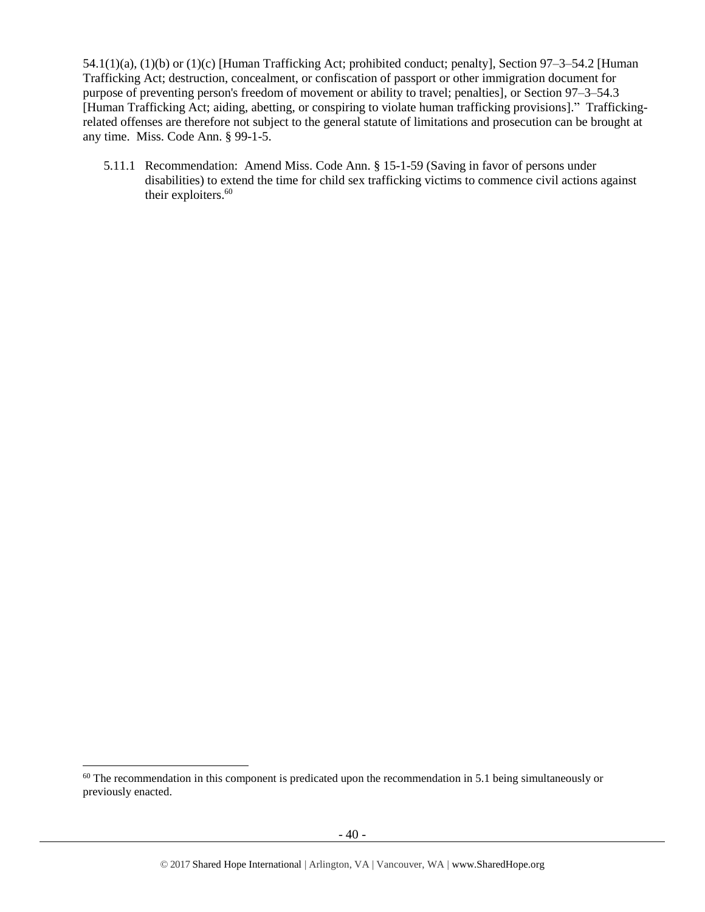54.1(1)(a), (1)(b) or (1)(c) [Human Trafficking Act; prohibited conduct; penalty], Section 97–3–54.2 [Human Trafficking Act; destruction, concealment, or confiscation of passport or other immigration document for purpose of preventing person's freedom of movement or ability to travel; penalties], or Section 97–3–54.3 [Human Trafficking Act; aiding, abetting, or conspiring to violate human trafficking provisions]." Traffickingrelated offenses are therefore not subject to the general statute of limitations and prosecution can be brought at any time. Miss. Code Ann. § 99-1-5.

5.11.1 Recommendation: Amend Miss. Code Ann. § 15-1-59 (Saving in favor of persons under disabilities) to extend the time for child sex trafficking victims to commence civil actions against their exploiters.<sup>60</sup>

l

<sup>&</sup>lt;sup>60</sup> The recommendation in this component is predicated upon the recommendation in 5.1 being simultaneously or previously enacted.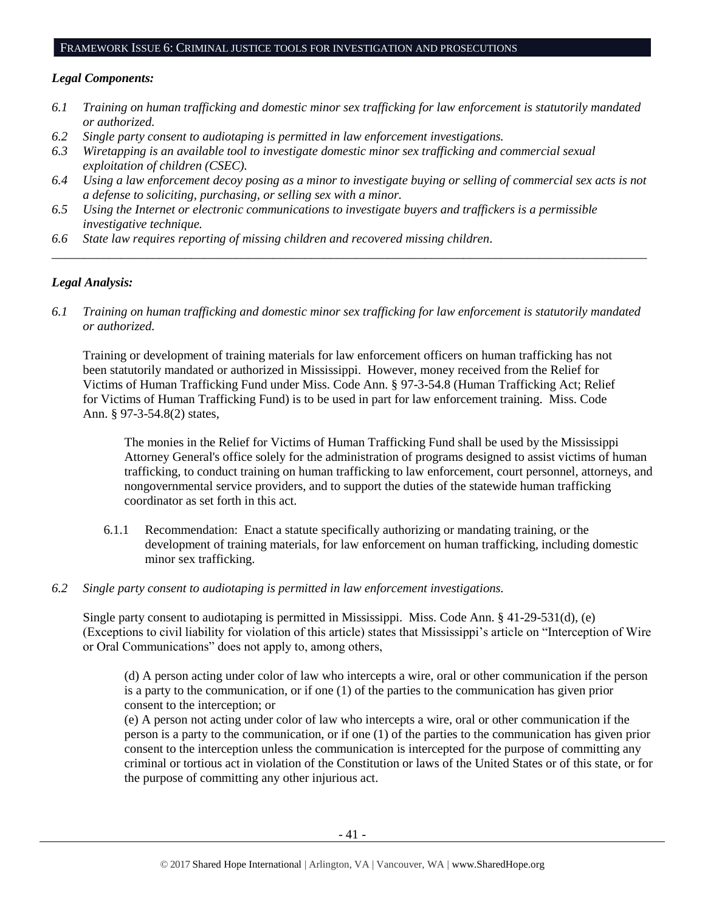## FRAMEWORK ISSUE 6: CRIMINAL JUSTICE TOOLS FOR INVESTIGATION AND PROSECUTIONS

## *Legal Components:*

- *6.1 Training on human trafficking and domestic minor sex trafficking for law enforcement is statutorily mandated or authorized.*
- *6.2 Single party consent to audiotaping is permitted in law enforcement investigations.*
- *6.3 Wiretapping is an available tool to investigate domestic minor sex trafficking and commercial sexual exploitation of children (CSEC).*
- *6.4 Using a law enforcement decoy posing as a minor to investigate buying or selling of commercial sex acts is not a defense to soliciting, purchasing, or selling sex with a minor.*

*\_\_\_\_\_\_\_\_\_\_\_\_\_\_\_\_\_\_\_\_\_\_\_\_\_\_\_\_\_\_\_\_\_\_\_\_\_\_\_\_\_\_\_\_\_\_\_\_\_\_\_\_\_\_\_\_\_\_\_\_\_\_\_\_\_\_\_\_\_\_\_\_\_\_\_\_\_\_\_\_\_\_\_\_\_\_\_\_\_\_\_\_\_\_*

- *6.5 Using the Internet or electronic communications to investigate buyers and traffickers is a permissible investigative technique.*
- *6.6 State law requires reporting of missing children and recovered missing children.*

## *Legal Analysis:*

*6.1 Training on human trafficking and domestic minor sex trafficking for law enforcement is statutorily mandated or authorized.*

Training or development of training materials for law enforcement officers on human trafficking has not been statutorily mandated or authorized in Mississippi. However, money received from the Relief for Victims of Human Trafficking Fund under Miss. Code Ann. § 97-3-54.8 (Human Trafficking Act; Relief for Victims of Human Trafficking Fund) is to be used in part for law enforcement training. Miss. Code Ann. § 97-3-54.8(2) states,

The monies in the Relief for Victims of Human Trafficking Fund shall be used by the Mississippi Attorney General's office solely for the administration of programs designed to assist victims of human trafficking, to conduct training on human trafficking to law enforcement, court personnel, attorneys, and nongovernmental service providers, and to support the duties of the statewide human trafficking coordinator as set forth in this act.

- 6.1.1 Recommendation: Enact a statute specifically authorizing or mandating training, or the development of training materials, for law enforcement on human trafficking, including domestic minor sex trafficking.
- *6.2 Single party consent to audiotaping is permitted in law enforcement investigations.*

Single party consent to audiotaping is permitted in Mississippi. Miss. Code Ann. § 41-29-531(d), (e) (Exceptions to civil liability for violation of this article) states that Mississippi's article on "Interception of Wire or Oral Communications" does not apply to, among others,

(d) A person acting under color of law who intercepts a wire, oral or other communication if the person is a party to the communication, or if one (1) of the parties to the communication has given prior consent to the interception; or

(e) A person not acting under color of law who intercepts a wire, oral or other communication if the person is a party to the communication, or if one (1) of the parties to the communication has given prior consent to the interception unless the communication is intercepted for the purpose of committing any criminal or tortious act in violation of the Constitution or laws of the United States or of this state, or for the purpose of committing any other injurious act.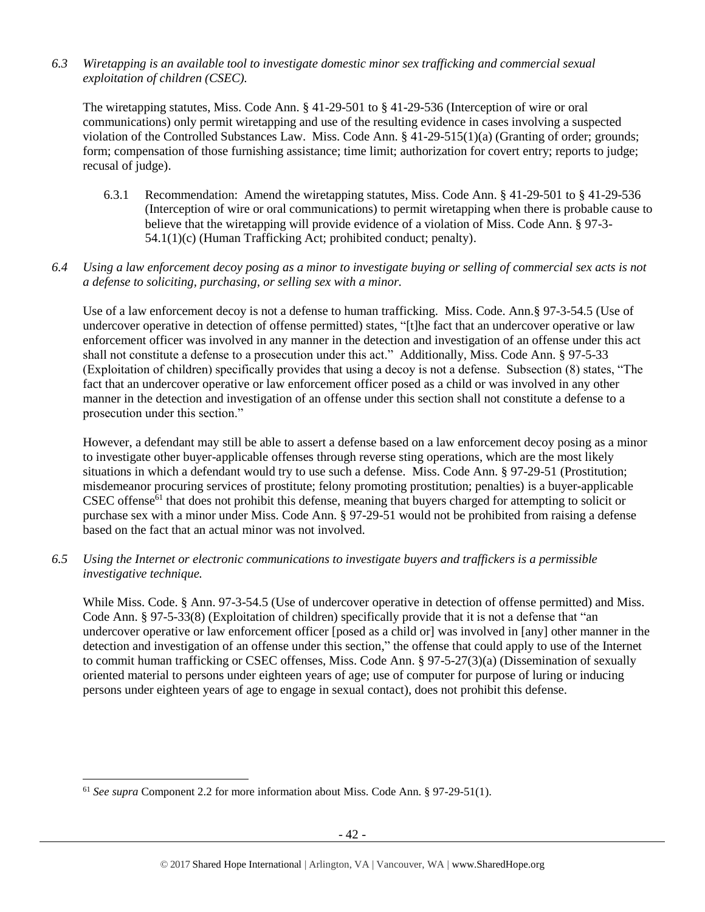*6.3 Wiretapping is an available tool to investigate domestic minor sex trafficking and commercial sexual exploitation of children (CSEC).* 

The wiretapping statutes, Miss. Code Ann. § 41-29-501 to § 41-29-536 (Interception of wire or oral communications) only permit wiretapping and use of the resulting evidence in cases involving a suspected violation of the Controlled Substances Law. Miss. Code Ann. § 41-29-515(1)(a) (Granting of order; grounds; form; compensation of those furnishing assistance; time limit; authorization for covert entry; reports to judge; recusal of judge).

6.3.1 Recommendation: Amend the wiretapping statutes, Miss. Code Ann. § 41-29-501 to § 41-29-536 (Interception of wire or oral communications) to permit wiretapping when there is probable cause to believe that the wiretapping will provide evidence of a violation of Miss. Code Ann. § 97-3- 54.1(1)(c) (Human Trafficking Act; prohibited conduct; penalty).

## *6.4 Using a law enforcement decoy posing as a minor to investigate buying or selling of commercial sex acts is not a defense to soliciting, purchasing, or selling sex with a minor.*

Use of a law enforcement decoy is not a defense to human trafficking. Miss. Code. Ann.§ 97-3-54.5 (Use of undercover operative in detection of offense permitted) states, "[t]he fact that an undercover operative or law enforcement officer was involved in any manner in the detection and investigation of an offense under this act shall not constitute a defense to a prosecution under this act." Additionally, Miss. Code Ann. § 97-5-33 (Exploitation of children) specifically provides that using a decoy is not a defense. Subsection (8) states, "The fact that an undercover operative or law enforcement officer posed as a child or was involved in any other manner in the detection and investigation of an offense under this section shall not constitute a defense to a prosecution under this section."

However, a defendant may still be able to assert a defense based on a law enforcement decoy posing as a minor to investigate other buyer-applicable offenses through reverse sting operations, which are the most likely situations in which a defendant would try to use such a defense. Miss. Code Ann. § 97-29-51 (Prostitution; misdemeanor procuring services of prostitute; felony promoting prostitution; penalties) is a buyer-applicable CSEC offense<sup>61</sup> that does not prohibit this defense, meaning that buyers charged for attempting to solicit or purchase sex with a minor under Miss. Code Ann. § 97-29-51 would not be prohibited from raising a defense based on the fact that an actual minor was not involved.

*6.5 Using the Internet or electronic communications to investigate buyers and traffickers is a permissible investigative technique.*

While Miss. Code. § Ann. 97-3-54.5 (Use of undercover operative in detection of offense permitted) and Miss. Code Ann. § 97-5-33(8) (Exploitation of children) specifically provide that it is not a defense that "an undercover operative or law enforcement officer [posed as a child or] was involved in [any] other manner in the detection and investigation of an offense under this section," the offense that could apply to use of the Internet to commit human trafficking or CSEC offenses, Miss. Code Ann. § 97-5-27(3)(a) (Dissemination of sexually oriented material to persons under eighteen years of age; use of computer for purpose of luring or inducing persons under eighteen years of age to engage in sexual contact), does not prohibit this defense.

l

<sup>61</sup> *See supra* Component 2.2 for more information about Miss. Code Ann. § 97-29-51(1).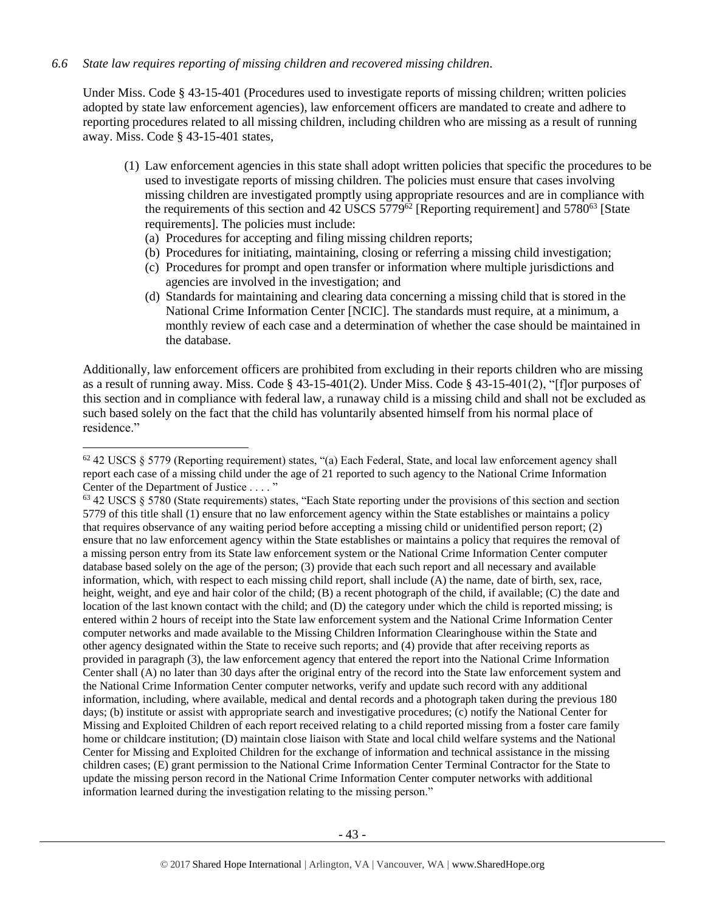## *6.6 State law requires reporting of missing children and recovered missing children.*

 $\overline{a}$ 

Under Miss. Code § 43-15-401 (Procedures used to investigate reports of missing children; written policies adopted by state law enforcement agencies), law enforcement officers are mandated to create and adhere to reporting procedures related to all missing children, including children who are missing as a result of running away. Miss. Code § 43-15-401 states,

- (1) Law enforcement agencies in this state shall adopt written policies that specific the procedures to be used to investigate reports of missing children. The policies must ensure that cases involving missing children are investigated promptly using appropriate resources and are in compliance with the requirements of this section and  $42 \overline{{\rm USCS}} 5779^{\hat{62}}$  [Reporting requirement] and  $5780^{\hat{63}}$  [State requirements]. The policies must include:
	- (a) Procedures for accepting and filing missing children reports;
	- (b) Procedures for initiating, maintaining, closing or referring a missing child investigation;
	- (c) Procedures for prompt and open transfer or information where multiple jurisdictions and agencies are involved in the investigation; and
	- (d) Standards for maintaining and clearing data concerning a missing child that is stored in the National Crime Information Center [NCIC]. The standards must require, at a minimum, a monthly review of each case and a determination of whether the case should be maintained in the database.

Additionally, law enforcement officers are prohibited from excluding in their reports children who are missing as a result of running away. Miss. Code § 43-15-401(2). Under Miss. Code § 43-15-401(2), "[f]or purposes of this section and in compliance with federal law, a runaway child is a missing child and shall not be excluded as such based solely on the fact that the child has voluntarily absented himself from his normal place of residence."

 $62$  42 USCS § 5779 (Reporting requirement) states, "(a) Each Federal, State, and local law enforcement agency shall report each case of a missing child under the age of 21 reported to such agency to the National Crime Information Center of the Department of Justice . . . . "

<sup>63</sup> 42 USCS § 5780 (State requirements) states, "Each State reporting under the provisions of this section and section 5779 of this title shall (1) ensure that no law enforcement agency within the State establishes or maintains a policy that requires observance of any waiting period before accepting a missing child or unidentified person report; (2) ensure that no law enforcement agency within the State establishes or maintains a policy that requires the removal of a missing person entry from its State law enforcement system or the National Crime Information Center computer database based solely on the age of the person; (3) provide that each such report and all necessary and available information, which, with respect to each missing child report, shall include (A) the name, date of birth, sex, race, height, weight, and eye and hair color of the child; (B) a recent photograph of the child, if available; (C) the date and location of the last known contact with the child; and (D) the category under which the child is reported missing; is entered within 2 hours of receipt into the State law enforcement system and the National Crime Information Center computer networks and made available to the Missing Children Information Clearinghouse within the State and other agency designated within the State to receive such reports; and (4) provide that after receiving reports as provided in paragraph (3), the law enforcement agency that entered the report into the National Crime Information Center shall (A) no later than 30 days after the original entry of the record into the State law enforcement system and the National Crime Information Center computer networks, verify and update such record with any additional information, including, where available, medical and dental records and a photograph taken during the previous 180 days; (b) institute or assist with appropriate search and investigative procedures; (c) notify the National Center for Missing and Exploited Children of each report received relating to a child reported missing from a foster care family home or childcare institution; (D) maintain close liaison with State and local child welfare systems and the National Center for Missing and Exploited Children for the exchange of information and technical assistance in the missing children cases; (E) grant permission to the National Crime Information Center Terminal Contractor for the State to update the missing person record in the National Crime Information Center computer networks with additional information learned during the investigation relating to the missing person."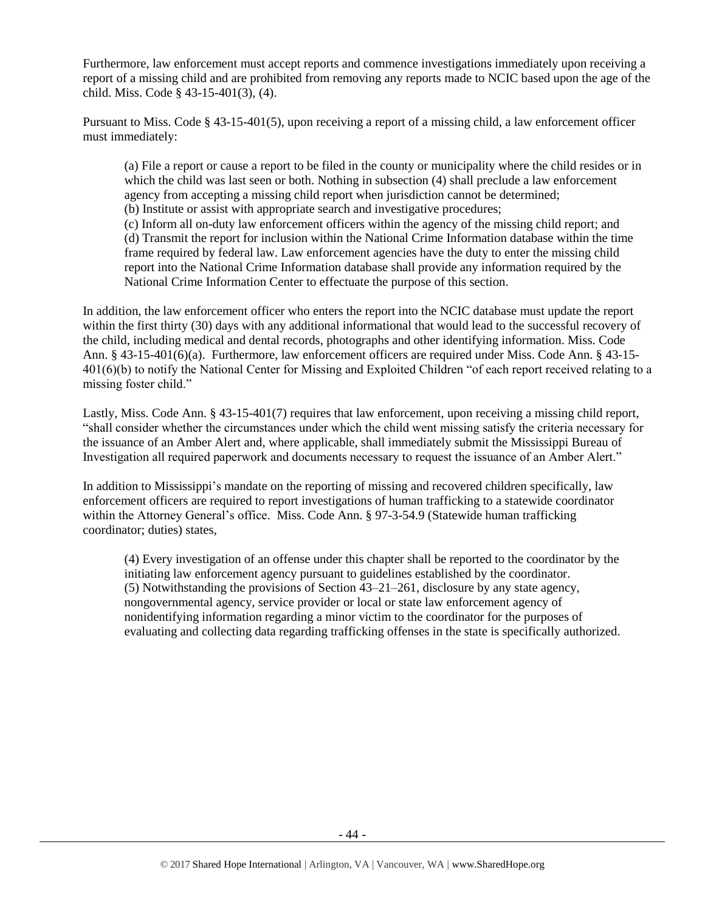Furthermore, law enforcement must accept reports and commence investigations immediately upon receiving a report of a missing child and are prohibited from removing any reports made to NCIC based upon the age of the child. Miss. Code § 43-15-401(3), (4).

Pursuant to Miss. Code § 43-15-401(5), upon receiving a report of a missing child, a law enforcement officer must immediately:

(a) File a report or cause a report to be filed in the county or municipality where the child resides or in which the child was last seen or both. Nothing in subsection (4) shall preclude a law enforcement agency from accepting a missing child report when jurisdiction cannot be determined;

(b) Institute or assist with appropriate search and investigative procedures;

(c) Inform all on-duty law enforcement officers within the agency of the missing child report; and (d) Transmit the report for inclusion within the National Crime Information database within the time frame required by federal law. Law enforcement agencies have the duty to enter the missing child report into the National Crime Information database shall provide any information required by the National Crime Information Center to effectuate the purpose of this section.

In addition, the law enforcement officer who enters the report into the NCIC database must update the report within the first thirty (30) days with any additional informational that would lead to the successful recovery of the child, including medical and dental records, photographs and other identifying information. Miss. Code Ann. § 43-15-401(6)(a). Furthermore, law enforcement officers are required under Miss. Code Ann. § 43-15- 401(6)(b) to notify the National Center for Missing and Exploited Children "of each report received relating to a missing foster child."

Lastly, Miss. Code Ann. § 43-15-401(7) requires that law enforcement, upon receiving a missing child report, "shall consider whether the circumstances under which the child went missing satisfy the criteria necessary for the issuance of an Amber Alert and, where applicable, shall immediately submit the Mississippi Bureau of Investigation all required paperwork and documents necessary to request the issuance of an Amber Alert."

In addition to Mississippi's mandate on the reporting of missing and recovered children specifically, law enforcement officers are required to report investigations of human trafficking to a statewide coordinator within the Attorney General's office. Miss. Code Ann. § 97-3-54.9 (Statewide human trafficking coordinator; duties) states,

(4) Every investigation of an offense under this chapter shall be reported to the coordinator by the initiating law enforcement agency pursuant to guidelines established by the coordinator. (5) Notwithstanding the provisions of Section 43–21–261, disclosure by any state agency, nongovernmental agency, service provider or local or state law enforcement agency of nonidentifying information regarding a minor victim to the coordinator for the purposes of evaluating and collecting data regarding trafficking offenses in the state is specifically authorized.